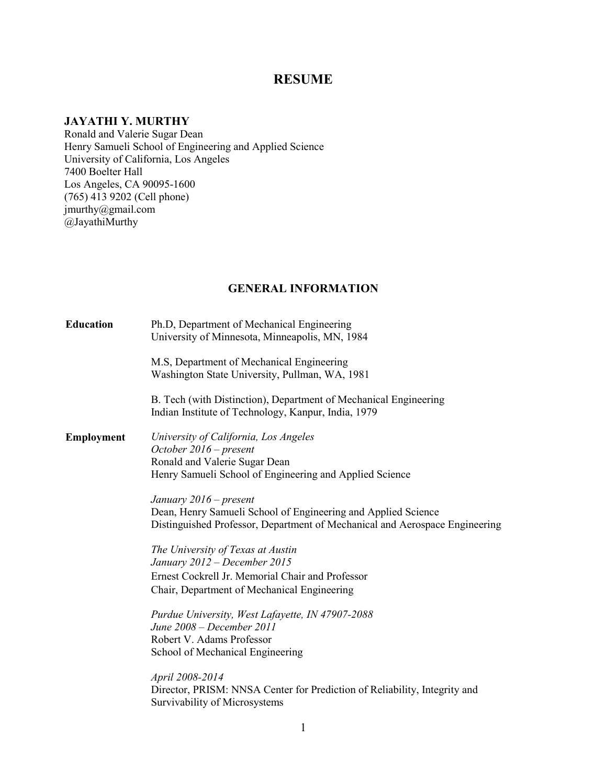## **RESUME**

## **JAYATHI Y. MURTHY**

Ronald and Valerie Sugar Dean Henry Samueli School of Engineering and Applied Science University of California, Los Angeles 7400 Boelter Hall Los Angeles, CA 90095-1600 (765) 413 9202 (Cell phone) jmurthy@gmail.com @JayathiMurthy

### **GENERAL INFORMATION**

| <b>Education</b> | Ph.D, Department of Mechanical Engineering<br>University of Minnesota, Minneapolis, MN, 1984                                                 |
|------------------|----------------------------------------------------------------------------------------------------------------------------------------------|
|                  | M.S, Department of Mechanical Engineering<br>Washington State University, Pullman, WA, 1981                                                  |
|                  | B. Tech (with Distinction), Department of Mechanical Engineering<br>Indian Institute of Technology, Kanpur, India, 1979                      |
| Employment       | University of California, Los Angeles<br>October $2016$ – present                                                                            |
|                  | Ronald and Valerie Sugar Dean                                                                                                                |
|                  | Henry Samueli School of Engineering and Applied Science                                                                                      |
|                  | January 2016 – present                                                                                                                       |
|                  | Dean, Henry Samueli School of Engineering and Applied Science<br>Distinguished Professor, Department of Mechanical and Aerospace Engineering |
|                  | The University of Texas at Austin                                                                                                            |
|                  | January 2012 – December 2015                                                                                                                 |
|                  | Ernest Cockrell Jr. Memorial Chair and Professor                                                                                             |
|                  | Chair, Department of Mechanical Engineering                                                                                                  |
|                  | Purdue University, West Lafayette, IN 47907-2088                                                                                             |
|                  | June 2008 – December 2011                                                                                                                    |
|                  | Robert V. Adams Professor                                                                                                                    |
|                  | School of Mechanical Engineering                                                                                                             |
|                  | April 2008-2014                                                                                                                              |
|                  | Director, PRISM: NNSA Center for Prediction of Reliability, Integrity and<br>Survivability of Microsystems                                   |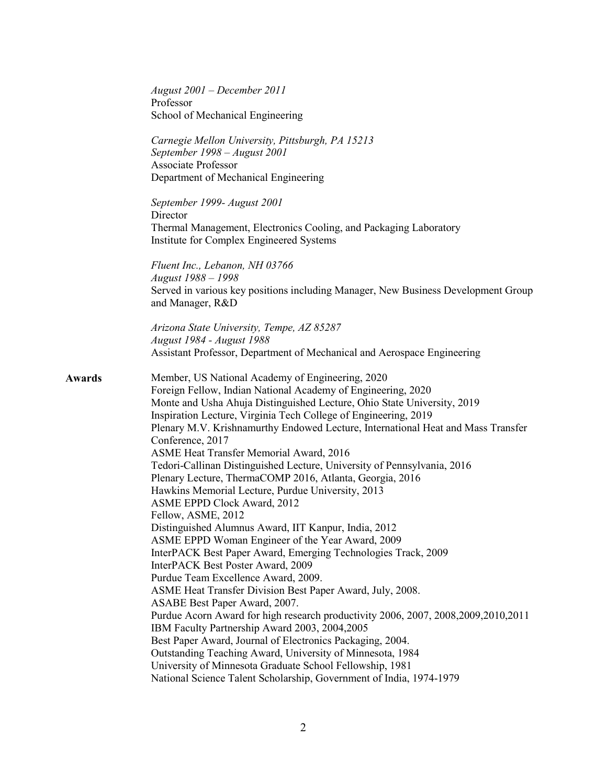|        | $August~2001 - December~2011$<br>Professor<br>School of Mechanical Engineering                                                                                                                                                                                                                                                                                                                                                                                                                                                                                                                                                                                                                                                                                                                                                                                                                                                                                                                                                                                                                                                                                                                                                                                                                                                                            |
|--------|-----------------------------------------------------------------------------------------------------------------------------------------------------------------------------------------------------------------------------------------------------------------------------------------------------------------------------------------------------------------------------------------------------------------------------------------------------------------------------------------------------------------------------------------------------------------------------------------------------------------------------------------------------------------------------------------------------------------------------------------------------------------------------------------------------------------------------------------------------------------------------------------------------------------------------------------------------------------------------------------------------------------------------------------------------------------------------------------------------------------------------------------------------------------------------------------------------------------------------------------------------------------------------------------------------------------------------------------------------------|
|        | Carnegie Mellon University, Pittsburgh, PA 15213<br>September 1998 - August 2001<br><b>Associate Professor</b><br>Department of Mechanical Engineering                                                                                                                                                                                                                                                                                                                                                                                                                                                                                                                                                                                                                                                                                                                                                                                                                                                                                                                                                                                                                                                                                                                                                                                                    |
|        | September 1999- August 2001<br>Director<br>Thermal Management, Electronics Cooling, and Packaging Laboratory<br>Institute for Complex Engineered Systems                                                                                                                                                                                                                                                                                                                                                                                                                                                                                                                                                                                                                                                                                                                                                                                                                                                                                                                                                                                                                                                                                                                                                                                                  |
|        | Fluent Inc., Lebanon, NH 03766<br>August 1988 - 1998<br>Served in various key positions including Manager, New Business Development Group<br>and Manager, R&D                                                                                                                                                                                                                                                                                                                                                                                                                                                                                                                                                                                                                                                                                                                                                                                                                                                                                                                                                                                                                                                                                                                                                                                             |
|        | Arizona State University, Tempe, AZ 85287<br>August 1984 - August 1988<br>Assistant Professor, Department of Mechanical and Aerospace Engineering                                                                                                                                                                                                                                                                                                                                                                                                                                                                                                                                                                                                                                                                                                                                                                                                                                                                                                                                                                                                                                                                                                                                                                                                         |
| Awards | Member, US National Academy of Engineering, 2020<br>Foreign Fellow, Indian National Academy of Engineering, 2020<br>Monte and Usha Ahuja Distinguished Lecture, Ohio State University, 2019<br>Inspiration Lecture, Virginia Tech College of Engineering, 2019<br>Plenary M.V. Krishnamurthy Endowed Lecture, International Heat and Mass Transfer<br>Conference, 2017<br>ASME Heat Transfer Memorial Award, 2016<br>Tedori-Callinan Distinguished Lecture, University of Pennsylvania, 2016<br>Plenary Lecture, ThermaCOMP 2016, Atlanta, Georgia, 2016<br>Hawkins Memorial Lecture, Purdue University, 2013<br>ASME EPPD Clock Award, 2012<br>Fellow, ASME, 2012<br>Distinguished Alumnus Award, IIT Kanpur, India, 2012<br>ASME EPPD Woman Engineer of the Year Award, 2009<br>InterPACK Best Paper Award, Emerging Technologies Track, 2009<br>InterPACK Best Poster Award, 2009<br>Purdue Team Excellence Award, 2009.<br>ASME Heat Transfer Division Best Paper Award, July, 2008.<br>ASABE Best Paper Award, 2007.<br>Purdue Acorn Award for high research productivity 2006, 2007, 2008, 2009, 2010, 2011<br>IBM Faculty Partnership Award 2003, 2004, 2005<br>Best Paper Award, Journal of Electronics Packaging, 2004.<br>Outstanding Teaching Award, University of Minnesota, 1984<br>University of Minnesota Graduate School Fellowship, 1981 |
|        | National Science Talent Scholarship, Government of India, 1974-1979                                                                                                                                                                                                                                                                                                                                                                                                                                                                                                                                                                                                                                                                                                                                                                                                                                                                                                                                                                                                                                                                                                                                                                                                                                                                                       |
|        |                                                                                                                                                                                                                                                                                                                                                                                                                                                                                                                                                                                                                                                                                                                                                                                                                                                                                                                                                                                                                                                                                                                                                                                                                                                                                                                                                           |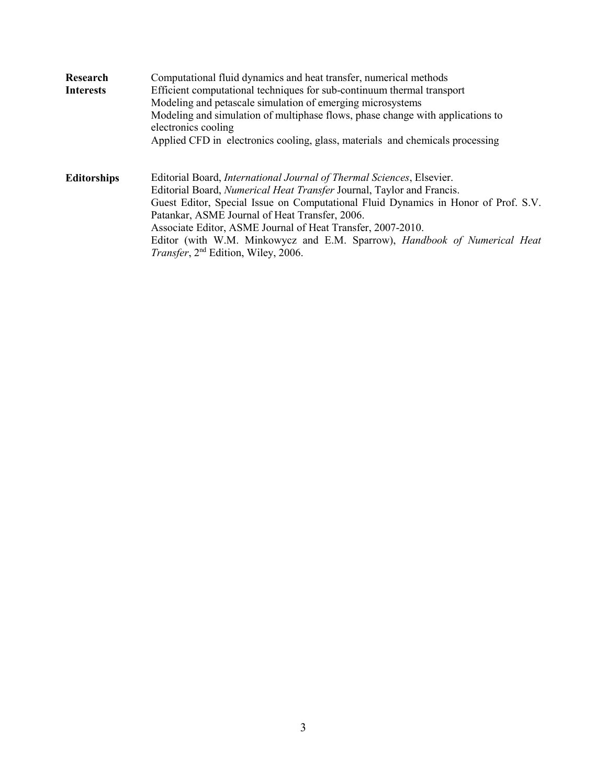| Research           | Computational fluid dynamics and heat transfer, numerical methods                                                            |  |  |
|--------------------|------------------------------------------------------------------------------------------------------------------------------|--|--|
| <b>Interests</b>   | Efficient computational techniques for sub-continuum thermal transport                                                       |  |  |
|                    | Modeling and petascale simulation of emerging microsystems                                                                   |  |  |
|                    | Modeling and simulation of multiphase flows, phase change with applications to<br>electronics cooling                        |  |  |
|                    | Applied CFD in electronics cooling, glass, materials and chemicals processing                                                |  |  |
| <b>Editorships</b> | Editorial Board, International Journal of Thermal Sciences, Elsevier.                                                        |  |  |
|                    | Editorial Board, Numerical Heat Transfer Journal, Taylor and Francis.                                                        |  |  |
|                    | Guest Editor, Special Issue on Computational Fluid Dynamics in Honor of Prof. S.V.                                           |  |  |
|                    | Patankar, ASME Journal of Heat Transfer, 2006.                                                                               |  |  |
|                    | Associate Editor, ASME Journal of Heat Transfer, 2007-2010.                                                                  |  |  |
|                    | Editor (with W.M. Minkowycz and E.M. Sparrow), Handbook of Numerical Heat<br>Transfer, 2 <sup>nd</sup> Edition, Wiley, 2006. |  |  |
|                    |                                                                                                                              |  |  |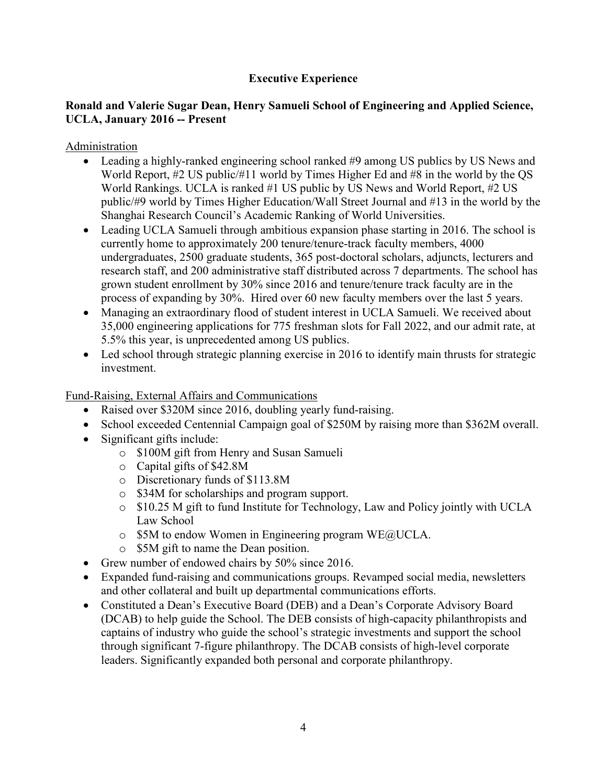## **Executive Experience**

## **Ronald and Valerie Sugar Dean, Henry Samueli School of Engineering and Applied Science, UCLA, January 2016 -- Present**

Administration

- Leading a highly-ranked engineering school ranked #9 among US publics by US News and World Report, #2 US public/#11 world by Times Higher Ed and #8 in the world by the QS World Rankings. UCLA is ranked #1 US public by US News and World Report, #2 US public/#9 world by Times Higher Education/Wall Street Journal and #13 in the world by the Shanghai Research Council's Academic Ranking of World Universities.
- Leading UCLA Samueli through ambitious expansion phase starting in 2016. The school is currently home to approximately 200 tenure/tenure-track faculty members, 4000 undergraduates, 2500 graduate students, 365 post-doctoral scholars, adjuncts, lecturers and research staff, and 200 administrative staff distributed across 7 departments. The school has grown student enrollment by 30% since 2016 and tenure/tenure track faculty are in the process of expanding by 30%. Hired over 60 new faculty members over the last 5 years.
- Managing an extraordinary flood of student interest in UCLA Samueli. We received about 35,000 engineering applications for 775 freshman slots for Fall 2022, and our admit rate, at 5.5% this year, is unprecedented among US publics.
- Led school through strategic planning exercise in 2016 to identify main thrusts for strategic investment.

Fund-Raising, External Affairs and Communications

- Raised over \$320M since 2016, doubling yearly fund-raising.
- School exceeded Centennial Campaign goal of \$250M by raising more than \$362M overall.
- Significant gifts include:
	- o \$100M gift from Henry and Susan Samueli
	- o Capital gifts of \$42.8M
	- o Discretionary funds of \$113.8M
	- o \$34M for scholarships and program support.
	- o \$10.25 M gift to fund Institute for Technology, Law and Policy jointly with UCLA Law School
	- o \$5M to endow Women in Engineering program WE@UCLA.
	- o \$5M gift to name the Dean position.
- Grew number of endowed chairs by 50% since 2016.
- Expanded fund-raising and communications groups. Revamped social media, newsletters and other collateral and built up departmental communications efforts.
- Constituted a Dean's Executive Board (DEB) and a Dean's Corporate Advisory Board (DCAB) to help guide the School. The DEB consists of high-capacity philanthropists and captains of industry who guide the school's strategic investments and support the school through significant 7-figure philanthropy. The DCAB consists of high-level corporate leaders. Significantly expanded both personal and corporate philanthropy.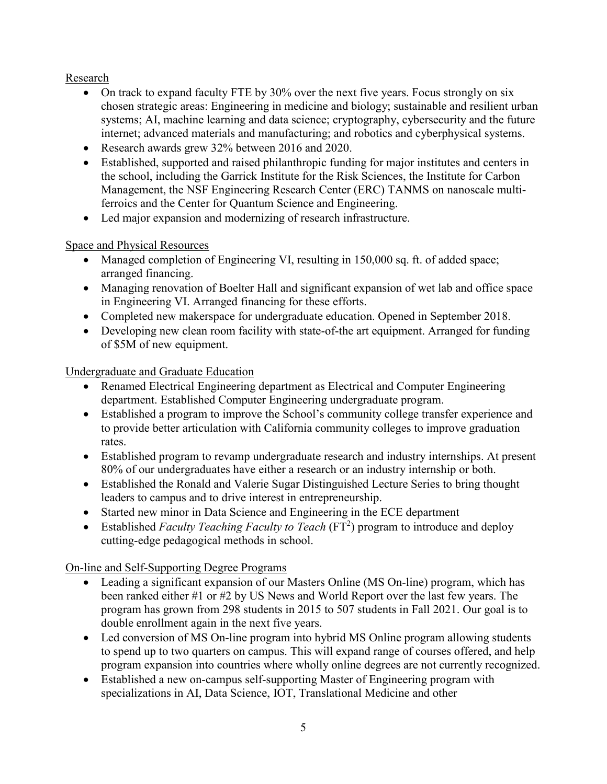## Research

- On track to expand faculty FTE by 30% over the next five years. Focus strongly on six chosen strategic areas: Engineering in medicine and biology; sustainable and resilient urban systems; AI, machine learning and data science; cryptography, cybersecurity and the future internet; advanced materials and manufacturing; and robotics and cyberphysical systems.
- Research awards grew 32% between 2016 and 2020.
- Established, supported and raised philanthropic funding for major institutes and centers in the school, including the Garrick Institute for the Risk Sciences, the Institute for Carbon Management, the NSF Engineering Research Center (ERC) TANMS on nanoscale multiferroics and the Center for Quantum Science and Engineering.
- Led major expansion and modernizing of research infrastructure.

## Space and Physical Resources

- Managed completion of Engineering VI, resulting in 150,000 sq. ft. of added space; arranged financing.
- Managing renovation of Boelter Hall and significant expansion of wet lab and office space in Engineering VI. Arranged financing for these efforts.
- Completed new makerspace for undergraduate education. Opened in September 2018.
- Developing new clean room facility with state-of-the art equipment. Arranged for funding of \$5M of new equipment.

Undergraduate and Graduate Education

- Renamed Electrical Engineering department as Electrical and Computer Engineering department. Established Computer Engineering undergraduate program.
- Established a program to improve the School's community college transfer experience and to provide better articulation with California community colleges to improve graduation rates.
- Established program to revamp undergraduate research and industry internships. At present 80% of our undergraduates have either a research or an industry internship or both.
- Established the Ronald and Valerie Sugar Distinguished Lecture Series to bring thought leaders to campus and to drive interest in entrepreneurship.
- Started new minor in Data Science and Engineering in the ECE department
- Established *Faculty Teaching Faculty to Teach* (FT<sup>2</sup>) program to introduce and deploy cutting-edge pedagogical methods in school.

On-line and Self-Supporting Degree Programs

- Leading a significant expansion of our Masters Online (MS On-line) program, which has been ranked either #1 or #2 by US News and World Report over the last few years. The program has grown from 298 students in 2015 to 507 students in Fall 2021. Our goal is to double enrollment again in the next five years.
- Led conversion of MS On-line program into hybrid MS Online program allowing students to spend up to two quarters on campus. This will expand range of courses offered, and help program expansion into countries where wholly online degrees are not currently recognized.
- Established a new on-campus self-supporting Master of Engineering program with specializations in AI, Data Science, IOT, Translational Medicine and other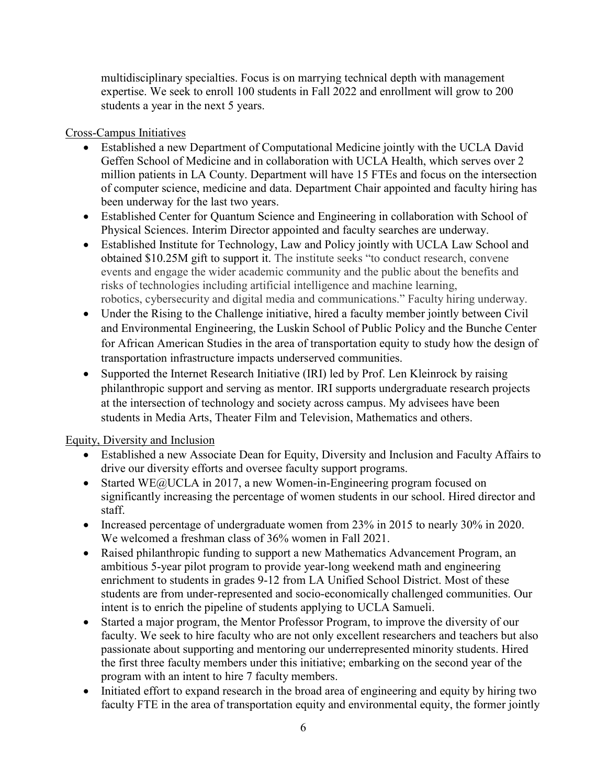multidisciplinary specialties. Focus is on marrying technical depth with management expertise. We seek to enroll 100 students in Fall 2022 and enrollment will grow to 200 students a year in the next 5 years.

### Cross-Campus Initiatives

- Established a new Department of Computational Medicine jointly with the UCLA David Geffen School of Medicine and in collaboration with UCLA Health, which serves over 2 million patients in LA County. Department will have 15 FTEs and focus on the intersection of computer science, medicine and data. Department Chair appointed and faculty hiring has been underway for the last two years.
- Established Center for Quantum Science and Engineering in collaboration with School of Physical Sciences. Interim Director appointed and faculty searches are underway.
- Established Institute for Technology, Law and Policy jointly with UCLA Law School and obtained \$10.25M gift to support it. The institute seeks "to conduct research, convene events and engage the wider academic community and the public about the benefits and risks of technologies including artificial intelligence and machine learning, robotics, cybersecurity and digital media and communications." Faculty hiring underway.
- Under the Rising to the Challenge initiative, hired a faculty member jointly between Civil and Environmental Engineering, the Luskin School of Public Policy and the Bunche Center for African American Studies in the area of transportation equity to study how the design of transportation infrastructure impacts underserved communities.
- Supported the Internet Research Initiative (IRI) led by Prof. Len Kleinrock by raising philanthropic support and serving as mentor. IRI supports undergraduate research projects at the intersection of technology and society across campus. My advisees have been students in Media Arts, Theater Film and Television, Mathematics and others.

## Equity, Diversity and Inclusion

- Established a new Associate Dean for Equity, Diversity and Inclusion and Faculty Affairs to drive our diversity efforts and oversee faculty support programs.
- Started WE@UCLA in 2017, a new Women-in-Engineering program focused on significantly increasing the percentage of women students in our school. Hired director and staff.
- Increased percentage of undergraduate women from 23% in 2015 to nearly 30% in 2020. We welcomed a freshman class of 36% women in Fall 2021.
- Raised philanthropic funding to support a new Mathematics Advancement Program, an ambitious 5-year pilot program to provide year-long weekend math and engineering enrichment to students in grades 9-12 from LA Unified School District. Most of these students are from under-represented and socio-economically challenged communities. Our intent is to enrich the pipeline of students applying to UCLA Samueli.
- Started a major program, the Mentor Professor Program, to improve the diversity of our faculty. We seek to hire faculty who are not only excellent researchers and teachers but also passionate about supporting and mentoring our underrepresented minority students. Hired the first three faculty members under this initiative; embarking on the second year of the program with an intent to hire 7 faculty members.
- Initiated effort to expand research in the broad area of engineering and equity by hiring two faculty FTE in the area of transportation equity and environmental equity, the former jointly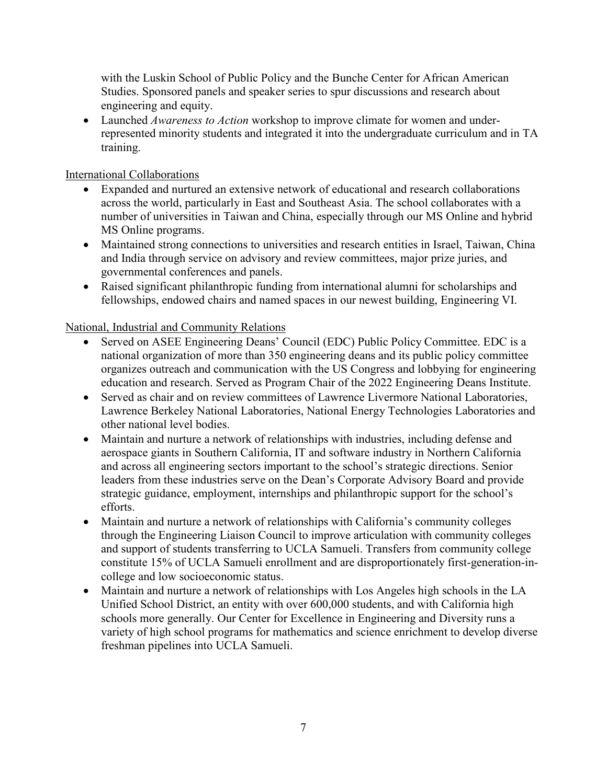with the Luskin School of Public Policy and the Bunche Center for African American Studies. Sponsored panels and speaker series to spur discussions and research about engineering and equity.

• Launched *Awareness to Action* workshop to improve climate for women and underrepresented minority students and integrated it into the undergraduate curriculum and in TA training.

International Collaborations

- Expanded and nurtured an extensive network of educational and research collaborations across the world, particularly in East and Southeast Asia. The school collaborates with a number of universities in Taiwan and China, especially through our MS Online and hybrid MS Online programs.
- Maintained strong connections to universities and research entities in Israel, Taiwan, China and India through service on advisory and review committees, major prize juries, and governmental conferences and panels.
- Raised significant philanthropic funding from international alumni for scholarships and fellowships, endowed chairs and named spaces in our newest building, Engineering VI.

National, Industrial and Community Relations

- Served on ASEE Engineering Deans' Council (EDC) Public Policy Committee. EDC is a national organization of more than 350 engineering deans and its public policy committee organizes outreach and communication with the US Congress and lobbying for engineering education and research. Served as Program Chair of the 2022 Engineering Deans Institute.
- Served as chair and on review committees of Lawrence Livermore National Laboratories, Lawrence Berkeley National Laboratories, National Energy Technologies Laboratories and other national level bodies.
- Maintain and nurture a network of relationships with industries, including defense and aerospace giants in Southern California, IT and software industry in Northern California and across all engineering sectors important to the school's strategic directions. Senior leaders from these industries serve on the Dean's Corporate Advisory Board and provide strategic guidance, employment, internships and philanthropic support for the school's efforts.
- Maintain and nurture a network of relationships with California's community colleges through the Engineering Liaison Council to improve articulation with community colleges and support of students transferring to UCLA Samueli. Transfers from community college constitute 15% of UCLA Samueli enrollment and are disproportionately first-generation-incollege and low socioeconomic status.
- Maintain and nurture a network of relationships with Los Angeles high schools in the LA Unified School District, an entity with over 600,000 students, and with California high schools more generally. Our Center for Excellence in Engineering and Diversity runs a variety of high school programs for mathematics and science enrichment to develop diverse freshman pipelines into UCLA Samueli.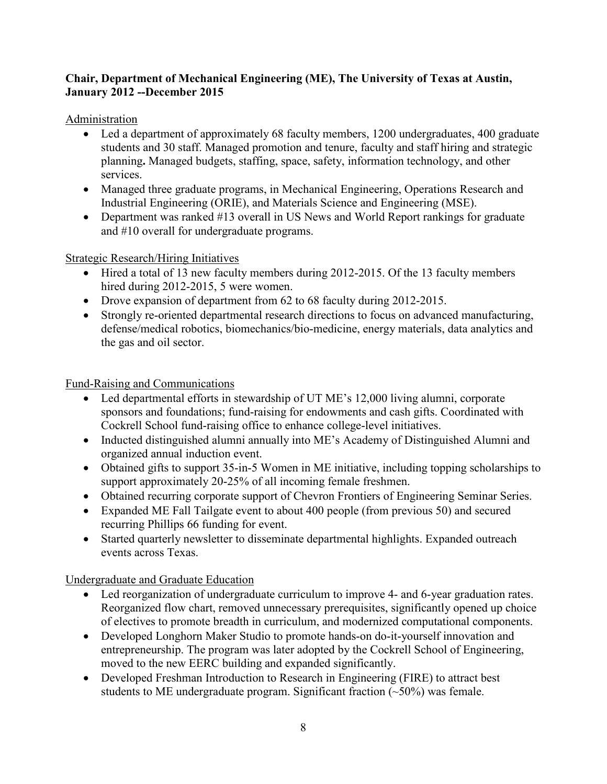### **Chair, Department of Mechanical Engineering (ME), The University of Texas at Austin, January 2012 --December 2015**

Administration

- Led a department of approximately 68 faculty members, 1200 undergraduates, 400 graduate students and 30 staff. Managed promotion and tenure, faculty and staff hiring and strategic planning**.** Managed budgets, staffing, space, safety, information technology, and other services.
- Managed three graduate programs, in Mechanical Engineering, Operations Research and Industrial Engineering (ORIE), and Materials Science and Engineering (MSE).
- Department was ranked #13 overall in US News and World Report rankings for graduate and #10 overall for undergraduate programs.

Strategic Research/Hiring Initiatives

- Hired a total of 13 new faculty members during 2012-2015. Of the 13 faculty members hired during 2012-2015, 5 were women.
- Drove expansion of department from 62 to 68 faculty during 2012-2015.
- Strongly re-oriented departmental research directions to focus on advanced manufacturing, defense/medical robotics, biomechanics/bio-medicine, energy materials, data analytics and the gas and oil sector.

Fund-Raising and Communications

- Led departmental efforts in stewardship of UT ME's 12,000 living alumni, corporate sponsors and foundations; fund-raising for endowments and cash gifts. Coordinated with Cockrell School fund-raising office to enhance college-level initiatives.
- Inducted distinguished alumni annually into ME's Academy of Distinguished Alumni and organized annual induction event.
- Obtained gifts to support 35-in-5 Women in ME initiative, including topping scholarships to support approximately 20-25% of all incoming female freshmen.
- Obtained recurring corporate support of Chevron Frontiers of Engineering Seminar Series.
- Expanded ME Fall Tailgate event to about 400 people (from previous 50) and secured recurring Phillips 66 funding for event.
- Started quarterly newsletter to disseminate departmental highlights. Expanded outreach events across Texas.

Undergraduate and Graduate Education

- Led reorganization of undergraduate curriculum to improve 4- and 6-year graduation rates. Reorganized flow chart, removed unnecessary prerequisites, significantly opened up choice of electives to promote breadth in curriculum, and modernized computational components.
- Developed Longhorn Maker Studio to promote hands-on do-it-yourself innovation and entrepreneurship. The program was later adopted by the Cockrell School of Engineering, moved to the new EERC building and expanded significantly.
- Developed Freshman Introduction to Research in Engineering (FIRE) to attract best students to ME undergraduate program. Significant fraction  $(\sim 50\%)$  was female.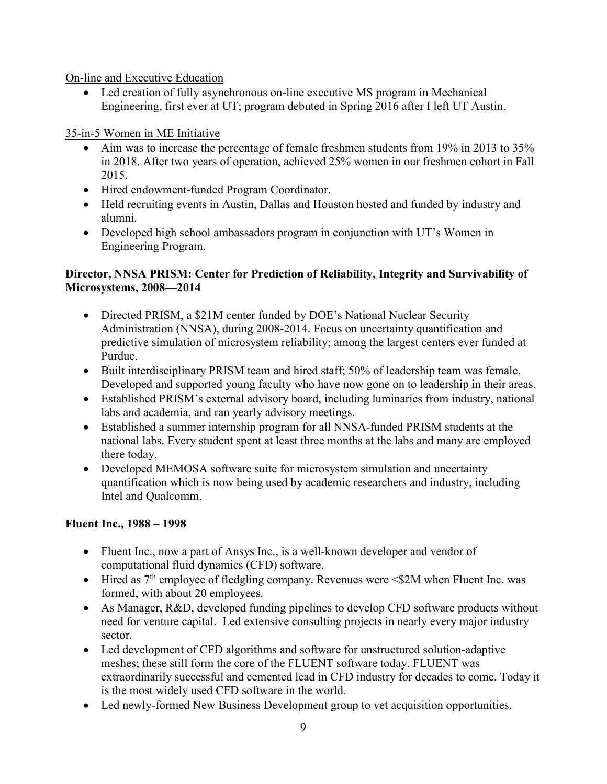On-line and Executive Education

• Led creation of fully asynchronous on-line executive MS program in Mechanical Engineering, first ever at UT; program debuted in Spring 2016 after I left UT Austin.

35-in-5 Women in ME Initiative

- Aim was to increase the percentage of female freshmen students from 19% in 2013 to 35% in 2018. After two years of operation, achieved 25% women in our freshmen cohort in Fall 2015.
- Hired endowment-funded Program Coordinator.
- Held recruiting events in Austin, Dallas and Houston hosted and funded by industry and alumni.
- Developed high school ambassadors program in conjunction with UT's Women in Engineering Program.

## **Director, NNSA PRISM: Center for Prediction of Reliability, Integrity and Survivability of Microsystems, 2008—2014**

- Directed PRISM, a \$21M center funded by DOE's National Nuclear Security Administration (NNSA), during 2008-2014. Focus on uncertainty quantification and predictive simulation of microsystem reliability; among the largest centers ever funded at Purdue.
- Built interdisciplinary PRISM team and hired staff; 50% of leadership team was female. Developed and supported young faculty who have now gone on to leadership in their areas.
- Established PRISM's external advisory board, including luminaries from industry, national labs and academia, and ran yearly advisory meetings.
- Established a summer internship program for all NNSA-funded PRISM students at the national labs. Every student spent at least three months at the labs and many are employed there today.
- Developed MEMOSA software suite for microsystem simulation and uncertainty quantification which is now being used by academic researchers and industry, including Intel and Qualcomm.

# **Fluent Inc., 1988 – 1998**

- Fluent Inc., now a part of Ansys Inc., is a well-known developer and vendor of computational fluid dynamics (CFD) software.
- Hired as  $7<sup>th</sup>$  employee of fledgling company. Revenues were  $\leq 2M$  when Fluent Inc. was formed, with about 20 employees.
- As Manager, R&D, developed funding pipelines to develop CFD software products without need for venture capital. Led extensive consulting projects in nearly every major industry sector.
- Led development of CFD algorithms and software for unstructured solution-adaptive meshes; these still form the core of the FLUENT software today. FLUENT was extraordinarily successful and cemented lead in CFD industry for decades to come. Today it is the most widely used CFD software in the world.
- Led newly-formed New Business Development group to vet acquisition opportunities.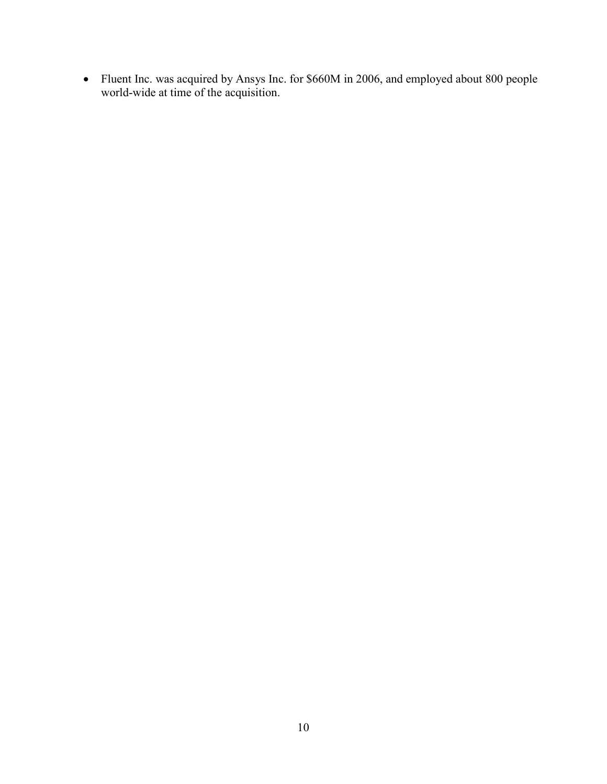• Fluent Inc. was acquired by Ansys Inc. for \$660M in 2006, and employed about 800 people world-wide at time of the acquisition.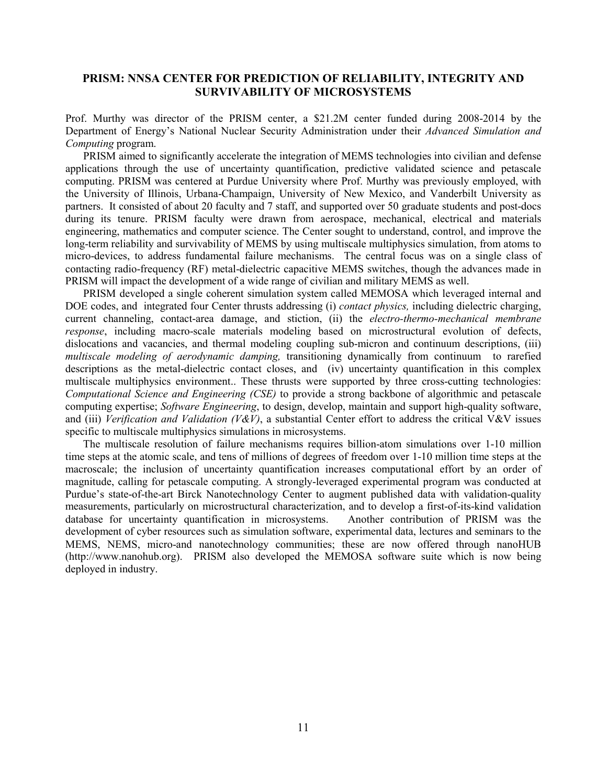### **PRISM: NNSA CENTER FOR PREDICTION OF RELIABILITY, INTEGRITY AND SURVIVABILITY OF MICROSYSTEMS**

Prof. Murthy was director of the PRISM center, a \$21.2M center funded during 2008-2014 by the Department of Energy's National Nuclear Security Administration under their *Advanced Simulation and Computing* program.

PRISM aimed to significantly accelerate the integration of MEMS technologies into civilian and defense applications through the use of uncertainty quantification, predictive validated science and petascale computing. PRISM was centered at Purdue University where Prof. Murthy was previously employed, with the University of Illinois, Urbana-Champaign, University of New Mexico, and Vanderbilt University as partners. It consisted of about 20 faculty and 7 staff, and supported over 50 graduate students and post-docs during its tenure. PRISM faculty were drawn from aerospace, mechanical, electrical and materials engineering, mathematics and computer science. The Center sought to understand, control, and improve the long-term reliability and survivability of MEMS by using multiscale multiphysics simulation, from atoms to micro-devices, to address fundamental failure mechanisms. The central focus was on a single class of contacting radio-frequency (RF) metal-dielectric capacitive MEMS switches, though the advances made in PRISM will impact the development of a wide range of civilian and military MEMS as well.

PRISM developed a single coherent simulation system called MEMOSA which leveraged internal and DOE codes, and integrated four Center thrusts addressing (i) *contact physics,* including dielectric charging, current channeling, contact-area damage, and stiction, (ii) the *electro-thermo-mechanical membrane response*, including macro-scale materials modeling based on microstructural evolution of defects, dislocations and vacancies, and thermal modeling coupling sub-micron and continuum descriptions, (iii) *multiscale modeling of aerodynamic damping,* transitioning dynamically from continuum to rarefied descriptions as the metal-dielectric contact closes, and (iv) uncertainty quantification in this complex multiscale multiphysics environment.. These thrusts were supported by three cross-cutting technologies: *Computational Science and Engineering (CSE)* to provide a strong backbone of algorithmic and petascale computing expertise; *Software Engineering*, to design, develop, maintain and support high-quality software, and (iii) *Verification and Validation (V&V)*, a substantial Center effort to address the critical V&V issues specific to multiscale multiphysics simulations in microsystems.

The multiscale resolution of failure mechanisms requires billion-atom simulations over 1-10 million time steps at the atomic scale, and tens of millions of degrees of freedom over 1-10 million time steps at the macroscale; the inclusion of uncertainty quantification increases computational effort by an order of magnitude, calling for petascale computing. A strongly-leveraged experimental program was conducted at Purdue's state-of-the-art Birck Nanotechnology Center to augment published data with validation-quality measurements, particularly on microstructural characterization, and to develop a first-of-its-kind validation database for uncertainty quantification in microsystems. Another contribution of PRISM was the development of cyber resources such as simulation software, experimental data, lectures and seminars to the MEMS, NEMS, micro-and nanotechnology communities; these are now offered through nanoHUB (http://www.nanohub.org). PRISM also developed the MEMOSA software suite which is now being deployed in industry.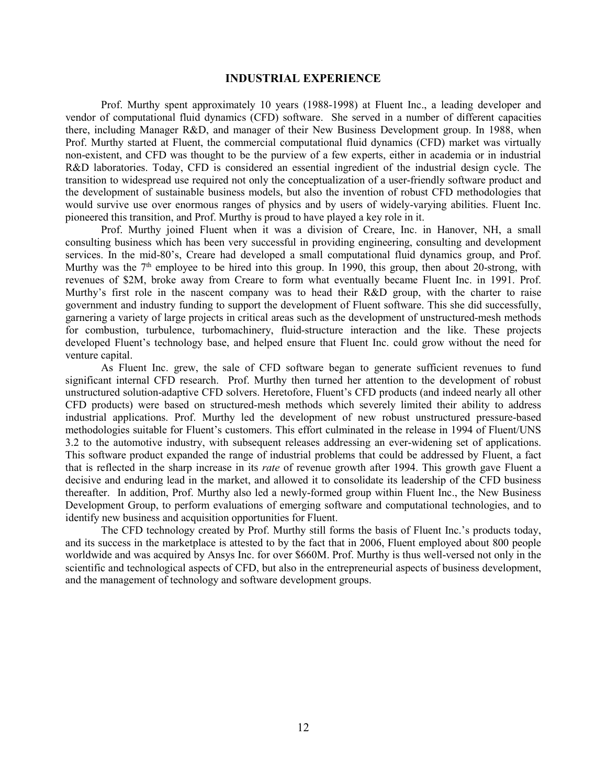#### **INDUSTRIAL EXPERIENCE**

Prof. Murthy spent approximately 10 years (1988-1998) at Fluent Inc., a leading developer and vendor of computational fluid dynamics (CFD) software. She served in a number of different capacities there, including Manager R&D, and manager of their New Business Development group. In 1988, when Prof. Murthy started at Fluent, the commercial computational fluid dynamics (CFD) market was virtually non-existent, and CFD was thought to be the purview of a few experts, either in academia or in industrial R&D laboratories. Today, CFD is considered an essential ingredient of the industrial design cycle. The transition to widespread use required not only the conceptualization of a user-friendly software product and the development of sustainable business models, but also the invention of robust CFD methodologies that would survive use over enormous ranges of physics and by users of widely-varying abilities. Fluent Inc. pioneered this transition, and Prof. Murthy is proud to have played a key role in it.

Prof. Murthy joined Fluent when it was a division of Creare, Inc. in Hanover, NH, a small consulting business which has been very successful in providing engineering, consulting and development services. In the mid-80's, Creare had developed a small computational fluid dynamics group, and Prof. Murthy was the 7<sup>th</sup> employee to be hired into this group. In 1990, this group, then about 20-strong, with revenues of \$2M, broke away from Creare to form what eventually became Fluent Inc. in 1991. Prof. Murthy's first role in the nascent company was to head their R&D group, with the charter to raise government and industry funding to support the development of Fluent software. This she did successfully, garnering a variety of large projects in critical areas such as the development of unstructured-mesh methods for combustion, turbulence, turbomachinery, fluid-structure interaction and the like. These projects developed Fluent's technology base, and helped ensure that Fluent Inc. could grow without the need for venture capital.

As Fluent Inc. grew, the sale of CFD software began to generate sufficient revenues to fund significant internal CFD research. Prof. Murthy then turned her attention to the development of robust unstructured solution-adaptive CFD solvers. Heretofore, Fluent's CFD products (and indeed nearly all other CFD products) were based on structured-mesh methods which severely limited their ability to address industrial applications. Prof. Murthy led the development of new robust unstructured pressure-based methodologies suitable for Fluent's customers. This effort culminated in the release in 1994 of Fluent/UNS 3.2 to the automotive industry, with subsequent releases addressing an ever-widening set of applications. This software product expanded the range of industrial problems that could be addressed by Fluent, a fact that is reflected in the sharp increase in its *rate* of revenue growth after 1994. This growth gave Fluent a decisive and enduring lead in the market, and allowed it to consolidate its leadership of the CFD business thereafter. In addition, Prof. Murthy also led a newly-formed group within Fluent Inc., the New Business Development Group, to perform evaluations of emerging software and computational technologies, and to identify new business and acquisition opportunities for Fluent.

The CFD technology created by Prof. Murthy still forms the basis of Fluent Inc.'s products today, and its success in the marketplace is attested to by the fact that in 2006, Fluent employed about 800 people worldwide and was acquired by Ansys Inc. for over \$660M. Prof. Murthy is thus well-versed not only in the scientific and technological aspects of CFD, but also in the entrepreneurial aspects of business development, and the management of technology and software development groups.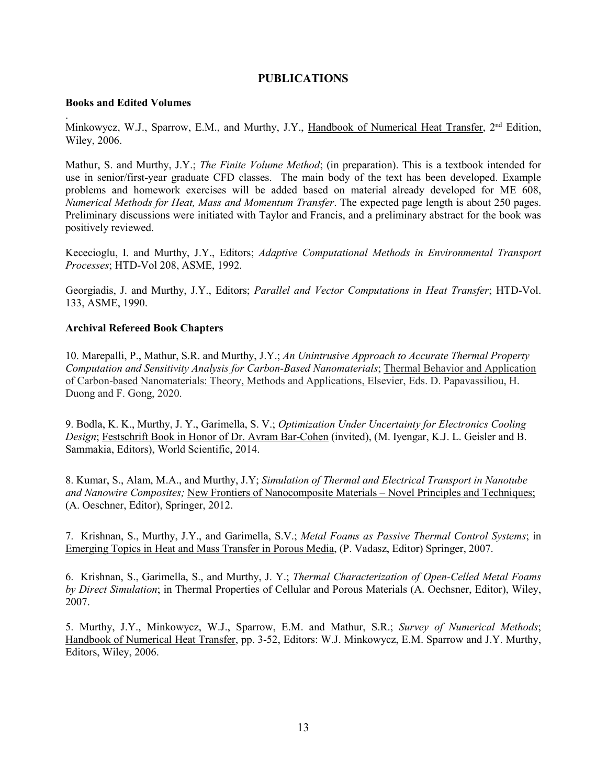### **PUBLICATIONS**

#### **Books and Edited Volumes**

. Minkowycz, W.J., Sparrow, E.M., and Murthy, J.Y., Handbook of Numerical Heat Transfer, 2<sup>nd</sup> Edition, Wiley, 2006.

Mathur, S. and Murthy, J.Y.; *The Finite Volume Method*; (in preparation). This is a textbook intended for use in senior/first-year graduate CFD classes. The main body of the text has been developed. Example problems and homework exercises will be added based on material already developed for ME 608, *Numerical Methods for Heat, Mass and Momentum Transfer*. The expected page length is about 250 pages. Preliminary discussions were initiated with Taylor and Francis, and a preliminary abstract for the book was positively reviewed.

Kececioglu, I. and Murthy, J.Y., Editors; *Adaptive Computational Methods in Environmental Transport Processes*; HTD-Vol 208, ASME, 1992.

Georgiadis, J. and Murthy, J.Y., Editors; *Parallel and Vector Computations in Heat Transfer*; HTD-Vol. 133, ASME, 1990.

#### **Archival Refereed Book Chapters**

10. Marepalli, P., Mathur, S.R. and Murthy, J.Y.; *An Unintrusive Approach to Accurate Thermal Property Computation and Sensitivity Analysis for Carbon-Based Nanomaterials*; Thermal Behavior and Application of Carbon-based Nanomaterials: Theory, Methods and Applications, Elsevier, Eds. D. Papavassiliou, H. Duong and F. Gong, 2020.

9. Bodla, K. K., Murthy, J. Y., Garimella, S. V.; *Optimization Under Uncertainty for Electronics Cooling Design*; Festschrift Book in Honor of Dr. Avram Bar-Cohen (invited), (M. Iyengar, K.J. L. Geisler and B. Sammakia, Editors), World Scientific, 2014.

8. Kumar, S., Alam, M.A., and Murthy, J.Y; *Simulation of Thermal and Electrical Transport in Nanotube and Nanowire Composites;* New Frontiers of Nanocomposite Materials – Novel Principles and Techniques; (A. Oeschner, Editor), Springer, 2012.

7. Krishnan, S., Murthy, J.Y., and Garimella, S.V.; *Metal Foams as Passive Thermal Control Systems*; in Emerging Topics in Heat and Mass Transfer in Porous Media, (P. Vadasz, Editor) Springer, 2007.

6. Krishnan, S., Garimella, S., and Murthy, J. Y.; *Thermal Characterization of Open-Celled Metal Foams by Direct Simulation*; in Thermal Properties of Cellular and Porous Materials (A. Oechsner, Editor), Wiley, 2007.

5. Murthy, J.Y., Minkowycz, W.J., Sparrow, E.M. and Mathur, S.R.; *Survey of Numerical Methods*; Handbook of Numerical Heat Transfer, pp. 3-52, Editors: W.J. Minkowycz, E.M. Sparrow and J.Y. Murthy, Editors, Wiley, 2006.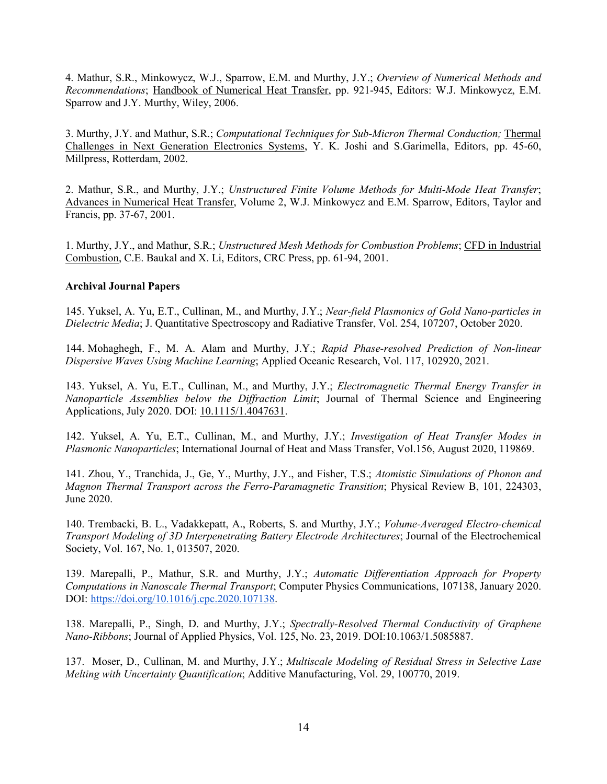4. Mathur, S.R., Minkowycz, W.J., Sparrow, E.M. and Murthy, J.Y.; *Overview of Numerical Methods and Recommendations*; Handbook of Numerical Heat Transfer, pp. 921-945, Editors: W.J. Minkowycz, E.M. Sparrow and J.Y. Murthy, Wiley, 2006.

3. Murthy, J.Y. and Mathur, S.R.; *Computational Techniques for Sub-Micron Thermal Conduction;* Thermal Challenges in Next Generation Electronics Systems, Y. K. Joshi and S.Garimella, Editors, pp. 45-60, Millpress, Rotterdam, 2002.

2. Mathur, S.R., and Murthy, J.Y.; *Unstructured Finite Volume Methods for Multi-Mode Heat Transfer*; Advances in Numerical Heat Transfer, Volume 2, W.J. Minkowycz and E.M. Sparrow, Editors, Taylor and Francis, pp. 37-67, 2001.

1. Murthy, J.Y., and Mathur, S.R.; *Unstructured Mesh Methods for Combustion Problems*; CFD in Industrial Combustion, C.E. Baukal and X. Li, Editors, CRC Press, pp. 61-94, 2001.

#### **Archival Journal Papers**

145. Yuksel, A. Yu, E.T., Cullinan, M., and Murthy, J.Y.; *Near-field Plasmonics of Gold Nano-particles in Dielectric Media*; J. Quantitative Spectroscopy and Radiative Transfer, Vol. 254, 107207, October 2020.

144. Mohaghegh, F., M. A. Alam and Murthy, J.Y.; *Rapid Phase-resolved Prediction of Non-linear Dispersive Waves Using Machine Learning*; Applied Oceanic Research, Vol. 117, 102920, 2021.

143. Yuksel, A. Yu, E.T., Cullinan, M., and Murthy, J.Y.; *Electromagnetic Thermal Energy Transfer in Nanoparticle Assemblies below the Diffraction Limit*; Journal of Thermal Science and Engineering Applications, July 2020. DOI: [10.1115/1.4047631.](https://www.researchgate.net/deref/http%3A%2F%2Fdx.doi.org%2F10.1115%2F1.4047631)

142. Yuksel, A. Yu, E.T., Cullinan, M., and Murthy, J.Y.; *Investigation of Heat Transfer Modes in Plasmonic Nanoparticles*; International Journal of Heat and Mass Transfer, Vol.156, August 2020, 119869.

141. Zhou, Y., Tranchida, J., Ge, Y., Murthy, J.Y., and Fisher, T.S.; *Atomistic Simulations of Phonon and Magnon Thermal Transport across the Ferro-Paramagnetic Transition*; Physical Review B, 101, 224303, June 2020.

140. Trembacki, B. L., Vadakkepatt, A., Roberts, S. and Murthy, J.Y.; *Volume-Averaged Electro-chemical Transport Modeling of 3D Interpenetrating Battery Electrode Architectures*; Journal of the Electrochemical Society, Vol. 167, No. 1, 013507, 2020.

139. Marepalli, P., Mathur, S.R. and Murthy, J.Y.; *Automatic Differentiation Approach for Property Computations in Nanoscale Thermal Transport*; Computer Physics Communications, 107138, January 2020. DOI: [https://doi.org/10.1016/j.cpc.2020.107138.](https://doi.org/10.1016/j.cpc.2020.107138)

138. Marepalli, P., Singh, D. and Murthy, J.Y.; *Spectrally-Resolved Thermal Conductivity of Graphene Nano-Ribbons*; Journal of Applied Physics, Vol. 125, No. 23, 2019. DOI:10.1063/1.5085887.

137. Moser, D., Cullinan, M. and Murthy, J.Y.; *Multiscale Modeling of Residual Stress in Selective Lase Melting with Uncertainty Quantification*; Additive Manufacturing, Vol. 29, 100770, 2019.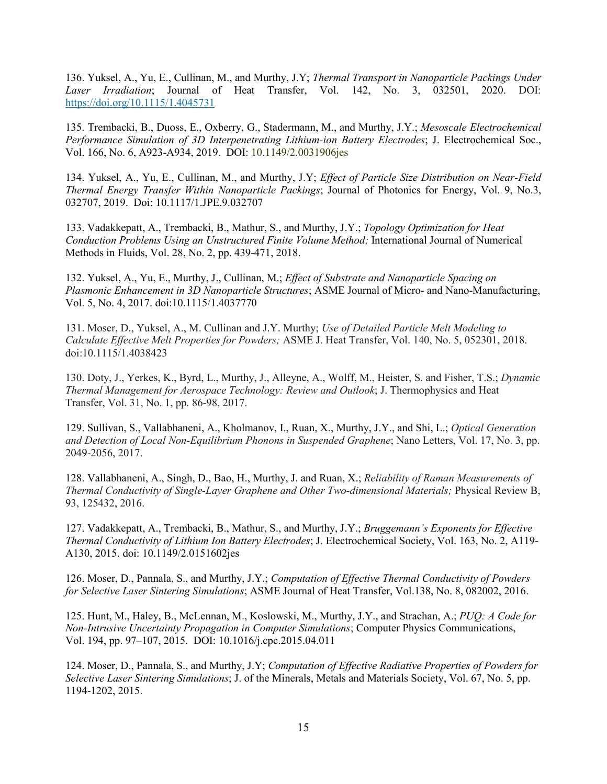136. Yuksel, A., Yu, E., Cullinan, M., and Murthy, J.Y; *Thermal Transport in Nanoparticle Packings Under Laser Irradiation*; Journal of Heat Transfer, Vol. 142, No. 3, 032501, 2020. DOI: <https://doi.org/10.1115/1.4045731>

135. Trembacki, B., Duoss, E., Oxberry, G., Stadermann, M., and Murthy, J.Y.; *Mesoscale Electrochemical Performance Simulation of 3D Interpenetrating Lithium-ion Battery Electrodes*; J. Electrochemical Soc., Vol. 166, No. 6, A923-A934, 2019. DOI: 10.1149/2.0031906jes

134. Yuksel, A., Yu, E., Cullinan, M., and Murthy, J.Y; *Effect of Particle Size Distribution on Near-Field Thermal Energy Transfer Within Nanoparticle Packings*; Journal of Photonics for Energy, Vol. 9, No.3, 032707, 2019. Doi: [10.1117/1.JPE.9.032707](https://doi.org/10.1117/1.JPE.9.032707)

133. Vadakkepatt, A., Trembacki, B., Mathur, S., and Murthy, J.Y.; *Topology Optimization for Heat Conduction Problems Using an Unstructured Finite Volume Method;* International Journal of Numerical Methods in Fluids, Vol. 28, No. 2, pp. 439-471, 2018.

132. Yuksel, A., Yu, E., Murthy, J., Cullinan, M.; *Effect of Substrate and Nanoparticle Spacing on Plasmonic Enhancement in 3D Nanoparticle Structures*; ASME Journal of Micro- and Nano-Manufacturing, Vol. 5, No. 4, 2017. doi:10.1115/1.4037770

131. Moser, D., Yuksel, A., M. Cullinan and J.Y. Murthy; *Use of Detailed Particle Melt Modeling to Calculate Effective Melt Properties for Powders;* ASME J. Heat Transfer, Vol. 140, No. 5, 052301, 2018. doi:10.1115/1.4038423

130. Doty, J., Yerkes, K., Byrd, L., Murthy, J., Alleyne, A., Wolff, M., Heister, S. and Fisher, T.S.; *Dynamic Thermal Management for Aerospace Technology: Review and Outlook*; J. Thermophysics and Heat Transfer, Vol. 31, No. 1, pp. 86-98, 2017.

129. Sullivan, S., Vallabhaneni, A., Kholmanov, I., Ruan, X., Murthy, J.Y., and Shi, L.; *Optical Generation and Detection of Local Non-Equilibrium Phonons in Suspended Graphene*; Nano Letters, Vol. 17, No. 3, pp. 2049-2056, 2017.

128. Vallabhaneni, A., Singh, D., Bao, H., Murthy, J. and Ruan, X.; *Reliability of Raman Measurements of Thermal Conductivity of Single-Layer Graphene and Other Two-dimensional Materials;* Physical Review B, 93, 125432, 2016.

127. Vadakkepatt, A., Trembacki, B., Mathur, S., and Murthy, J.Y.; *Bruggemann's Exponents for Effective Thermal Conductivity of Lithium Ion Battery Electrodes*; J. Electrochemical Society, Vol. 163, No. 2, A119- A130, 2015. doi: 10.1149/2.0151602jes

126. Moser, D., Pannala, S., and Murthy, J.Y.; *Computation of Effective Thermal Conductivity of Powders for Selective Laser Sintering Simulations*; ASME Journal of Heat Transfer, Vol.138, No. 8, 082002, 2016.

125. Hunt, M., Haley, B., McLennan, M., Koslowski, M., Murthy, J.Y., and Strachan, A.; *PUQ: A Code for Non-Intrusive Uncertainty Propagation in Computer Simulations*; Computer Physics Communications, Vol. 194, pp. 97–107, 2015. DOI: [10.1016/j.cpc.2015.04.011](http://dx.doi.org/10.1016/j.cpc.2015.04.011)

124. Moser, D., Pannala, S., and Murthy, J.Y; *Computation of Effective Radiative Properties of Powders for Selective Laser Sintering Simulations*; J. of the Minerals, Metals and Materials Society, Vol. 67, No. 5, pp. 1194-1202, 2015.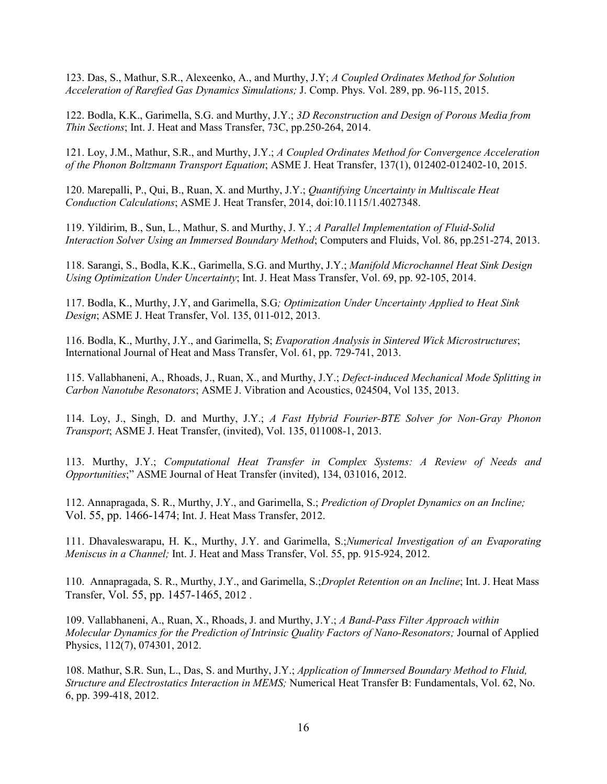123. Das, S., Mathur, S.R., Alexeenko, A., and Murthy, J.Y; *A Coupled Ordinates Method for Solution Acceleration of Rarefied Gas Dynamics Simulations;* J. Comp. Phys. Vol. 289, pp. 96-115, 2015.

122. Bodla, K.K., Garimella, S.G. and Murthy, J.Y.; *3D Reconstruction and Design of Porous Media from Thin Sections*; Int. J. Heat and Mass Transfer, 73C, pp.250-264, 2014.

121. Loy, J.M., Mathur, S.R., and Murthy, J.Y.; *A Coupled Ordinates Method for Convergence Acceleration of the Phonon Boltzmann Transport Equation*; ASME J. Heat Transfer, 137(1), 012402-012402-10, 2015.

120. Marepalli, P., Qui, B., Ruan, X. and Murthy, J.Y.; *Quantifying Uncertainty in Multiscale Heat Conduction Calculations*; ASME J. Heat Transfer, 2014, doi:10.1115/1.4027348.

119. Yildirim, B., Sun, L., Mathur, S. and Murthy, J. Y.; *A Parallel Implementation of Fluid-Solid Interaction Solver Using an Immersed Boundary Method*; Computers and Fluids, Vol. 86, pp.251-274, 2013.

118. Sarangi, S., Bodla, K.K., Garimella, S.G. and Murthy, J.Y.; *Manifold Microchannel Heat Sink Design Using Optimization Under Uncertainty*; Int. J. Heat Mass Transfer, Vol. 69, pp. 92-105, 2014.

117. Bodla, K., Murthy, J.Y, and Garimella, S.G*; Optimization Under Uncertainty Applied to Heat Sink Design*; ASME J. Heat Transfer, Vol. 135, 011-012, 2013.

116. Bodla, K., Murthy, J.Y., and Garimella, S; *Evaporation Analysis in Sintered Wick Microstructures*; International Journal of Heat and Mass Transfer, Vol. 61, pp. 729-741, 2013.

115. Vallabhaneni, A., Rhoads, J., Ruan, X., and Murthy, J.Y.; *Defect-induced Mechanical Mode Splitting in Carbon Nanotube Resonators*; ASME J. Vibration and Acoustics, 024504, Vol 135, 2013.

114. Loy, J., Singh, D. and Murthy, J.Y.; *A Fast Hybrid Fourier-BTE Solver for Non-Gray Phonon Transport*; ASME J. Heat Transfer, (invited), Vol. 135, 011008-1, 2013.

113. Murthy, J.Y.; *Computational Heat Transfer in Complex Systems: A Review of Needs and Opportunities*;" ASME Journal of Heat Transfer (invited), 134, 031016, 2012.

112. Annapragada, S. R., Murthy, J.Y., and Garimella, S.; *Prediction of Droplet Dynamics on an Incline;* Vol. 55, pp. 1466-1474; Int. J. Heat Mass Transfer, 2012.

111. Dhavaleswarapu, H. K., Murthy, J.Y. and Garimella, S.;*Numerical Investigation of an Evaporating Meniscus in a Channel;* Int. J. Heat and Mass Transfer, Vol. 55, pp. 915-924, 2012.

110. Annapragada, S. R., Murthy, J.Y., and Garimella, S.;*Droplet Retention on an Incline*; Int. J. Heat Mass Transfer, Vol. 55, pp. 1457-1465, 2012 .

109. Vallabhaneni, A., Ruan, X., Rhoads, J. and Murthy, J.Y.; *A Band-Pass Filter Approach within Molecular Dynamics for the Prediction of Intrinsic Quality Factors of Nano-Resonators;* Journal of Applied Physics, 112(7), 074301, 2012.

108. Mathur, S.R. Sun, L., Das, S. and Murthy, J.Y.; *Application of Immersed Boundary Method to Fluid, Structure and Electrostatics Interaction in MEMS;* Numerical Heat Transfer B: Fundamentals, Vol. 62, No. 6, pp. 399-418, 2012.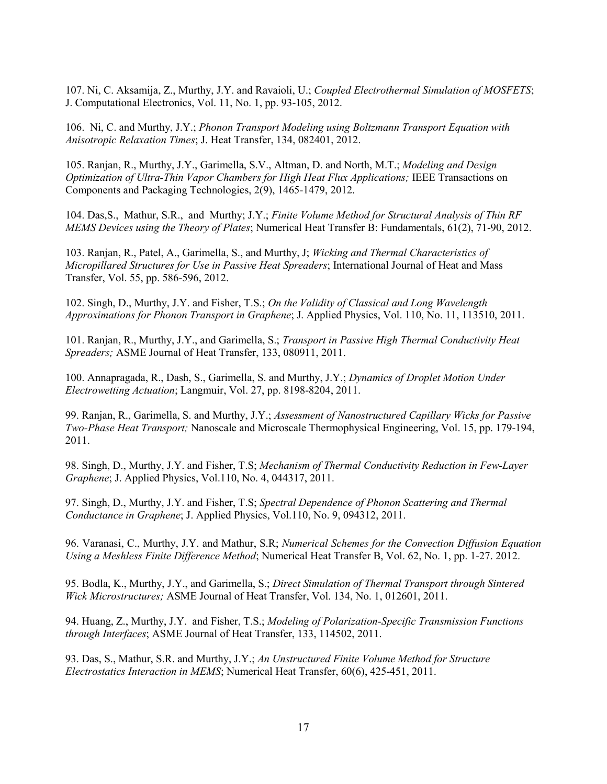107. Ni, C. Aksamija, Z., Murthy, J.Y. and Ravaioli, U.; *Coupled Electrothermal Simulation of MOSFETS*; J. Computational Electronics, Vol. 11, No. 1, pp. 93-105, 2012.

106. Ni, C. and Murthy, J.Y.; *Phonon Transport Modeling using Boltzmann Transport Equation with Anisotropic Relaxation Times*; J. Heat Transfer, 134, 082401, 2012.

105. Ranjan, R., Murthy, J.Y., Garimella, S.V., Altman, D. and North, M.T.; *Modeling and Design Optimization of Ultra-Thin Vapor Chambers for High Heat Flux Applications;* IEEE Transactions on Components and Packaging Technologies, 2(9), 1465-1479, 2012.

104. Das,S., Mathur, S.R., and Murthy; J.Y.; *Finite Volume Method for Structural Analysis of Thin RF MEMS Devices using the Theory of Plates*; Numerical Heat Transfer B: Fundamentals, 61(2), 71-90, 2012.

103. Ranjan, R., Patel, A., Garimella, S., and Murthy, J; *Wicking and Thermal Characteristics of Micropillared Structures for Use in Passive Heat Spreaders*; International Journal of Heat and Mass Transfer, Vol. 55, pp. 586-596, 2012.

102. Singh, D., Murthy, J.Y. and Fisher, T.S.; *On the Validity of Classical and Long Wavelength Approximations for Phonon Transport in Graphene*; J. Applied Physics, Vol. 110, No. 11, 113510, 2011.

101. Ranjan, R., Murthy, J.Y., and Garimella, S.; *Transport in Passive High Thermal Conductivity Heat Spreaders;* ASME Journal of Heat Transfer, 133, 080911, 2011.

100. Annapragada, R., Dash, S., Garimella, S. and Murthy, J.Y.; *Dynamics of Droplet Motion Under Electrowetting Actuation*; Langmuir, Vol. 27, pp. 8198-8204, 2011.

99. Ranjan, R., Garimella, S. and Murthy, J.Y.; *Assessment of Nanostructured Capillary Wicks for Passive Two-Phase Heat Transport;* Nanoscale and Microscale Thermophysical Engineering, Vol. 15, pp. 179-194, 2011.

98. Singh, D., Murthy, J.Y. and Fisher, T.S; *Mechanism of Thermal Conductivity Reduction in Few-Layer Graphene*; J. Applied Physics, Vol.110, No. 4, 044317, 2011.

97. Singh, D., Murthy, J.Y. and Fisher, T.S; *Spectral Dependence of Phonon Scattering and Thermal Conductance in Graphene*; J. Applied Physics, Vol.110, No. 9, 094312, 2011.

96. Varanasi, C., Murthy, J.Y. and Mathur, S.R; *Numerical Schemes for the Convection Diffusion Equation Using a Meshless Finite Difference Method*; Numerical Heat Transfer B, Vol. 62, No. 1, pp. 1-27. 2012.

95. Bodla, K., Murthy, J.Y., and Garimella, S.; *Direct Simulation of Thermal Transport through Sintered Wick Microstructures;* ASME Journal of Heat Transfer, Vol. 134, No. 1, 012601, 2011.

94. Huang, Z., Murthy, J.Y. and Fisher, T.S.; *Modeling of Polarization-Specific Transmission Functions through Interfaces*; ASME Journal of Heat Transfer, 133, 114502, 2011.

93. Das, S., Mathur, S.R. and Murthy, J.Y.; *An Unstructured Finite Volume Method for Structure Electrostatics Interaction in MEMS*; Numerical Heat Transfer, 60(6), 425-451, 2011.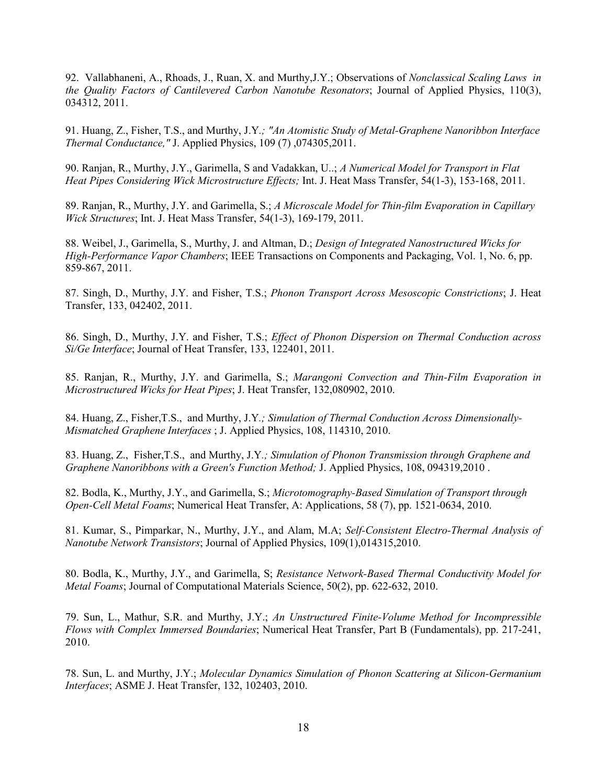92. Vallabhaneni, A., Rhoads, J., Ruan, X. and Murthy,J.Y.; Observations of *Nonclassical Scaling Laws in the Quality Factors of Cantilevered Carbon Nanotube Resonators*; Journal of Applied Physics, 110(3), 034312, 2011.

91. Huang, Z., Fisher, T.S., and Murthy, J.Y*.; "An Atomistic Study of Metal-Graphene Nanoribbon Interface Thermal Conductance,"* J. Applied Physics, 109 (7) ,074305,2011.

90. Ranjan, R., Murthy, J.Y., Garimella, S and Vadakkan, U..; *A Numerical Model for Transport in Flat Heat Pipes Considering Wick Microstructure Effects;* Int. J. Heat Mass Transfer, 54(1-3), 153-168, 2011.

89. Ranjan, R., Murthy, J.Y. and Garimella, S.; *A Microscale Model for Thin-film Evaporation in Capillary Wick Structures*; Int. J. Heat Mass Transfer, 54(1-3), 169-179, 2011.

88. Weibel, J., Garimella, S., Murthy, J. and Altman, D.; *Design of Integrated Nanostructured Wicks for High-Performance Vapor Chambers*; IEEE Transactions on Components and Packaging, Vol. 1, No. 6, pp. 859-867, 2011.

87. Singh, D., Murthy, J.Y. and Fisher, T.S.; *Phonon Transport Across Mesoscopic Constrictions*; J. Heat Transfer, 133, 042402, 2011.

86. Singh, D., Murthy, J.Y. and Fisher, T.S.; *Effect of Phonon Dispersion on Thermal Conduction across Si/Ge Interface*; Journal of Heat Transfer, 133, 122401, 2011.

85. Ranjan, R., Murthy, J.Y. and Garimella, S.; *Marangoni Convection and Thin-Film Evaporation in Microstructured Wicks for Heat Pipes*; J. Heat Transfer, 132,080902, 2010.

84. Huang, Z., Fisher,T.S., and Murthy, J.Y*.; Simulation of Thermal Conduction Across Dimensionally-Mismatched Graphene Interfaces* ; J. Applied Physics, 108, 114310, 2010.

83. Huang, Z., Fisher,T.S., and Murthy, J.Y*.; Simulation of Phonon Transmission through Graphene and Graphene Nanoribbons with a Green's Function Method;* J. Applied Physics, 108, 094319,2010 .

82. Bodla, K., Murthy, J.Y., and Garimella, S.; *Microtomography-Based Simulation of Transport through Open-Cell Metal Foams*; Numerical Heat Transfer, A: Applications, 58 (7), pp. 1521-0634, 2010.

81. Kumar, S., Pimparkar, N., Murthy, J.Y., and Alam, M.A; *Self-Consistent Electro-Thermal Analysis of Nanotube Network Transistors*; Journal of Applied Physics, 109(1),014315,2010.

80. Bodla, K., Murthy, J.Y., and Garimella, S; *Resistance Network-Based Thermal Conductivity Model for Metal Foams*; Journal of Computational Materials Science, 50(2), pp. 622-632, 2010.

79. Sun, L., Mathur, S.R. and Murthy, J.Y.; *An Unstructured Finite-Volume Method for Incompressible Flows with Complex Immersed Boundaries*; Numerical Heat Transfer, Part B (Fundamentals), pp. 217-241, 2010.

78. Sun, L. and Murthy, J.Y.; *Molecular Dynamics Simulation of Phonon Scattering at Silicon-Germanium Interfaces*; ASME J. Heat Transfer, 132, 102403, 2010.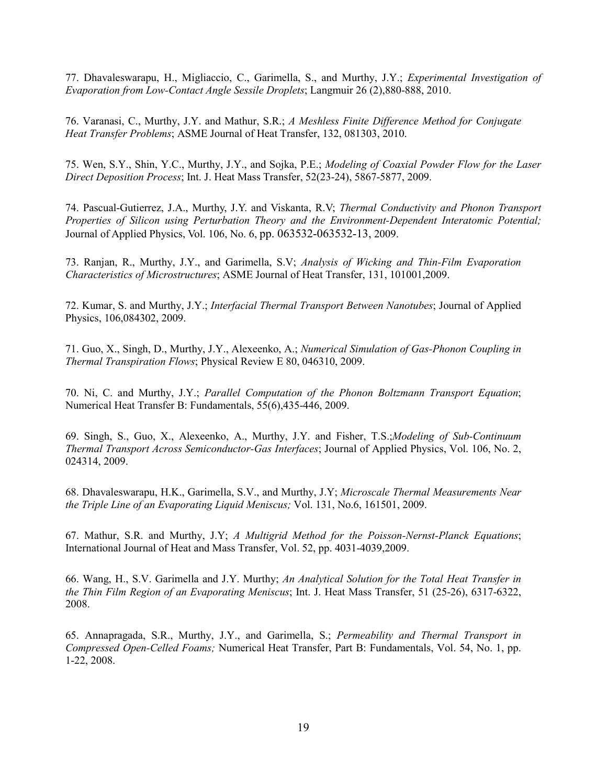77. Dhavaleswarapu, H., Migliaccio, C., Garimella, S., and Murthy, J.Y.; *Experimental Investigation of Evaporation from Low-Contact Angle Sessile Droplets*; Langmuir 26 (2),880-888, 2010.

76. Varanasi, C., Murthy, J.Y. and Mathur, S.R.; *A Meshless Finite Difference Method for Conjugate Heat Transfer Problems*; ASME Journal of Heat Transfer, 132, 081303, 2010.

75. Wen, S.Y., Shin, Y.C., Murthy, J.Y., and Sojka, P.E.; *Modeling of Coaxial Powder Flow for the Laser Direct Deposition Process*; Int. J. Heat Mass Transfer, 52(23-24), 5867-5877, 2009.

74. Pascual-Gutierrez, J.A., Murthy, J.Y. and Viskanta, R.V; *Thermal Conductivity and Phonon Transport Properties of Silicon using Perturbation Theory and the Environment-Dependent Interatomic Potential;* Journal of Applied Physics, Vol. 106, No. 6, pp. 063532-063532-13, 2009.

73. Ranjan, R., Murthy, J.Y., and Garimella, S.V; *Analysis of Wicking and Thin-Film Evaporation Characteristics of Microstructures*; ASME Journal of Heat Transfer, 131, 101001,2009.

72. Kumar, S. and Murthy, J.Y.; *Interfacial Thermal Transport Between Nanotubes*; Journal of Applied Physics, 106,084302, 2009.

71. Guo, X., Singh, D., Murthy, J.Y., Alexeenko, A.; *Numerical Simulation of Gas-Phonon Coupling in Thermal Transpiration Flows*; Physical Review E 80, 046310, 2009.

70. Ni, C. and Murthy, J.Y.; *Parallel Computation of the Phonon Boltzmann Transport Equation*; Numerical Heat Transfer B: Fundamentals, 55(6),435-446, 2009.

69. Singh, S., Guo, X., Alexeenko, A., Murthy, J.Y. and Fisher, T.S.;*Modeling of Sub-Continuum Thermal Transport Across Semiconductor-Gas Interfaces*; Journal of Applied Physics, Vol. 106, No. 2, 024314, 2009.

68. Dhavaleswarapu, H.K., Garimella, S.V., and Murthy, J.Y; *Microscale Thermal Measurements Near the Triple Line of an Evaporating Liquid Meniscus;* Vol. 131, No.6, 161501, 2009.

67. Mathur, S.R. and Murthy, J.Y; *A Multigrid Method for the Poisson-Nernst-Planck Equations*; International Journal of Heat and Mass Transfer, Vol. 52, pp. 4031-4039,2009.

66. Wang, H., S.V. Garimella and J.Y. Murthy; *An Analytical Solution for the Total Heat Transfer in the Thin Film Region of an Evaporating Meniscus*; Int. J. Heat Mass Transfer, 51 (25-26), 6317-6322, 2008.

65. Annapragada, S.R., Murthy, J.Y., and Garimella, S.; *Permeability and Thermal Transport in Compressed Open-Celled Foams;* Numerical Heat Transfer, Part B: Fundamentals, Vol. 54, No. 1, pp. 1-22, 2008.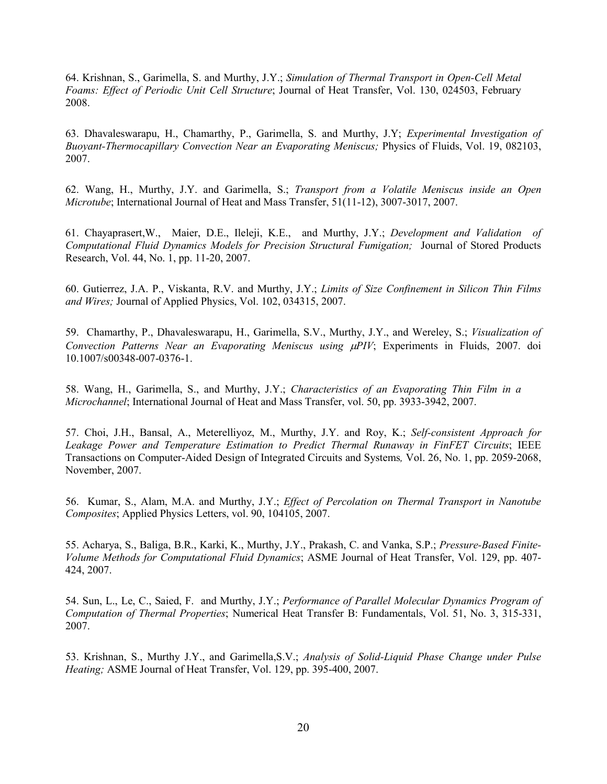64. Krishnan, S., Garimella, S. and Murthy, J.Y.; *Simulation of Thermal Transport in Open-Cell Metal Foams: Effect of Periodic Unit Cell Structure*; Journal of Heat Transfer, Vol. 130, 024503, February 2008.

63. Dhavaleswarapu, H., Chamarthy, P., Garimella, S. and Murthy, J.Y; *Experimental Investigation of Buoyant-Thermocapillary Convection Near an Evaporating Meniscus;* Physics of Fluids, Vol. 19, 082103, 2007.

62. Wang, H., Murthy, J.Y. and Garimella, S.; *Transport from a Volatile Meniscus inside an Open Microtube*; International Journal of Heat and Mass Transfer, 51(11-12), 3007-3017, 2007.

61. Chayaprasert,W., Maier, D.E., Ileleji, K.E., and Murthy, J.Y.; *Development and Validation of Computational Fluid Dynamics Models for Precision Structural Fumigation;* Journal of Stored Products Research, Vol. 44, No. 1, pp. 11-20, 2007.

60. Gutierrez, J.A. P., Viskanta, R.V. and Murthy, J.Y.; *Limits of Size Confinement in Silicon Thin Films and Wires;* Journal of Applied Physics, Vol. 102, 034315, 2007.

59. Chamarthy, P., Dhavaleswarapu, H., Garimella, S.V., Murthy, J.Y., and Wereley, S.; *Visualization of Convection Patterns Near an Evaporating Meniscus using*  $\mu$ *PIV; Experiments in Fluids, 2007. doi* 10.1007/s00348-007-0376-1.

58. Wang, H., Garimella, S., and Murthy, J.Y.; *Characteristics of an Evaporating Thin Film in a Microchannel*; International Journal of Heat and Mass Transfer, vol. 50, pp. 3933-3942, 2007.

57. Choi, J.H., Bansal, A., Meterelliyoz, M., Murthy, J.Y. and Roy, K.; *Self-consistent Approach for Leakage Power and Temperature Estimation to Predict Thermal Runaway in FinFET Circuits*; IEEE Transactions on Computer-Aided Design of Integrated Circuits and Systems*,* Vol. 26, No. 1, pp. 2059-2068, November, 2007.

56. Kumar, S., Alam, M.A. and Murthy, J.Y.; *Effect of Percolation on Thermal Transport in Nanotube Composites*; Applied Physics Letters, vol. 90, 104105, 2007.

55. Acharya, S., Baliga, B.R., Karki, K., Murthy, J.Y., Prakash, C. and Vanka, S.P.; *Pressure-Based Finite-Volume Methods for Computational Fluid Dynamics*; ASME Journal of Heat Transfer, Vol. 129, pp. 407- 424, 2007.

54. Sun, L., Le, C., Saied, F. and Murthy, J.Y.; *Performance of Parallel Molecular Dynamics Program of Computation of Thermal Properties*; Numerical Heat Transfer B: Fundamentals, Vol. 51, No. 3, 315-331, 2007.

53. Krishnan, S., Murthy J.Y., and Garimella,S.V.; *Analysis of Solid-Liquid Phase Change under Pulse Heating;* ASME Journal of Heat Transfer, Vol. 129, pp. 395-400, 2007.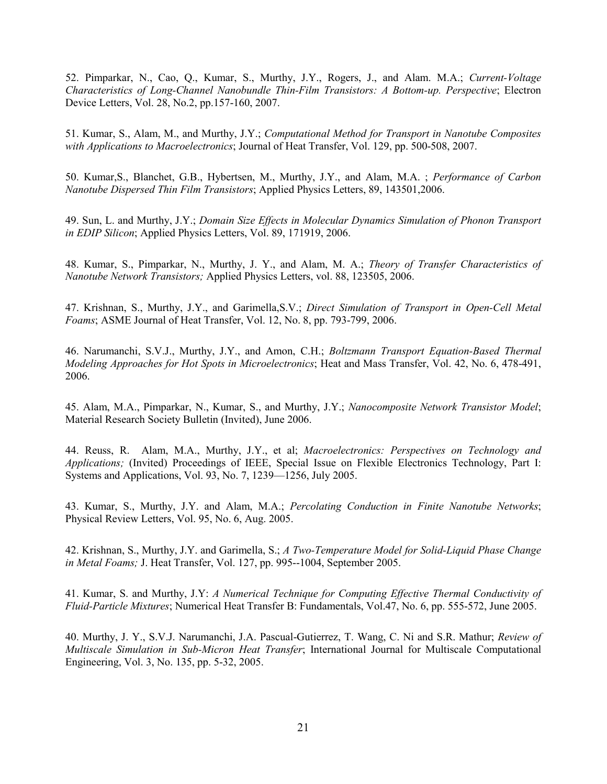52. Pimparkar, N., Cao, Q., Kumar, S., Murthy, J.Y., Rogers, J., and Alam. M.A.; *Current-Voltage Characteristics of Long-Channel Nanobundle Thin-Film Transistors: A Bottom-up. Perspective*; Electron Device Letters, Vol. 28, No.2, pp.157-160, 2007.

51. Kumar, S., Alam, M., and Murthy, J.Y.; *Computational Method for Transport in Nanotube Composites with Applications to Macroelectronics*; Journal of Heat Transfer, Vol. 129, pp. 500-508, 2007.

50. Kumar,S., Blanchet, G.B., Hybertsen, M., Murthy, J.Y., and Alam, M.A. ; *Performance of Carbon Nanotube Dispersed Thin Film Transistors*; Applied Physics Letters, 89, 143501,2006.

49. Sun, L. and Murthy, J.Y.; *Domain Size Effects in Molecular Dynamics Simulation of Phonon Transport in EDIP Silicon*; Applied Physics Letters, Vol. 89, 171919, 2006.

48. Kumar, S., Pimparkar, N., Murthy, J. Y., and Alam, M. A.; *Theory of Transfer Characteristics of Nanotube Network Transistors;* Applied Physics Letters, vol. 88, 123505, 2006.

47. Krishnan, S., Murthy, J.Y., and Garimella,S.V.; *Direct Simulation of Transport in Open-Cell Metal Foams*; ASME Journal of Heat Transfer, Vol. 12, No. 8, pp. 793-799, 2006.

46. Narumanchi, S.V.J., Murthy, J.Y., and Amon, C.H.; *Boltzmann Transport Equation-Based Thermal Modeling Approaches for Hot Spots in Microelectronics*; Heat and Mass Transfer, Vol. 42, No. 6, 478-491, 2006.

45. Alam, M.A., Pimparkar, N., Kumar, S., and Murthy, J.Y.; *Nanocomposite Network Transistor Model*; Material Research Society Bulletin (Invited), June 2006.

44. Reuss, R. Alam, M.A., Murthy, J.Y., et al; *Macroelectronics: Perspectives on Technology and Applications;* (Invited) Proceedings of IEEE, Special Issue on Flexible Electronics Technology, Part I: Systems and Applications, Vol. 93, No. 7, 1239—1256, July 2005.

43. Kumar, S., Murthy, J.Y. and Alam, M.A.; *Percolating Conduction in Finite Nanotube Networks*; Physical Review Letters, Vol. 95, No. 6, Aug. 2005.

42. Krishnan, S., Murthy, J.Y. and Garimella, S.; *A Two-Temperature Model for Solid-Liquid Phase Change in Metal Foams;* J. Heat Transfer, Vol. 127, pp. 995--1004, September 2005.

41. Kumar, S. and Murthy, J.Y: *A Numerical Technique for Computing Effective Thermal Conductivity of Fluid-Particle Mixtures*; Numerical Heat Transfer B: Fundamentals, Vol.47, No. 6, pp. 555-572, June 2005.

40. Murthy, J. Y., S.V.J. Narumanchi, J.A. Pascual-Gutierrez, T. Wang, C. Ni and S.R. Mathur; *Review of Multiscale Simulation in Sub-Micron Heat Transfer*; International Journal for Multiscale Computational Engineering, Vol. 3, No. 135, pp. 5-32, 2005.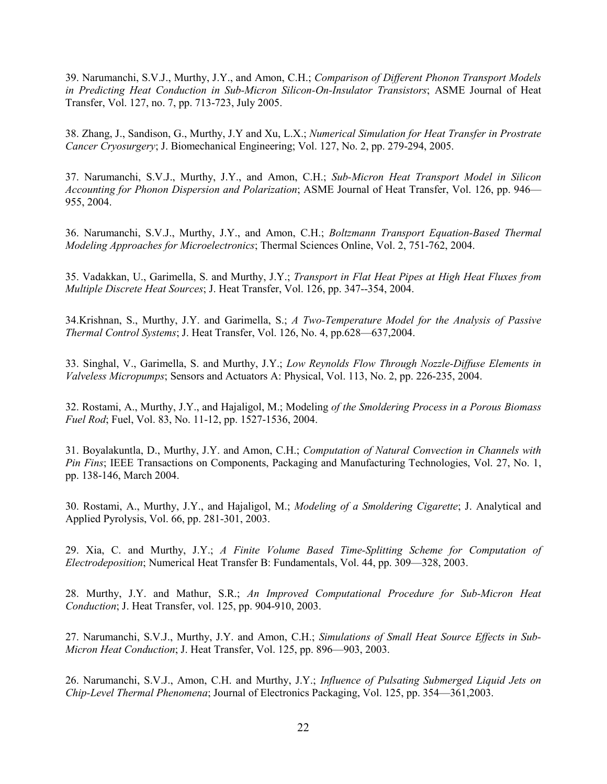39. Narumanchi, S.V.J., Murthy, J.Y., and Amon, C.H.; *Comparison of Different Phonon Transport Models in Predicting Heat Conduction in Sub-Micron Silicon-On-Insulator Transistors*; ASME Journal of Heat Transfer, Vol. 127, no. 7, pp. 713-723, July 2005.

38. Zhang, J., Sandison, G., Murthy, J.Y and Xu, L.X.; *Numerical Simulation for Heat Transfer in Prostrate Cancer Cryosurgery*; J. Biomechanical Engineering; Vol. 127, No. 2, pp. 279-294, 2005.

37. Narumanchi, S.V.J., Murthy, J.Y., and Amon, C.H.; *Sub-Micron Heat Transport Model in Silicon Accounting for Phonon Dispersion and Polarization*; ASME Journal of Heat Transfer, Vol. 126, pp. 946— 955, 2004.

36. Narumanchi, S.V.J., Murthy, J.Y., and Amon, C.H.; *Boltzmann Transport Equation-Based Thermal Modeling Approaches for Microelectronics*; Thermal Sciences Online, Vol. 2, 751-762, 2004.

35. Vadakkan, U., Garimella, S. and Murthy, J.Y.; *Transport in Flat Heat Pipes at High Heat Fluxes from Multiple Discrete Heat Sources*; J. Heat Transfer, Vol. 126, pp. 347--354, 2004.

34.Krishnan, S., Murthy, J.Y. and Garimella, S.; *A Two-Temperature Model for the Analysis of Passive Thermal Control Systems*; J. Heat Transfer, Vol. 126, No. 4, pp.628—637,2004.

33. Singhal, V., Garimella, S. and Murthy, J.Y.; *Low Reynolds Flow Through Nozzle-Diffuse Elements in Valveless Micropumps*; Sensors and Actuators A: Physical, Vol. 113, No. 2, pp. 226-235, 2004.

32. Rostami, A., Murthy, J.Y., and Hajaligol, M.; Modeling *of the Smoldering Process in a Porous Biomass Fuel Rod*; Fuel, Vol. 83, No. 11-12, pp. 1527-1536, 2004.

31. Boyalakuntla, D., Murthy, J.Y. and Amon, C.H.; *Computation of Natural Convection in Channels with Pin Fins*; IEEE Transactions on Components, Packaging and Manufacturing Technologies, Vol. 27, No. 1, pp. 138-146, March 2004.

30. Rostami, A., Murthy, J.Y., and Hajaligol, M.; *Modeling of a Smoldering Cigarette*; J. Analytical and Applied Pyrolysis, Vol. 66, pp. 281-301, 2003.

29. Xia, C. and Murthy, J.Y.; *A Finite Volume Based Time-Splitting Scheme for Computation of Electrodeposition*; Numerical Heat Transfer B: Fundamentals, Vol. 44, pp. 309—328, 2003.

28. Murthy, J.Y. and Mathur, S.R.; *An Improved Computational Procedure for Sub-Micron Heat Conduction*; J. Heat Transfer, vol. 125, pp. 904-910, 2003.

27. Narumanchi, S.V.J., Murthy, J.Y. and Amon, C.H.; *Simulations of Small Heat Source Effects in Sub-Micron Heat Conduction*; J. Heat Transfer, Vol. 125, pp. 896—903, 2003.

26. Narumanchi, S.V.J., Amon, C.H. and Murthy, J.Y.; *Influence of Pulsating Submerged Liquid Jets on Chip-Level Thermal Phenomena*; Journal of Electronics Packaging, Vol. 125, pp. 354—361,2003.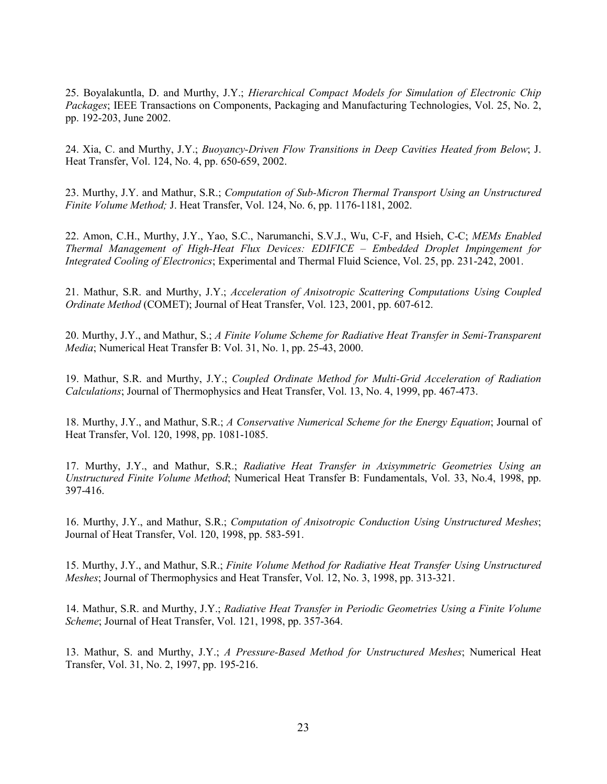25. Boyalakuntla, D. and Murthy, J.Y.; *Hierarchical Compact Models for Simulation of Electronic Chip Packages*; IEEE Transactions on Components, Packaging and Manufacturing Technologies, Vol. 25, No. 2, pp. 192-203, June 2002.

24. Xia, C. and Murthy, J.Y.; *Buoyancy-Driven Flow Transitions in Deep Cavities Heated from Below*; J. Heat Transfer, Vol. 124, No. 4, pp. 650-659, 2002.

23. Murthy, J.Y. and Mathur, S.R.; *Computation of Sub-Micron Thermal Transport Using an Unstructured Finite Volume Method;* J. Heat Transfer, Vol. 124, No. 6, pp. 1176-1181, 2002.

22. Amon, C.H., Murthy, J.Y., Yao, S.C., Narumanchi, S.V.J., Wu, C-F, and Hsieh, C-C; *MEMs Enabled Thermal Management of High-Heat Flux Devices: EDIFICE – Embedded Droplet Impingement for Integrated Cooling of Electronics*; Experimental and Thermal Fluid Science, Vol. 25, pp. 231-242, 2001.

21. Mathur, S.R. and Murthy, J.Y.; *Acceleration of Anisotropic Scattering Computations Using Coupled Ordinate Method* (COMET); Journal of Heat Transfer, Vol. 123, 2001, pp. 607-612.

20. Murthy, J.Y., and Mathur, S.; *A Finite Volume Scheme for Radiative Heat Transfer in Semi-Transparent Media*; Numerical Heat Transfer B: Vol. 31, No. 1, pp. 25-43, 2000.

19. Mathur, S.R. and Murthy, J.Y.; *Coupled Ordinate Method for Multi-Grid Acceleration of Radiation Calculations*; Journal of Thermophysics and Heat Transfer, Vol. 13, No. 4, 1999, pp. 467-473.

18. Murthy, J.Y., and Mathur, S.R.; *A Conservative Numerical Scheme for the Energy Equation*; Journal of Heat Transfer, Vol. 120, 1998, pp. 1081-1085.

17. Murthy, J.Y., and Mathur, S.R.; *Radiative Heat Transfer in Axisymmetric Geometries Using an Unstructured Finite Volume Method*; Numerical Heat Transfer B: Fundamentals, Vol. 33, No.4, 1998, pp. 397-416.

16. Murthy, J.Y., and Mathur, S.R.; *Computation of Anisotropic Conduction Using Unstructured Meshes*; Journal of Heat Transfer, Vol. 120, 1998, pp. 583-591.

15. Murthy, J.Y., and Mathur, S.R.; *Finite Volume Method for Radiative Heat Transfer Using Unstructured Meshes*; Journal of Thermophysics and Heat Transfer, Vol. 12, No. 3, 1998, pp. 313-321.

14. Mathur, S.R. and Murthy, J.Y.; *Radiative Heat Transfer in Periodic Geometries Using a Finite Volume Scheme*; Journal of Heat Transfer, Vol. 121, 1998, pp. 357-364.

13. Mathur, S. and Murthy, J.Y.; *A Pressure-Based Method for Unstructured Meshes*; Numerical Heat Transfer, Vol. 31, No. 2, 1997, pp. 195-216.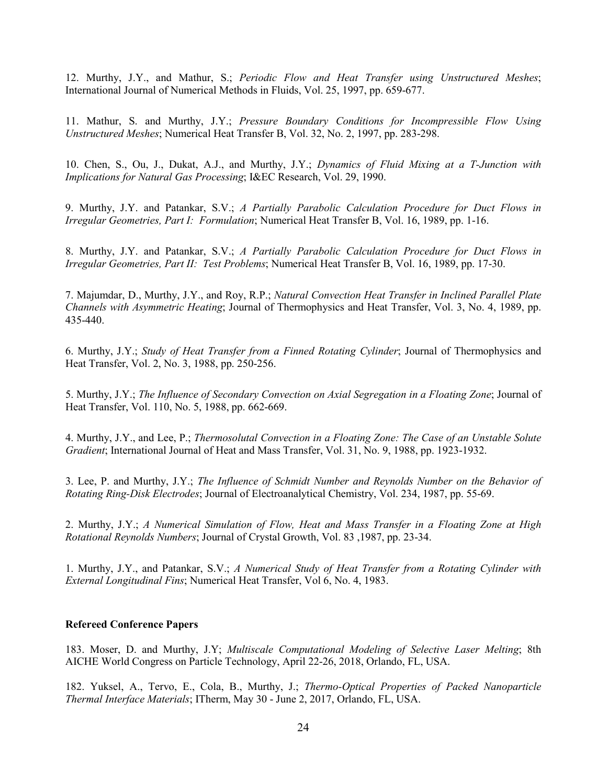12. Murthy, J.Y., and Mathur, S.; *Periodic Flow and Heat Transfer using Unstructured Meshes*; International Journal of Numerical Methods in Fluids, Vol. 25, 1997, pp. 659-677.

11. Mathur, S. and Murthy, J.Y.; *Pressure Boundary Conditions for Incompressible Flow Using Unstructured Meshes*; Numerical Heat Transfer B, Vol. 32, No. 2, 1997, pp. 283-298.

10. Chen, S., Ou, J., Dukat, A.J., and Murthy, J.Y.; *Dynamics of Fluid Mixing at a T-Junction with Implications for Natural Gas Processing*; I&EC Research, Vol. 29, 1990.

9. Murthy, J.Y. and Patankar, S.V.; *A Partially Parabolic Calculation Procedure for Duct Flows in Irregular Geometries, Part I: Formulation*; Numerical Heat Transfer B, Vol. 16, 1989, pp. 1-16.

8. Murthy, J.Y. and Patankar, S.V.; *A Partially Parabolic Calculation Procedure for Duct Flows in Irregular Geometries, Part II: Test Problems*; Numerical Heat Transfer B, Vol. 16, 1989, pp. 17-30.

7. Majumdar, D., Murthy, J.Y., and Roy, R.P.; *Natural Convection Heat Transfer in Inclined Parallel Plate Channels with Asymmetric Heating*; Journal of Thermophysics and Heat Transfer, Vol. 3, No. 4, 1989, pp. 435-440.

6. Murthy, J.Y.; *Study of Heat Transfer from a Finned Rotating Cylinder*; Journal of Thermophysics and Heat Transfer, Vol. 2, No. 3, 1988, pp. 250-256.

5. Murthy, J.Y.; *The Influence of Secondary Convection on Axial Segregation in a Floating Zone*; Journal of Heat Transfer, Vol. 110, No. 5, 1988, pp. 662-669.

4. Murthy, J.Y., and Lee, P.; *Thermosolutal Convection in a Floating Zone: The Case of an Unstable Solute Gradient*; International Journal of Heat and Mass Transfer, Vol. 31, No. 9, 1988, pp. 1923-1932.

3. Lee, P. and Murthy, J.Y.; *The Influence of Schmidt Number and Reynolds Number on the Behavior of Rotating Ring-Disk Electrodes*; Journal of Electroanalytical Chemistry, Vol. 234, 1987, pp. 55-69.

2. Murthy, J.Y.; *A Numerical Simulation of Flow, Heat and Mass Transfer in a Floating Zone at High Rotational Reynolds Numbers*; Journal of Crystal Growth, Vol. 83 ,1987, pp. 23-34.

1. Murthy, J.Y., and Patankar, S.V.; *A Numerical Study of Heat Transfer from a Rotating Cylinder with External Longitudinal Fins*; Numerical Heat Transfer, Vol 6, No. 4, 1983.

#### **Refereed Conference Papers**

183. Moser, D. and Murthy, J.Y; *Multiscale Computational Modeling of Selective Laser Melting*; 8th AICHE World Congress on Particle Technology, April 22-26, 2018, Orlando, FL, USA.

182. Yuksel, A., Tervo, E., Cola, B., Murthy, J.; *Thermo-Optical Properties of Packed Nanoparticle Thermal Interface Materials*; ITherm, May 30 - June 2, 2017, Orlando, FL, USA.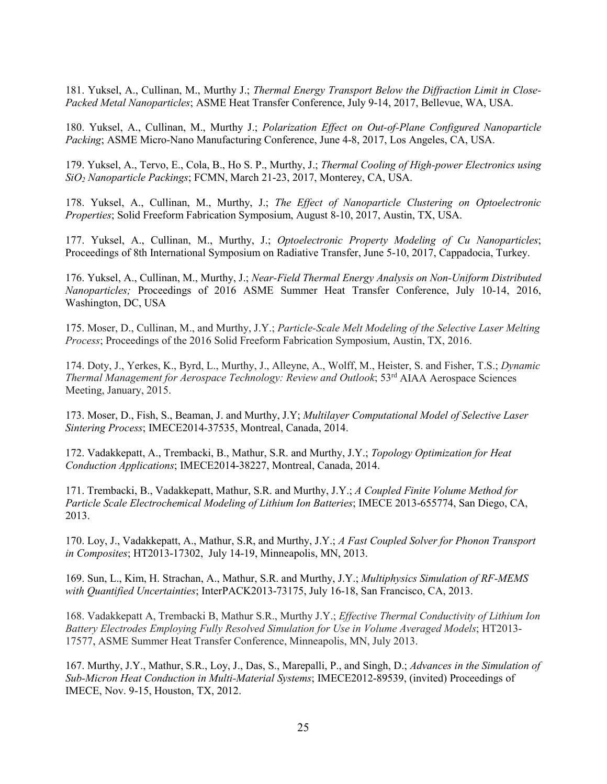181. Yuksel, A., Cullinan, M., Murthy J.; *Thermal Energy Transport Below the Diffraction Limit in Close-Packed Metal Nanoparticles*; ASME Heat Transfer Conference, July 9-14, 2017, Bellevue, WA, USA.

180. Yuksel, A., Cullinan, M., Murthy J.; *Polarization Effect on Out-of-Plane Configured Nanoparticle Packing*; ASME Micro-Nano Manufacturing Conference, June 4-8, 2017, Los Angeles, CA, USA.

179. Yuksel, A., Tervo, E., Cola, B., Ho S. P., Murthy, J.; *Thermal Cooling of High-power Electronics using SiO2 Nanoparticle Packings*; FCMN, March 21-23, 2017, Monterey, CA, USA.

178. Yuksel, A., Cullinan, M., Murthy, J.; *The Effect of Nanoparticle Clustering on Optoelectronic Properties*; Solid Freeform Fabrication Symposium, August 8-10, 2017, Austin, TX, USA.

177. Yuksel, A., Cullinan, M., Murthy, J.; *Optoelectronic Property Modeling of Cu Nanoparticles*; Proceedings of 8th International Symposium on Radiative Transfer, June 5-10, 2017, Cappadocia, Turkey.

176. Yuksel, A., Cullinan, M., Murthy, J.; *Near-Field Thermal Energy Analysis on Non-Uniform Distributed Nanoparticles;* Proceedings of 2016 ASME Summer Heat Transfer Conference, July 10-14, 2016, Washington, DC, USA

175. Moser, D., Cullinan, M., and Murthy, J.Y.; *Particle-Scale Melt Modeling of the Selective Laser Melting Process*; Proceedings of the 2016 Solid Freeform Fabrication Symposium, Austin, TX, 2016.

174. Doty, J., Yerkes, K., Byrd, L., Murthy, J., Alleyne, A., Wolff, M., Heister, S. and Fisher, T.S.; *Dynamic Thermal Management for Aerospace Technology: Review and Outlook*; 53rd AIAA Aerospace Sciences Meeting, January, 2015.

173. Moser, D., Fish, S., Beaman, J. and Murthy, J.Y; *Multilayer Computational Model of Selective Laser Sintering Process*; IMECE2014-37535, Montreal, Canada, 2014.

172. Vadakkepatt, A., Trembacki, B., Mathur, S.R. and Murthy, J.Y.; *Topology Optimization for Heat Conduction Applications*; IMECE2014-38227, Montreal, Canada, 2014.

171. Trembacki, B., Vadakkepatt, Mathur, S.R. and Murthy, J.Y.; *A Coupled Finite Volume Method for Particle Scale Electrochemical Modeling of Lithium Ion Batteries*; IMECE 2013-655774, San Diego, CA, 2013.

170. Loy, J., Vadakkepatt, A., Mathur, S.R, and Murthy, J.Y.; *A Fast Coupled Solver for Phonon Transport in Composites*; HT2013-17302, July 14-19, Minneapolis, MN, 2013.

169. Sun, L., Kim, H. Strachan, A., Mathur, S.R. and Murthy, J.Y.; *Multiphysics Simulation of RF-MEMS with Quantified Uncertainties*; InterPACK2013-73175, July 16-18, San Francisco, CA, 2013.

168. Vadakkepatt A, Trembacki B, Mathur S.R., Murthy J.Y.; *Effective Thermal Conductivity of Lithium Ion Battery Electrodes Employing Fully Resolved Simulation for Use in Volume Averaged Models*; HT2013- 17577, ASME Summer Heat Transfer Conference, Minneapolis, MN, July 2013.

167. Murthy, J.Y., Mathur, S.R., Loy, J., Das, S., Marepalli, P., and Singh, D.; *Advances in the Simulation of Sub-Micron Heat Conduction in Multi-Material Systems*; IMECE2012-89539, (invited) Proceedings of IMECE, Nov. 9-15, Houston, TX, 2012.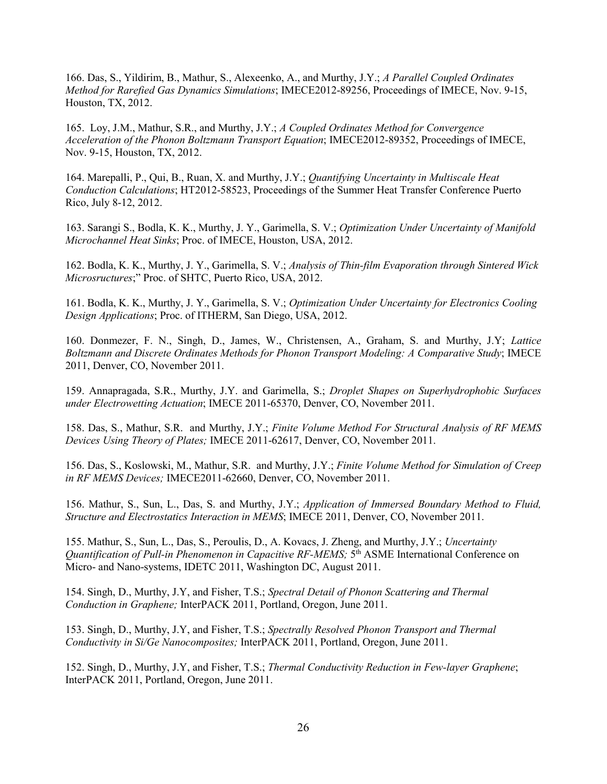166. Das, S., Yildirim, B., Mathur, S., Alexeenko, A., and Murthy, J.Y.; *A Parallel Coupled Ordinates Method for Rarefied Gas Dynamics Simulations*; IMECE2012-89256, Proceedings of IMECE, Nov. 9-15, Houston, TX, 2012.

165. Loy, J.M., Mathur, S.R., and Murthy, J.Y.; *A Coupled Ordinates Method for Convergence Acceleration of the Phonon Boltzmann Transport Equation*; IMECE2012-89352, Proceedings of IMECE, Nov. 9-15, Houston, TX, 2012.

164. Marepalli, P., Qui, B., Ruan, X. and Murthy, J.Y.; *Quantifying Uncertainty in Multiscale Heat Conduction Calculations*; HT2012-58523, Proceedings of the Summer Heat Transfer Conference Puerto Rico, July 8-12, 2012.

163. Sarangi S., Bodla, K. K., Murthy, J. Y., Garimella, S. V.; *Optimization Under Uncertainty of Manifold Microchannel Heat Sinks*; Proc. of IMECE, Houston, USA, 2012.

162. Bodla, K. K., Murthy, J. Y., Garimella, S. V.; *Analysis of Thin-film Evaporation through Sintered Wick Microsructures*;" Proc. of SHTC, Puerto Rico, USA, 2012.

161. Bodla, K. K., Murthy, J. Y., Garimella, S. V.; *Optimization Under Uncertainty for Electronics Cooling Design Applications*; Proc. of ITHERM, San Diego, USA, 2012.

160. Donmezer, F. N., Singh, D., James, W., Christensen, A., Graham, S. and Murthy, J.Y; *Lattice Boltzmann and Discrete Ordinates Methods for Phonon Transport Modeling: A Comparative Study*; IMECE 2011, Denver, CO, November 2011.

159. Annapragada, S.R., Murthy, J.Y. and Garimella, S.; *Droplet Shapes on Superhydrophobic Surfaces under Electrowetting Actuation*; IMECE 2011-65370, Denver, CO, November 2011.

158. Das, S., Mathur, S.R. and Murthy, J.Y.; *Finite Volume Method For Structural Analysis of RF MEMS Devices Using Theory of Plates;* IMECE 2011-62617, Denver, CO, November 2011.

156. Das, S., Koslowski, M., Mathur, S.R. and Murthy, J.Y.; *Finite Volume Method for Simulation of Creep in RF MEMS Devices;* IMECE2011-62660, Denver, CO, November 2011.

156. Mathur, S., Sun, L., Das, S. and Murthy, J.Y.; *Application of Immersed Boundary Method to Fluid, Structure and Electrostatics Interaction in MEMS*; IMECE 2011, Denver, CO, November 2011.

155. Mathur, S., Sun, L., Das, S., Peroulis, D., A. Kovacs, J. Zheng, and Murthy, J.Y.; *Uncertainty Quantification of Pull-in Phenomenon in Capacitive RF-MEMS;* 5th ASME International Conference on Micro- and Nano-systems, IDETC 2011, Washington DC, August 2011.

154. Singh, D., Murthy, J.Y, and Fisher, T.S.; *Spectral Detail of Phonon Scattering and Thermal Conduction in Graphene;* InterPACK 2011, Portland, Oregon, June 2011.

153. Singh, D., Murthy, J.Y, and Fisher, T.S.; *Spectrally Resolved Phonon Transport and Thermal Conductivity in Si/Ge Nanocomposites;* InterPACK 2011, Portland, Oregon, June 2011.

152. Singh, D., Murthy, J.Y, and Fisher, T.S.; *Thermal Conductivity Reduction in Few-layer Graphene*; InterPACK 2011, Portland, Oregon, June 2011.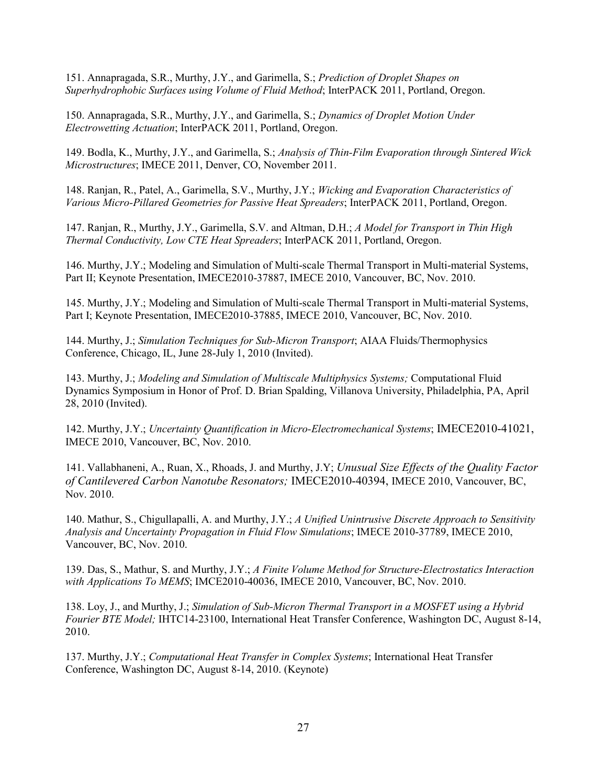151. Annapragada, S.R., Murthy, J.Y., and Garimella, S.; *Prediction of Droplet Shapes on Superhydrophobic Surfaces using Volume of Fluid Method*; InterPACK 2011, Portland, Oregon.

150. Annapragada, S.R., Murthy, J.Y., and Garimella, S.; *Dynamics of Droplet Motion Under Electrowetting Actuation*; InterPACK 2011, Portland, Oregon.

149. Bodla, K., Murthy, J.Y., and Garimella, S.; *Analysis of Thin-Film Evaporation through Sintered Wick Microstructures*; IMECE 2011, Denver, CO, November 2011.

148. Ranjan, R., Patel, A., Garimella, S.V., Murthy, J.Y.; *Wicking and Evaporation Characteristics of Various Micro-Pillared Geometries for Passive Heat Spreaders*; InterPACK 2011, Portland, Oregon.

147. Ranjan, R., Murthy, J.Y., Garimella, S.V. and Altman, D.H.; *A Model for Transport in Thin High Thermal Conductivity, Low CTE Heat Spreaders*; InterPACK 2011, Portland, Oregon.

146. Murthy, J.Y.; Modeling and Simulation of Multi-scale Thermal Transport in Multi-material Systems, Part II; Keynote Presentation, IMECE2010-37887, IMECE 2010, Vancouver, BC, Nov. 2010.

145. Murthy, J.Y.; Modeling and Simulation of Multi-scale Thermal Transport in Multi-material Systems, Part I; Keynote Presentation, IMECE2010-37885, IMECE 2010, Vancouver, BC, Nov. 2010.

144. Murthy, J.; *Simulation Techniques for Sub-Micron Transport*; AIAA Fluids/Thermophysics Conference, Chicago, IL, June 28-July 1, 2010 (Invited).

143. Murthy, J.; *Modeling and Simulation of Multiscale Multiphysics Systems;* Computational Fluid Dynamics Symposium in Honor of Prof. D. Brian Spalding, Villanova University, Philadelphia, PA, April 28, 2010 (Invited).

142. Murthy, J.Y.; *Uncertainty Quantification in Micro-Electromechanical Systems*; IMECE2010-41021, IMECE 2010, Vancouver, BC, Nov. 2010.

141. Vallabhaneni, A., Ruan, X., Rhoads, J. and Murthy, J.Y; *Unusual Size Effects of the Quality Factor of Cantilevered Carbon Nanotube Resonators;* IMECE2010-40394, IMECE 2010, Vancouver, BC, Nov. 2010.

140. Mathur, S., Chigullapalli, A. and Murthy, J.Y.; *A Unified Unintrusive Discrete Approach to Sensitivity Analysis and Uncertainty Propagation in Fluid Flow Simulations*; IMECE 2010-37789, IMECE 2010, Vancouver, BC, Nov. 2010.

139. Das, S., Mathur, S. and Murthy, J.Y.; *A Finite Volume Method for Structure-Electrostatics Interaction with Applications To MEMS*; IMCE2010-40036, IMECE 2010, Vancouver, BC, Nov. 2010.

138. Loy, J., and Murthy, J.; *Simulation of Sub-Micron Thermal Transport in a MOSFET using a Hybrid Fourier BTE Model;* IHTC14-23100, International Heat Transfer Conference, Washington DC, August 8-14, 2010.

137. Murthy, J.Y.; *Computational Heat Transfer in Complex Systems*; International Heat Transfer Conference, Washington DC, August 8-14, 2010. (Keynote)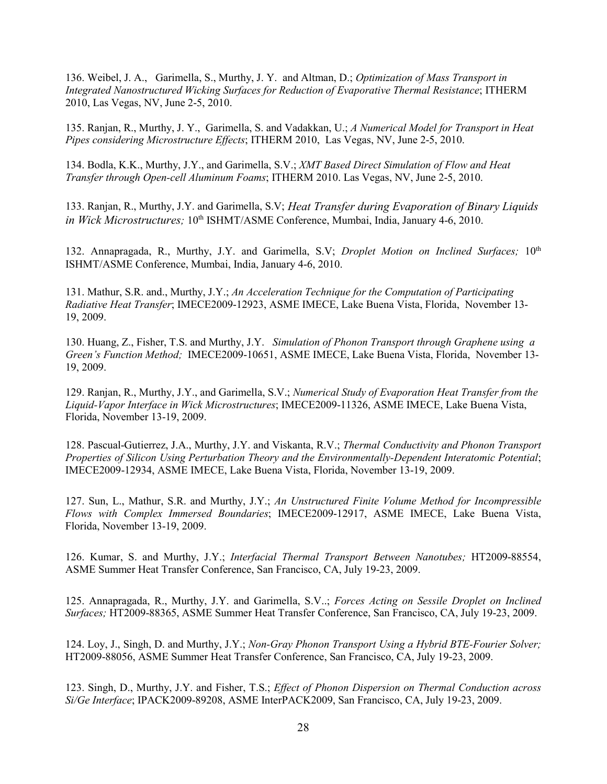136. Weibel, J. A., Garimella, S., Murthy, J. Y. and Altman, D.; *Optimization of Mass Transport in Integrated Nanostructured Wicking Surfaces for Reduction of Evaporative Thermal Resistance*; ITHERM 2010, Las Vegas, NV, June 2-5, 2010.

135. Ranjan, R., Murthy, J. Y., Garimella, S. and Vadakkan, U.; *A Numerical Model for Transport in Heat Pipes considering Microstructure Effects*; ITHERM 2010, Las Vegas, NV, June 2-5, 2010.

134. Bodla, K.K., Murthy, J.Y., and Garimella, S.V.; *XMT Based Direct Simulation of Flow and Heat Transfer through Open-cell Aluminum Foams*; ITHERM 2010. Las Vegas, NV, June 2-5, 2010.

133. Ranjan, R., Murthy, J.Y. and Garimella, S.V; *Heat Transfer during Evaporation of Binary Liquids in Wick Microstructures*: 10<sup>th</sup> ISHMT/ASME Conference, Mumbai, India, January 4-6, 2010.

132. Annapragada, R., Murthy, J.Y. and Garimella, S.V; *Droplet Motion on Inclined Surfaces*; 10<sup>th</sup> ISHMT/ASME Conference, Mumbai, India, January 4-6, 2010.

131. Mathur, S.R. and., Murthy, J.Y.; *An Acceleration Technique for the Computation of Participating Radiative Heat Transfer*; IMECE2009-12923, ASME IMECE, Lake Buena Vista, Florida, November 13- 19, 2009.

130. Huang, Z., Fisher, T.S. and Murthy, J.Y. *Simulation of Phonon Transport through Graphene using a Green's Function Method;* IMECE2009-10651, ASME IMECE, Lake Buena Vista, Florida, November 13- 19, 2009.

129. Ranjan, R., Murthy, J.Y., and Garimella, S.V.; *Numerical Study of Evaporation Heat Transfer from the Liquid-Vapor Interface in Wick Microstructures*; IMECE2009-11326, ASME IMECE, Lake Buena Vista, Florida, November 13-19, 2009.

128. Pascual-Gutierrez, J.A., Murthy, J.Y. and Viskanta, R.V.; *Thermal Conductivity and Phonon Transport Properties of Silicon Using Perturbation Theory and the Environmentally-Dependent Interatomic Potential*; IMECE2009-12934, ASME IMECE, Lake Buena Vista, Florida, November 13-19, 2009.

127. Sun, L., Mathur, S.R. and Murthy, J.Y.; *An Unstructured Finite Volume Method for Incompressible Flows with Complex Immersed Boundaries*; IMECE2009-12917, ASME IMECE, Lake Buena Vista, Florida, November 13-19, 2009.

126. Kumar, S. and Murthy, J.Y.; *Interfacial Thermal Transport Between Nanotubes;* HT2009-88554, ASME Summer Heat Transfer Conference, San Francisco, CA, July 19-23, 2009.

125. Annapragada, R., Murthy, J.Y. and Garimella, S.V..; *Forces Acting on Sessile Droplet on Inclined Surfaces;* HT2009-88365, ASME Summer Heat Transfer Conference, San Francisco, CA, July 19-23, 2009.

124. Loy, J., Singh, D. and Murthy, J.Y.; *Non-Gray Phonon Transport Using a Hybrid BTE-Fourier Solver;*  HT2009-88056, ASME Summer Heat Transfer Conference, San Francisco, CA, July 19-23, 2009.

123. Singh, D., Murthy, J.Y. and Fisher, T.S.; *Effect of Phonon Dispersion on Thermal Conduction across Si/Ge Interface*; IPACK2009-89208, ASME InterPACK2009, San Francisco, CA, July 19-23, 2009.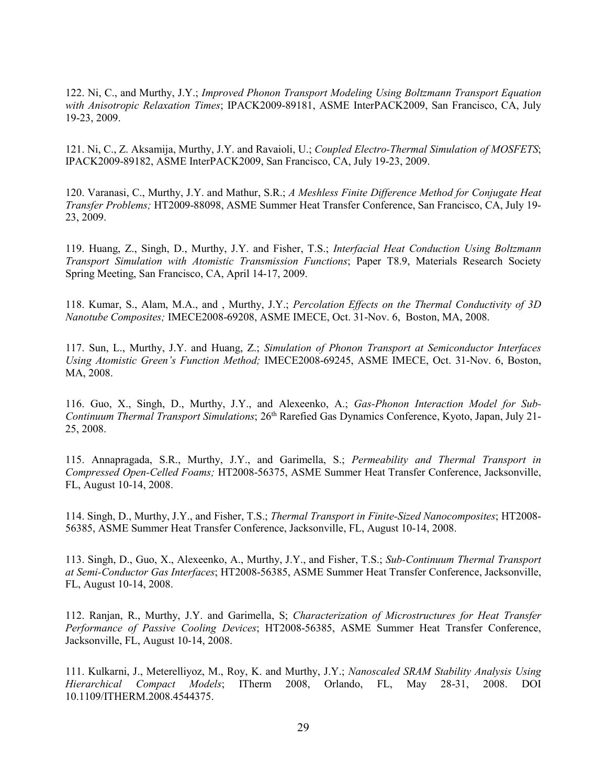122. Ni, C., and Murthy, J.Y.; *Improved Phonon Transport Modeling Using Boltzmann Transport Equation with Anisotropic Relaxation Times*; IPACK2009-89181, ASME InterPACK2009, San Francisco, CA, July 19-23, 2009.

121. Ni, C., Z. Aksamija, Murthy, J.Y. and Ravaioli, U.; *Coupled Electro-Thermal Simulation of MOSFETS*; IPACK2009-89182, ASME InterPACK2009, San Francisco, CA, July 19-23, 2009.

120. Varanasi, C., Murthy, J.Y. and Mathur, S.R.; *A Meshless Finite Difference Method for Conjugate Heat Transfer Problems;* HT2009-88098, ASME Summer Heat Transfer Conference, San Francisco, CA, July 19- 23, 2009.

119. Huang, Z., Singh, D., Murthy, J.Y. and Fisher, T.S.; *Interfacial Heat Conduction Using Boltzmann Transport Simulation with Atomistic Transmission Functions*; Paper T8.9, Materials Research Society Spring Meeting, San Francisco, CA, April 14-17, 2009.

118. Kumar, S., Alam, M.A., and , Murthy, J.Y.; *Percolation Effects on the Thermal Conductivity of 3D Nanotube Composites;* IMECE2008-69208, ASME IMECE, Oct. 31-Nov. 6, Boston, MA, 2008.

117. Sun, L., Murthy, J.Y. and Huang, Z.; *Simulation of Phonon Transport at Semiconductor Interfaces Using Atomistic Green's Function Method;* IMECE2008-69245, ASME IMECE, Oct. 31-Nov. 6, Boston, MA, 2008.

116. Guo, X., Singh, D., Murthy, J.Y., and Alexeenko, A.; *Gas-Phonon Interaction Model for Sub-Continuum Thermal Transport Simulations*; 26th Rarefied Gas Dynamics Conference, Kyoto, Japan, July 21- 25, 2008.

115. Annapragada, S.R., Murthy, J.Y., and Garimella, S.; *Permeability and Thermal Transport in Compressed Open-Celled Foams;* HT2008-56375, ASME Summer Heat Transfer Conference, Jacksonville, FL, August 10-14, 2008.

114. Singh, D., Murthy, J.Y., and Fisher, T.S.; *Thermal Transport in Finite-Sized Nanocomposites*; HT2008- 56385, ASME Summer Heat Transfer Conference, Jacksonville, FL, August 10-14, 2008.

113. Singh, D., Guo, X., Alexeenko, A., Murthy, J.Y., and Fisher, T.S.; *Sub-Continuum Thermal Transport at Semi-Conductor Gas Interfaces*; HT2008-56385, ASME Summer Heat Transfer Conference, Jacksonville, FL, August 10-14, 2008.

112. Ranjan, R., Murthy, J.Y. and Garimella, S; *Characterization of Microstructures for Heat Transfer Performance of Passive Cooling Devices*; HT2008-56385, ASME Summer Heat Transfer Conference, Jacksonville, FL, August 10-14, 2008.

111. Kulkarni, J., Meterelliyoz, M., Roy, K. and Murthy, J.Y.; *Nanoscaled SRAM Stability Analysis Using Hierarchical Compact Models*; ITherm 2008, Orlando, FL, May 28-31, 2008. DOI 10.1109/ITHERM.2008.4544375.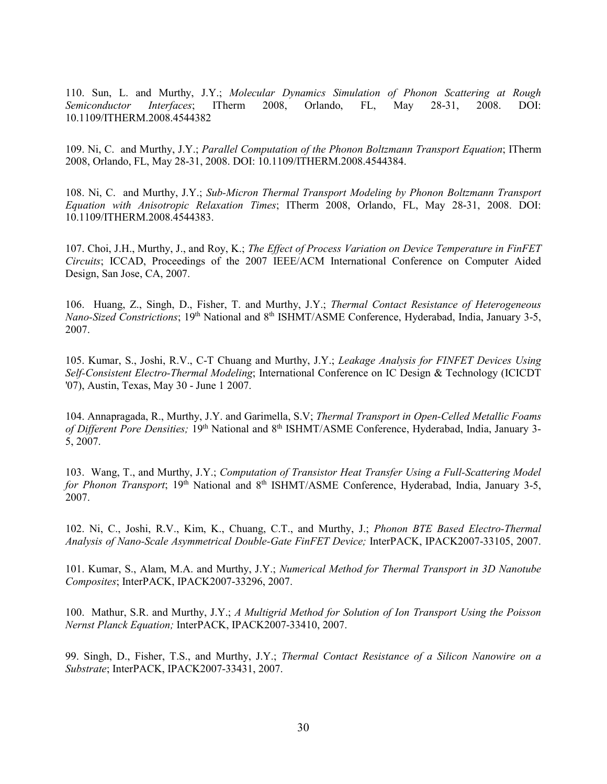110. Sun, L. and Murthy, J.Y.; *Molecular Dynamics Simulation of Phonon Scattering at Rough Semiconductor Interfaces*; ITherm 2008, Orlando, FL, May 28-31, 2008. DOI: 10.1109/ITHERM.2008.4544382

109. Ni, C. and Murthy, J.Y.; *Parallel Computation of the Phonon Boltzmann Transport Equation*; ITherm 2008, Orlando, FL, May 28-31, 2008. DOI: 10.1109/ITHERM.2008.4544384.

108. Ni, C. and Murthy, J.Y.; *Sub-Micron Thermal Transport Modeling by Phonon Boltzmann Transport Equation with Anisotropic Relaxation Times*; ITherm 2008, Orlando, FL, May 28-31, 2008. DOI: 10.1109/ITHERM.2008.4544383.

107. Choi, J.H., Murthy, J., and Roy, K.; *The Effect of Process Variation on Device Temperature in FinFET Circuits*; ICCAD, Proceedings of the 2007 IEEE/ACM International Conference on Computer Aided Design, San Jose, CA, 2007.

106. Huang, Z., Singh, D., Fisher, T. and Murthy, J.Y.; *Thermal Contact Resistance of Heterogeneous Nano-Sized Constrictions*; 19<sup>th</sup> National and 8<sup>th</sup> ISHMT/ASME Conference, Hyderabad, India, January 3-5, 2007.

105. Kumar, S., Joshi, R.V., C-T Chuang and Murthy, J.Y.; *Leakage Analysis for FINFET Devices Using Self-Consistent Electro-Thermal Modeling*; International Conference on IC Design & Technology (ICICDT '07), Austin, Texas, May 30 - June 1 2007.

104. Annapragada, R., Murthy, J.Y. and Garimella, S.V; *Thermal Transport in Open-Celled Metallic Foams of Different Pore Densities;* 19th National and 8th ISHMT/ASME Conference, Hyderabad, India, January 3- 5, 2007.

103. Wang, T., and Murthy, J.Y.; *Computation of Transistor Heat Transfer Using a Full-Scattering Model*  for Phonon Transport; 19<sup>th</sup> National and 8<sup>th</sup> ISHMT/ASME Conference, Hyderabad, India, January 3-5, 2007.

102. Ni, C., Joshi, R.V., Kim, K., Chuang, C.T., and Murthy, J.; *Phonon BTE Based Electro-Thermal Analysis of Nano-Scale Asymmetrical Double-Gate FinFET Device;* InterPACK, IPACK2007-33105, 2007.

101. Kumar, S., Alam, M.A. and Murthy, J.Y.; *Numerical Method for Thermal Transport in 3D Nanotube Composites*; InterPACK, IPACK2007-33296, 2007.

100. Mathur, S.R. and Murthy, J.Y.; *A Multigrid Method for Solution of Ion Transport Using the Poisson Nernst Planck Equation;* InterPACK, IPACK2007-33410, 2007.

99. Singh, D., Fisher, T.S., and Murthy, J.Y.; *Thermal Contact Resistance of a Silicon Nanowire on a Substrate*; InterPACK, IPACK2007-33431, 2007.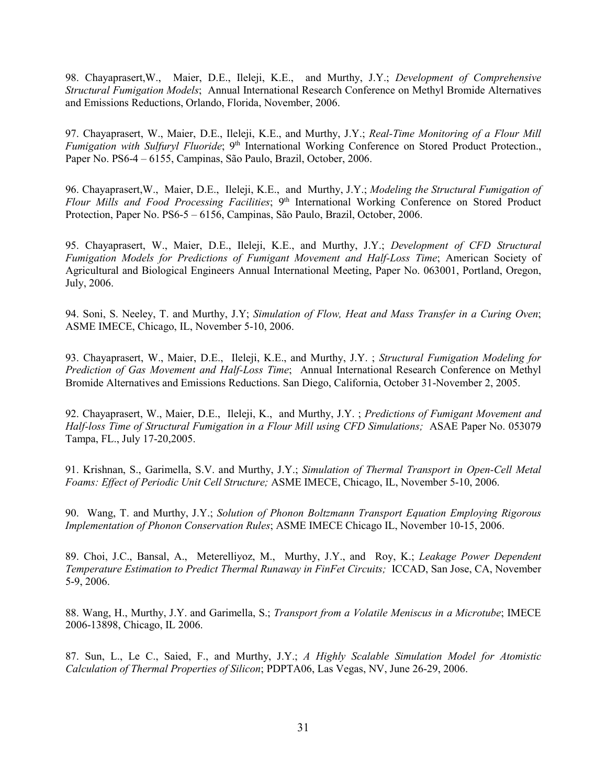98. Chayaprasert,W., Maier, D.E., Ileleji, K.E., and Murthy, J.Y.; *Development of Comprehensive Structural Fumigation Models*; Annual International Research Conference on Methyl Bromide Alternatives and Emissions Reductions, Orlando, Florida, November, 2006.

97. Chayaprasert, W., Maier, D.E., Ileleji, K.E., and Murthy, J.Y.; *Real-Time Monitoring of a Flour Mill Fumigation with Sulfuryl Fluoride*; 9<sup>th</sup> International Working Conference on Stored Product Protection., Paper No. PS6-4 – 6155, Campinas, São Paulo, Brazil, October, 2006.

96. Chayaprasert,W., Maier, D.E., Ileleji, K.E., and Murthy, J.Y.; *Modeling the Structural Fumigation of Flour Mills and Food Processing Facilities*; 9th International Working Conference on Stored Product Protection, Paper No. PS6-5 – 6156, Campinas, São Paulo, Brazil, October, 2006.

95. Chayaprasert, W., Maier, D.E., Ileleji, K.E., and Murthy, J.Y.; *Development of CFD Structural Fumigation Models for Predictions of Fumigant Movement and Half-Loss Time*; American Society of Agricultural and Biological Engineers Annual International Meeting, Paper No. 063001, Portland, Oregon, July, 2006.

94. Soni, S. Neeley, T. and Murthy, J.Y; *Simulation of Flow, Heat and Mass Transfer in a Curing Oven*; ASME IMECE, Chicago, IL, November 5-10, 2006.

93. Chayaprasert, W., Maier, D.E., Ileleji, K.E., and Murthy, J.Y. ; *Structural Fumigation Modeling for Prediction of Gas Movement and Half-Loss Time*; Annual International Research Conference on Methyl Bromide Alternatives and Emissions Reductions. San Diego, California, October 31-November 2, 2005.

92. Chayaprasert, W., Maier, D.E., Ileleji, K., and Murthy, J.Y. ; *Predictions of Fumigant Movement and Half-loss Time of Structural Fumigation in a Flour Mill using CFD Simulations;* ASAE Paper No. 053079 Tampa, FL., July 17-20,2005.

91. Krishnan, S., Garimella, S.V. and Murthy, J.Y.; *Simulation of Thermal Transport in Open-Cell Metal Foams: Effect of Periodic Unit Cell Structure;* ASME IMECE, Chicago, IL, November 5-10, 2006.

90. Wang, T. and Murthy, J.Y.; *Solution of Phonon Boltzmann Transport Equation Employing Rigorous Implementation of Phonon Conservation Rules*; ASME IMECE Chicago IL, November 10-15, 2006.

89. Choi, J.C., Bansal, A., Meterelliyoz, M., Murthy, J.Y., and Roy, K.; *Leakage Power Dependent Temperature Estimation to Predict Thermal Runaway in FinFet Circuits;* ICCAD, San Jose, CA, November 5-9, 2006.

88. Wang, H., Murthy, J.Y. and Garimella, S.; *Transport from a Volatile Meniscus in a Microtube*; IMECE 2006-13898, Chicago, IL 2006.

87. Sun, L., Le C., Saied, F., and Murthy, J.Y.; *A Highly Scalable Simulation Model for Atomistic Calculation of Thermal Properties of Silicon*; PDPTA06, Las Vegas, NV, June 26-29, 2006.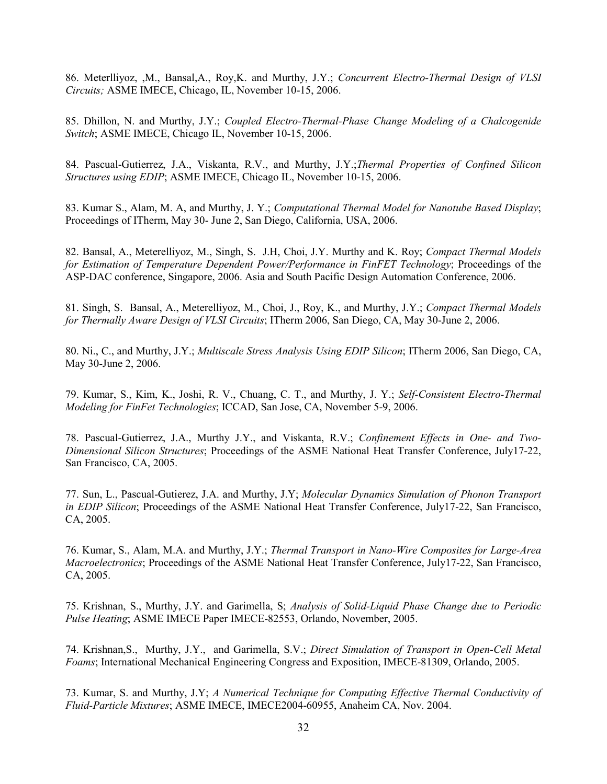86. Meterlliyoz, ,M., Bansal,A., Roy,K. and Murthy, J.Y.; *Concurrent Electro-Thermal Design of VLSI Circuits;* ASME IMECE, Chicago, IL, November 10-15, 2006.

85. Dhillon, N. and Murthy, J.Y.; *Coupled Electro-Thermal-Phase Change Modeling of a Chalcogenide Switch*; ASME IMECE, Chicago IL, November 10-15, 2006.

84. Pascual-Gutierrez, J.A., Viskanta, R.V., and Murthy, J.Y.;*Thermal Properties of Confined Silicon Structures using EDIP*; ASME IMECE, Chicago IL, November 10-15, 2006.

83. Kumar S., Alam, M. A, and Murthy, J. Y.; *Computational Thermal Model for Nanotube Based Display*; Proceedings of ITherm, May 30- June 2, San Diego, California, USA, 2006.

82. Bansal, A., Meterelliyoz, M., Singh, S. J.H, Choi, J.Y. Murthy and K. Roy; *Compact Thermal Models for Estimation of Temperature Dependent Power/Performance in FinFET Technology*; Proceedings of the ASP-DAC conference, Singapore, 2006. Asia and South Pacific Design Automation Conference, 2006.

81. Singh, S. Bansal, A., Meterelliyoz, M., Choi, J., Roy, K., and Murthy, J.Y.; *Compact Thermal Models for Thermally Aware Design of VLSI Circuits*; ITherm 2006, San Diego, CA, May 30-June 2, 2006.

80. Ni., C., and Murthy, J.Y.; *Multiscale Stress Analysis Using EDIP Silicon*; ITherm 2006, San Diego, CA, May 30-June 2, 2006.

79. Kumar, S., Kim, K., Joshi, R. V., Chuang, C. T., and Murthy, J. Y.; *Self-Consistent Electro-Thermal Modeling for FinFet Technologies*; ICCAD, San Jose, CA, November 5-9, 2006.

78. Pascual-Gutierrez, J.A., Murthy J.Y., and Viskanta, R.V.; *Confinement Effects in One- and Two-Dimensional Silicon Structures*; Proceedings of the ASME National Heat Transfer Conference, July17-22, San Francisco, CA, 2005.

77. Sun, L., Pascual-Gutierez, J.A. and Murthy, J.Y; *Molecular Dynamics Simulation of Phonon Transport in EDIP Silicon*; Proceedings of the ASME National Heat Transfer Conference, July17-22, San Francisco, CA, 2005.

76. Kumar, S., Alam, M.A. and Murthy, J.Y.; *Thermal Transport in Nano-Wire Composites for Large-Area Macroelectronics*; Proceedings of the ASME National Heat Transfer Conference, July17-22, San Francisco, CA, 2005.

75. Krishnan, S., Murthy, J.Y. and Garimella, S; *Analysis of Solid-Liquid Phase Change due to Periodic Pulse Heating*; ASME IMECE Paper IMECE-82553, Orlando, November, 2005.

74. Krishnan,S., Murthy, J.Y., and Garimella, S.V.; *Direct Simulation of Transport in Open-Cell Metal Foams*; International Mechanical Engineering Congress and Exposition, IMECE-81309, Orlando, 2005.

73. Kumar, S. and Murthy, J.Y; *A Numerical Technique for Computing Effective Thermal Conductivity of Fluid-Particle Mixtures*; ASME IMECE, IMECE2004-60955, Anaheim CA, Nov. 2004.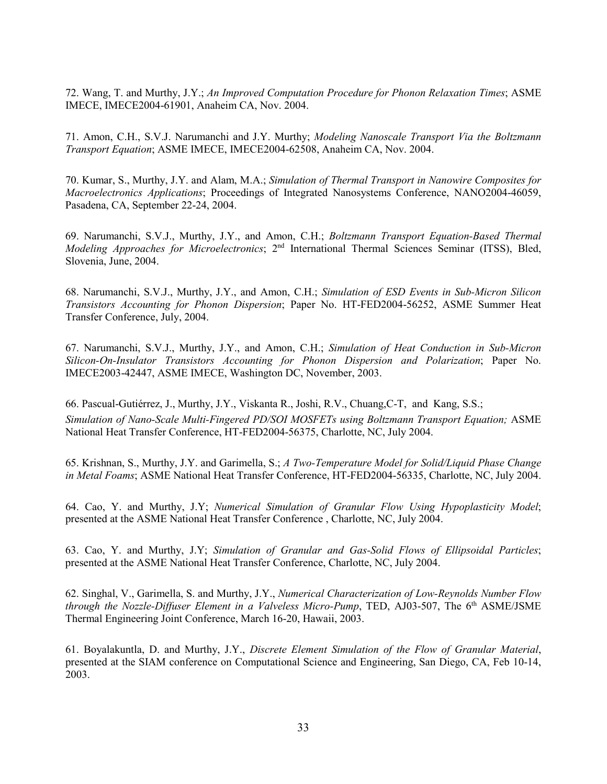72. Wang, T. and Murthy, J.Y.; *An Improved Computation Procedure for Phonon Relaxation Times*; ASME IMECE, IMECE2004-61901, Anaheim CA, Nov. 2004.

71. Amon, C.H., S.V.J. Narumanchi and J.Y. Murthy; *Modeling Nanoscale Transport Via the Boltzmann Transport Equation*; ASME IMECE, IMECE2004-62508, Anaheim CA, Nov. 2004.

70. Kumar, S., Murthy, J.Y. and Alam, M.A.; *Simulation of Thermal Transport in Nanowire Composites for Macroelectronics Applications*; Proceedings of Integrated Nanosystems Conference, NANO2004-46059, Pasadena, CA, September 22-24, 2004.

69. Narumanchi, S.V.J., Murthy, J.Y., and Amon, C.H.; *Boltzmann Transport Equation-Based Thermal Modeling Approaches for Microelectronics*; 2<sup>nd</sup> International Thermal Sciences Seminar (ITSS), Bled, Slovenia, June, 2004.

68. Narumanchi, S.V.J., Murthy, J.Y., and Amon, C.H.; *Simulation of ESD Events in Sub-Micron Silicon Transistors Accounting for Phonon Dispersion*; Paper No. HT-FED2004-56252, ASME Summer Heat Transfer Conference, July, 2004.

67. Narumanchi, S.V.J., Murthy, J.Y., and Amon, C.H.; *Simulation of Heat Conduction in Sub-Micron Silicon-On-Insulator Transistors Accounting for Phonon Dispersion and Polarization*; Paper No. IMECE2003-42447, ASME IMECE, Washington DC, November, 2003.

66. Pascual-Gutiérrez, J., Murthy, J.Y., Viskanta R., Joshi, R.V., Chuang,C-T, and Kang, S.S.; *Simulation of Nano-Scale Multi-Fingered PD/SOI MOSFETs using Boltzmann Transport Equation;* ASME National Heat Transfer Conference, HT-FED2004-56375, Charlotte, NC, July 2004.

65. Krishnan, S., Murthy, J.Y. and Garimella, S.; *A Two-Temperature Model for Solid/Liquid Phase Change in Metal Foams*; ASME National Heat Transfer Conference, HT-FED2004-56335, Charlotte, NC, July 2004.

64. Cao, Y. and Murthy, J.Y; *Numerical Simulation of Granular Flow Using Hypoplasticity Model*; presented at the ASME National Heat Transfer Conference , Charlotte, NC, July 2004.

63. Cao, Y. and Murthy, J.Y; *Simulation of Granular and Gas-Solid Flows of Ellipsoidal Particles*; presented at the ASME National Heat Transfer Conference, Charlotte, NC, July 2004.

62. Singhal, V., Garimella, S. and Murthy, J.Y., *Numerical Characterization of Low-Reynolds Number Flow through the Nozzle-Diffuser Element in a Valveless Micro-Pump*, TED, AJ03-507, The 6<sup>th</sup> ASME/JSME Thermal Engineering Joint Conference, March 16-20, Hawaii, 2003.

61. Boyalakuntla, D. and Murthy, J.Y., *Discrete Element Simulation of the Flow of Granular Material*, presented at the SIAM conference on Computational Science and Engineering, San Diego, CA, Feb 10-14, 2003.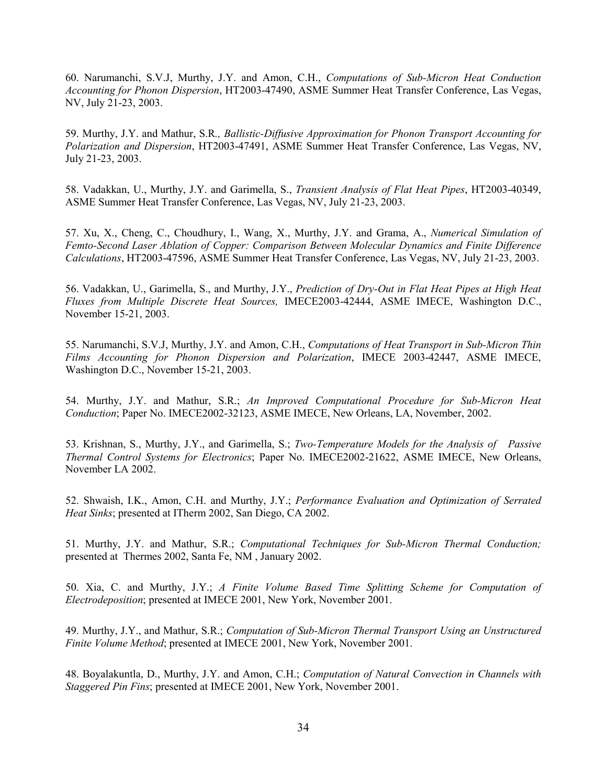60. Narumanchi, S.V.J, Murthy, J.Y. and Amon, C.H., *Computations of Sub-Micron Heat Conduction Accounting for Phonon Dispersion*, HT2003-47490, ASME Summer Heat Transfer Conference, Las Vegas, NV, July 21-23, 2003.

59. Murthy, J.Y. and Mathur, S.R*., Ballistic-Diffusive Approximation for Phonon Transport Accounting for Polarization and Dispersion*, HT2003-47491, ASME Summer Heat Transfer Conference, Las Vegas, NV, July 21-23, 2003.

58. Vadakkan, U., Murthy, J.Y. and Garimella, S., *Transient Analysis of Flat Heat Pipes*, HT2003-40349, ASME Summer Heat Transfer Conference, Las Vegas, NV, July 21-23, 2003.

57. Xu, X., Cheng, C., Choudhury, I., Wang, X., Murthy, J.Y. and Grama, A., *Numerical Simulation of Femto-Second Laser Ablation of Copper: Comparison Between Molecular Dynamics and Finite Difference Calculations*, HT2003-47596, ASME Summer Heat Transfer Conference, Las Vegas, NV, July 21-23, 2003.

56. Vadakkan, U., Garimella, S., and Murthy, J.Y., *Prediction of Dry-Out in Flat Heat Pipes at High Heat Fluxes from Multiple Discrete Heat Sources,* IMECE2003-42444, ASME IMECE, Washington D.C., November 15-21, 2003.

55. Narumanchi, S.V.J, Murthy, J.Y. and Amon, C.H., *Computations of Heat Transport in Sub-Micron Thin Films Accounting for Phonon Dispersion and Polarization*, IMECE 2003-42447, ASME IMECE, Washington D.C., November 15-21, 2003.

54. Murthy, J.Y. and Mathur, S.R.; *An Improved Computational Procedure for Sub-Micron Heat Conduction*; Paper No. IMECE2002-32123, ASME IMECE, New Orleans, LA, November, 2002.

53. Krishnan, S., Murthy, J.Y., and Garimella, S.; *Two-Temperature Models for the Analysis of Passive Thermal Control Systems for Electronics*; Paper No. IMECE2002-21622, ASME IMECE, New Orleans, November LA 2002.

52. Shwaish, I.K., Amon, C.H. and Murthy, J.Y.; *Performance Evaluation and Optimization of Serrated Heat Sinks*; presented at ITherm 2002, San Diego, CA 2002.

51. Murthy, J.Y. and Mathur, S.R.; *Computational Techniques for Sub-Micron Thermal Conduction;* presented at Thermes 2002, Santa Fe, NM , January 2002.

50. Xia, C. and Murthy, J.Y.; *A Finite Volume Based Time Splitting Scheme for Computation of Electrodeposition*; presented at IMECE 2001, New York, November 2001.

49. Murthy, J.Y., and Mathur, S.R.; *Computation of Sub-Micron Thermal Transport Using an Unstructured Finite Volume Method*; presented at IMECE 2001, New York, November 2001.

48. Boyalakuntla, D., Murthy, J.Y. and Amon, C.H.; *Computation of Natural Convection in Channels with Staggered Pin Fins*; presented at IMECE 2001, New York, November 2001.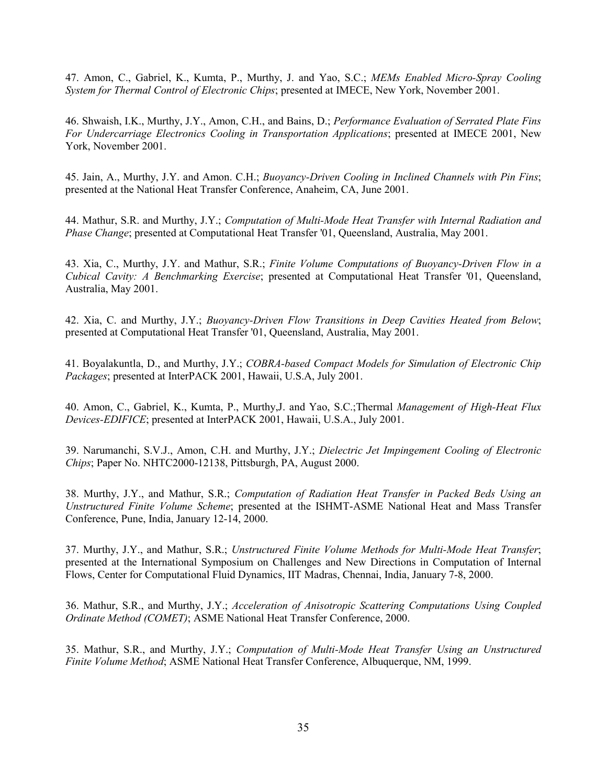47. Amon, C., Gabriel, K., Kumta, P., Murthy, J. and Yao, S.C.; *MEMs Enabled Micro-Spray Cooling System for Thermal Control of Electronic Chips*; presented at IMECE, New York, November 2001.

46. Shwaish, I.K., Murthy, J.Y., Amon, C.H., and Bains, D.; *Performance Evaluation of Serrated Plate Fins For Undercarriage Electronics Cooling in Transportation Applications*; presented at IMECE 2001, New York, November 2001.

45. Jain, A., Murthy, J.Y. and Amon. C.H.; *Buoyancy-Driven Cooling in Inclined Channels with Pin Fins*; presented at the National Heat Transfer Conference, Anaheim, CA, June 2001.

44. Mathur, S.R. and Murthy, J.Y.; *Computation of Multi-Mode Heat Transfer with Internal Radiation and Phase Change*; presented at Computational Heat Transfer '01, Queensland, Australia, May 2001.

43. Xia, C., Murthy, J.Y. and Mathur, S.R.; *Finite Volume Computations of Buoyancy-Driven Flow in a Cubical Cavity: A Benchmarking Exercise*; presented at Computational Heat Transfer '01, Queensland, Australia, May 2001.

42. Xia, C. and Murthy, J.Y.; *Buoyancy-Driven Flow Transitions in Deep Cavities Heated from Below*; presented at Computational Heat Transfer '01, Queensland, Australia, May 2001.

41. Boyalakuntla, D., and Murthy, J.Y.; *COBRA-based Compact Models for Simulation of Electronic Chip Packages*; presented at InterPACK 2001, Hawaii, U.S.A, July 2001.

40. Amon, C., Gabriel, K., Kumta, P., Murthy,J. and Yao, S.C.;Thermal *Management of High-Heat Flux Devices-EDIFICE*; presented at InterPACK 2001, Hawaii, U.S.A., July 2001.

39. Narumanchi, S.V.J., Amon, C.H. and Murthy, J.Y.; *Dielectric Jet Impingement Cooling of Electronic Chips*; Paper No. NHTC2000-12138, Pittsburgh, PA, August 2000.

38. Murthy, J.Y., and Mathur, S.R.; *Computation of Radiation Heat Transfer in Packed Beds Using an Unstructured Finite Volume Scheme*; presented at the ISHMT-ASME National Heat and Mass Transfer Conference, Pune, India, January 12-14, 2000.

37. Murthy, J.Y., and Mathur, S.R.; *Unstructured Finite Volume Methods for Multi-Mode Heat Transfer*; presented at the International Symposium on Challenges and New Directions in Computation of Internal Flows, Center for Computational Fluid Dynamics, IIT Madras, Chennai, India, January 7-8, 2000.

36. Mathur, S.R., and Murthy, J.Y.; *Acceleration of Anisotropic Scattering Computations Using Coupled Ordinate Method (COMET)*; ASME National Heat Transfer Conference, 2000.

35. Mathur, S.R., and Murthy, J.Y.; *Computation of Multi-Mode Heat Transfer Using an Unstructured Finite Volume Method*; ASME National Heat Transfer Conference, Albuquerque, NM, 1999.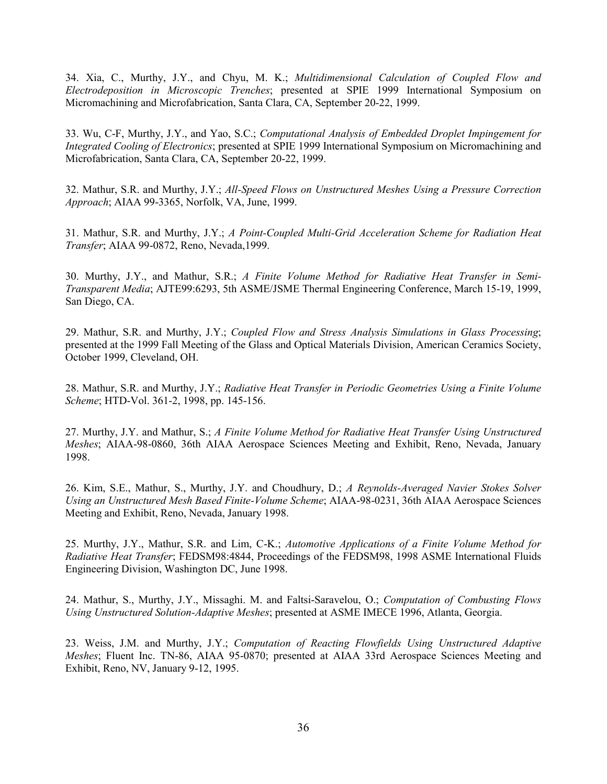34. Xia, C., Murthy, J.Y., and Chyu, M. K.; *Multidimensional Calculation of Coupled Flow and Electrodeposition in Microscopic Trenches*; presented at SPIE 1999 International Symposium on Micromachining and Microfabrication, Santa Clara, CA, September 20-22, 1999.

33. Wu, C-F, Murthy, J.Y., and Yao, S.C.; *Computational Analysis of Embedded Droplet Impingement for Integrated Cooling of Electronics*; presented at SPIE 1999 International Symposium on Micromachining and Microfabrication, Santa Clara, CA, September 20-22, 1999.

32. Mathur, S.R. and Murthy, J.Y.; *All-Speed Flows on Unstructured Meshes Using a Pressure Correction Approach*; AIAA 99-3365, Norfolk, VA, June, 1999.

31. Mathur, S.R. and Murthy, J.Y.; *A Point-Coupled Multi-Grid Acceleration Scheme for Radiation Heat Transfer*; AIAA 99-0872, Reno, Nevada,1999.

30. Murthy, J.Y., and Mathur, S.R.; *A Finite Volume Method for Radiative Heat Transfer in Semi-Transparent Media*; AJTE99:6293, 5th ASME/JSME Thermal Engineering Conference, March 15-19, 1999, San Diego, CA.

29. Mathur, S.R. and Murthy, J.Y.; *Coupled Flow and Stress Analysis Simulations in Glass Processing*; presented at the 1999 Fall Meeting of the Glass and Optical Materials Division, American Ceramics Society, October 1999, Cleveland, OH.

28. Mathur, S.R. and Murthy, J.Y.; *Radiative Heat Transfer in Periodic Geometries Using a Finite Volume Scheme*; HTD-Vol. 361-2, 1998, pp. 145-156.

27. Murthy, J.Y. and Mathur, S.; *A Finite Volume Method for Radiative Heat Transfer Using Unstructured Meshes*; AIAA-98-0860, 36th AIAA Aerospace Sciences Meeting and Exhibit, Reno, Nevada, January 1998.

26. Kim, S.E., Mathur, S., Murthy, J.Y. and Choudhury, D.; *A Reynolds-Averaged Navier Stokes Solver Using an Unstructured Mesh Based Finite-Volume Scheme*; AIAA-98-0231, 36th AIAA Aerospace Sciences Meeting and Exhibit, Reno, Nevada, January 1998.

25. Murthy, J.Y., Mathur, S.R. and Lim, C-K.; *Automotive Applications of a Finite Volume Method for Radiative Heat Transfer*; FEDSM98:4844, Proceedings of the FEDSM98, 1998 ASME International Fluids Engineering Division, Washington DC, June 1998.

24. Mathur, S., Murthy, J.Y., Missaghi. M. and Faltsi-Saravelou, O.; *Computation of Combusting Flows Using Unstructured Solution-Adaptive Meshes*; presented at ASME IMECE 1996, Atlanta, Georgia.

23. Weiss, J.M. and Murthy, J.Y.; *Computation of Reacting Flowfields Using Unstructured Adaptive Meshes*; Fluent Inc. TN-86, AIAA 95-0870; presented at AIAA 33rd Aerospace Sciences Meeting and Exhibit, Reno, NV, January 9-12, 1995.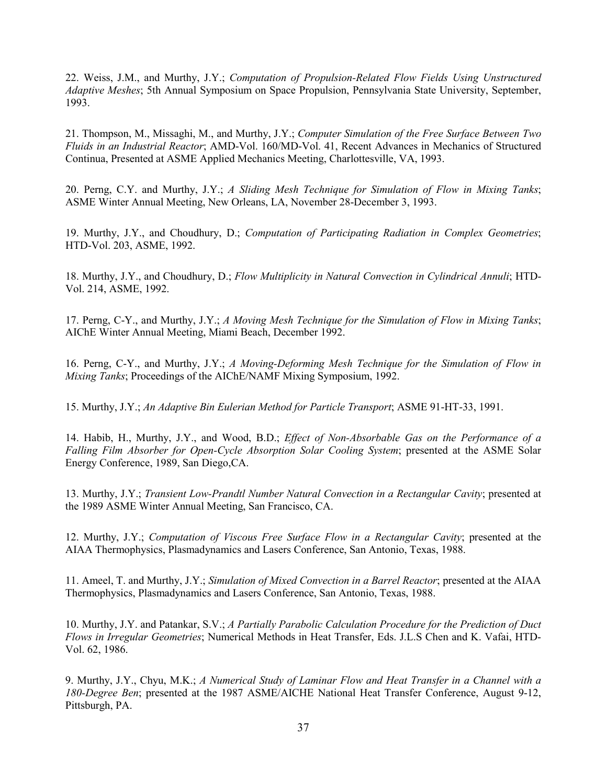22. Weiss, J.M., and Murthy, J.Y.; *Computation of Propulsion-Related Flow Fields Using Unstructured Adaptive Meshes*; 5th Annual Symposium on Space Propulsion, Pennsylvania State University, September, 1993.

21. Thompson, M., Missaghi, M., and Murthy, J.Y.; *Computer Simulation of the Free Surface Between Two Fluids in an Industrial Reactor*; AMD-Vol. 160/MD-Vol. 41, Recent Advances in Mechanics of Structured Continua, Presented at ASME Applied Mechanics Meeting, Charlottesville, VA, 1993.

20. Perng, C.Y. and Murthy, J.Y.; *A Sliding Mesh Technique for Simulation of Flow in Mixing Tanks*; ASME Winter Annual Meeting, New Orleans, LA, November 28-December 3, 1993.

19. Murthy, J.Y., and Choudhury, D.; *Computation of Participating Radiation in Complex Geometries*; HTD-Vol. 203, ASME, 1992.

18. Murthy, J.Y., and Choudhury, D.; *Flow Multiplicity in Natural Convection in Cylindrical Annuli*; HTD-Vol. 214, ASME, 1992.

17. Perng, C-Y., and Murthy, J.Y.; *A Moving Mesh Technique for the Simulation of Flow in Mixing Tanks*; AIChE Winter Annual Meeting, Miami Beach, December 1992.

16. Perng, C-Y., and Murthy, J.Y.; *A Moving-Deforming Mesh Technique for the Simulation of Flow in Mixing Tanks*; Proceedings of the AIChE/NAMF Mixing Symposium, 1992.

15. Murthy, J.Y.; *An Adaptive Bin Eulerian Method for Particle Transport*; ASME 91-HT-33, 1991.

14. Habib, H., Murthy, J.Y., and Wood, B.D.; *Effect of Non-Absorbable Gas on the Performance of a Falling Film Absorber for Open-Cycle Absorption Solar Cooling System*; presented at the ASME Solar Energy Conference, 1989, San Diego,CA.

13. Murthy, J.Y.; *Transient Low-Prandtl Number Natural Convection in a Rectangular Cavity*; presented at the 1989 ASME Winter Annual Meeting, San Francisco, CA.

12. Murthy, J.Y.; *Computation of Viscous Free Surface Flow in a Rectangular Cavity*; presented at the AIAA Thermophysics, Plasmadynamics and Lasers Conference, San Antonio, Texas, 1988.

11. Ameel, T. and Murthy, J.Y.; *Simulation of Mixed Convection in a Barrel Reactor*; presented at the AIAA Thermophysics, Plasmadynamics and Lasers Conference, San Antonio, Texas, 1988.

10. Murthy, J.Y. and Patankar, S.V.; *A Partially Parabolic Calculation Procedure for the Prediction of Duct Flows in Irregular Geometries*; Numerical Methods in Heat Transfer, Eds. J.L.S Chen and K. Vafai, HTD-Vol. 62, 1986.

9. Murthy, J.Y., Chyu, M.K.; *A Numerical Study of Laminar Flow and Heat Transfer in a Channel with a 180-Degree Ben*; presented at the 1987 ASME/AICHE National Heat Transfer Conference, August 9-12, Pittsburgh, PA.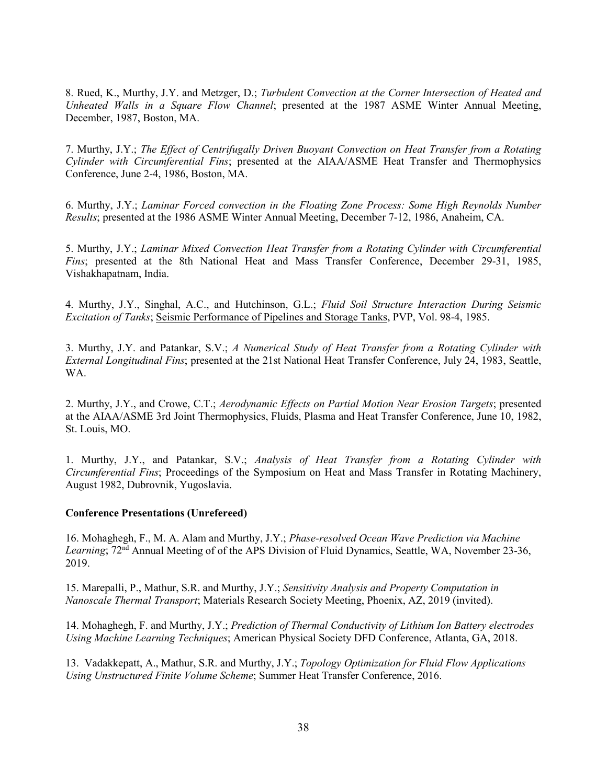8. Rued, K., Murthy, J.Y. and Metzger, D.; *Turbulent Convection at the Corner Intersection of Heated and Unheated Walls in a Square Flow Channel*; presented at the 1987 ASME Winter Annual Meeting, December, 1987, Boston, MA.

7. Murthy, J.Y.; *The Effect of Centrifugally Driven Buoyant Convection on Heat Transfer from a Rotating Cylinder with Circumferential Fins*; presented at the AIAA/ASME Heat Transfer and Thermophysics Conference, June 2-4, 1986, Boston, MA.

6. Murthy, J.Y.; *Laminar Forced convection in the Floating Zone Process: Some High Reynolds Number Results*; presented at the 1986 ASME Winter Annual Meeting, December 7-12, 1986, Anaheim, CA.

5. Murthy, J.Y.; *Laminar Mixed Convection Heat Transfer from a Rotating Cylinder with Circumferential Fins*; presented at the 8th National Heat and Mass Transfer Conference, December 29-31, 1985, Vishakhapatnam, India.

4. Murthy, J.Y., Singhal, A.C., and Hutchinson, G.L.; *Fluid Soil Structure Interaction During Seismic Excitation of Tanks*; Seismic Performance of Pipelines and Storage Tanks, PVP, Vol. 98-4, 1985.

3. Murthy, J.Y. and Patankar, S.V.; *A Numerical Study of Heat Transfer from a Rotating Cylinder with External Longitudinal Fins*; presented at the 21st National Heat Transfer Conference, July 24, 1983, Seattle, WA.

2. Murthy, J.Y., and Crowe, C.T.; *Aerodynamic Effects on Partial Motion Near Erosion Targets*; presented at the AIAA/ASME 3rd Joint Thermophysics, Fluids, Plasma and Heat Transfer Conference, June 10, 1982, St. Louis, MO.

1. Murthy, J.Y., and Patankar, S.V.; *Analysis of Heat Transfer from a Rotating Cylinder with Circumferential Fins*; Proceedings of the Symposium on Heat and Mass Transfer in Rotating Machinery, August 1982, Dubrovnik, Yugoslavia.

#### **Conference Presentations (Unrefereed)**

16. Mohaghegh, F., M. A. Alam and Murthy, J.Y.; *Phase-resolved Ocean Wave Prediction via Machine*  Learning; 72<sup>nd</sup> Annual Meeting of of the APS Division of Fluid Dynamics, Seattle, WA, November 23-36, 2019.

15. Marepalli, P., Mathur, S.R. and Murthy, J.Y.; *Sensitivity Analysis and Property Computation in Nanoscale Thermal Transport*; Materials Research Society Meeting, Phoenix, AZ, 2019 (invited).

14. Mohaghegh, F. and Murthy, J.Y.; *Prediction of Thermal Conductivity of Lithium Ion Battery electrodes Using Machine Learning Techniques*; American Physical Society DFD Conference, Atlanta, GA, 2018.

13. Vadakkepatt, A., Mathur, S.R. and Murthy, J.Y.; *Topology Optimization for Fluid Flow Applications Using Unstructured Finite Volume Scheme*; Summer Heat Transfer Conference, 2016.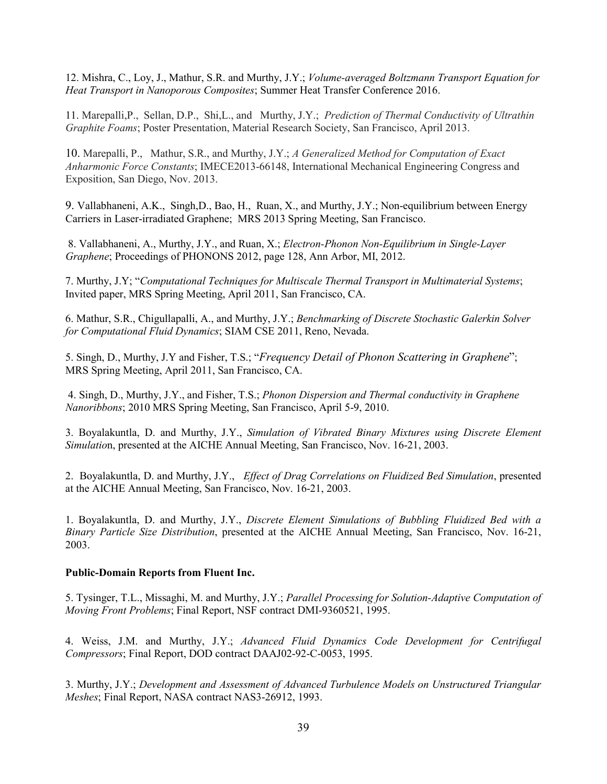12. Mishra, C., Loy, J., Mathur, S.R. and Murthy, J.Y.; *Volume-averaged Boltzmann Transport Equation for Heat Transport in Nanoporous Composites*; Summer Heat Transfer Conference 2016.

11. Marepalli,P., Sellan, D.P., Shi,L., and Murthy, J.Y.; *Prediction of Thermal Conductivity of Ultrathin Graphite Foams*; Poster Presentation, Material Research Society, San Francisco, April 2013.

10. Marepalli, P., Mathur, S.R., and Murthy, J.Y.; *A Generalized Method for Computation of Exact Anharmonic Force Constants*; IMECE2013-66148, International Mechanical Engineering Congress and Exposition, San Diego, Nov. 2013.

9. Vallabhaneni, A.K., Singh,D., Bao, H., Ruan, X., and Murthy, J.Y.; Non-equilibrium between Energy Carriers in Laser-irradiated Graphene; MRS 2013 Spring Meeting, San Francisco.

 8. Vallabhaneni, A., Murthy, J.Y., and Ruan, X.; *Electron-Phonon Non-Equilibrium in Single-Layer Graphene*; Proceedings of PHONONS 2012, page 128, Ann Arbor, MI, 2012.

7. Murthy, J.Y; "*Computational Techniques for Multiscale Thermal Transport in Multimaterial Systems*; Invited paper, MRS Spring Meeting, April 2011, San Francisco, CA.

6. Mathur, S.R., Chigullapalli, A., and Murthy, J.Y.; *Benchmarking of Discrete Stochastic Galerkin Solver for Computational Fluid Dynamics*; SIAM CSE 2011, Reno, Nevada.

5. Singh, D., Murthy, J.Y and Fisher, T.S.; "*Frequency Detail of Phonon Scattering in Graphene*"; MRS Spring Meeting, April 2011, San Francisco, CA.

 4. Singh, D., Murthy, J.Y., and Fisher, T.S.; *Phonon Dispersion and Thermal conductivity in Graphene Nanoribbons*; 2010 MRS Spring Meeting, San Francisco, April 5-9, 2010.

3. Boyalakuntla, D. and Murthy, J.Y., *Simulation of Vibrated Binary Mixtures using Discrete Element Simulatio*n, presented at the AICHE Annual Meeting, San Francisco, Nov. 16-21, 2003.

2. Boyalakuntla, D. and Murthy, J.Y., *Effect of Drag Correlations on Fluidized Bed Simulation*, presented at the AICHE Annual Meeting, San Francisco, Nov. 16-21, 2003.

1. Boyalakuntla, D. and Murthy, J.Y., *Discrete Element Simulations of Bubbling Fluidized Bed with a Binary Particle Size Distribution*, presented at the AICHE Annual Meeting, San Francisco, Nov. 16-21, 2003.

#### **Public-Domain Reports from Fluent Inc.**

5. Tysinger, T.L., Missaghi, M. and Murthy, J.Y.; *Parallel Processing for Solution-Adaptive Computation of Moving Front Problems*; Final Report, NSF contract DMI-9360521, 1995.

4. Weiss, J.M. and Murthy, J.Y.; *Advanced Fluid Dynamics Code Development for Centrifugal Compressors*; Final Report, DOD contract DAAJ02-92-C-0053, 1995.

3. Murthy, J.Y.; *Development and Assessment of Advanced Turbulence Models on Unstructured Triangular Meshes*; Final Report, NASA contract NAS3-26912, 1993.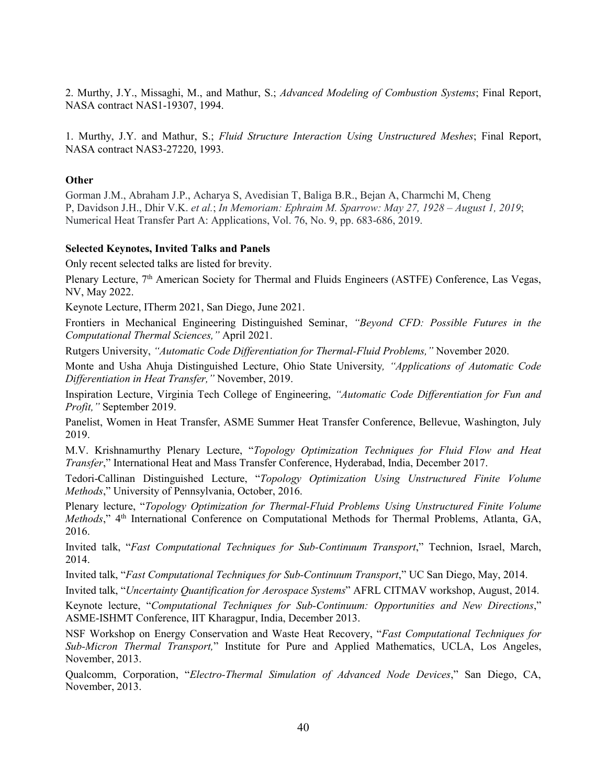2. Murthy, J.Y., Missaghi, M., and Mathur, S.; *Advanced Modeling of Combustion Systems*; Final Report, NASA contract NAS1-19307, 1994.

1. Murthy, J.Y. and Mathur, S.; *Fluid Structure Interaction Using Unstructured Meshes*; Final Report, NASA contract NAS3-27220, 1993.

### **Other**

Gorman J.M., Abraham J.P., Acharya S, Avedisian T, Baliga B.R., Bejan A, Charmchi M, Cheng P, Davidson J.H., Dhir V.K. *et al.*; *In Memoriam: Ephraim M. Sparrow: May 27, 1928 – August 1, 2019*; Numerical Heat Transfer Part A: Applications, Vol. 76, No. 9, pp. 683-686, 2019.

### **Selected Keynotes, Invited Talks and Panels**

Only recent selected talks are listed for brevity.

Plenary Lecture, 7<sup>th</sup> American Society for Thermal and Fluids Engineers (ASTFE) Conference, Las Vegas, NV, May 2022.

Keynote Lecture, ITherm 2021, San Diego, June 2021.

Frontiers in Mechanical Engineering Distinguished Seminar, *"Beyond CFD: Possible Futures in the Computational Thermal Sciences,"* April 2021.

Rutgers University, *"Automatic Code Differentiation for Thermal-Fluid Problems,"* November 2020.

Monte and Usha Ahuja Distinguished Lecture, Ohio State University*, "Applications of Automatic Code Differentiation in Heat Transfer,"* November, 2019.

Inspiration Lecture, Virginia Tech College of Engineering, *"Automatic Code Differentiation for Fun and Profit,"* September 2019.

Panelist, Women in Heat Transfer, ASME Summer Heat Transfer Conference, Bellevue, Washington, July 2019.

M.V. Krishnamurthy Plenary Lecture, "*Topology Optimization Techniques for Fluid Flow and Heat Transfer*," International Heat and Mass Transfer Conference, Hyderabad, India, December 2017.

Tedori-Callinan Distinguished Lecture, "*Topology Optimization Using Unstructured Finite Volume Methods*," University of Pennsylvania, October, 2016.

Plenary lecture, "*Topology Optimization for Thermal-Fluid Problems Using Unstructured Finite Volume Methods*," 4<sup>th</sup> International Conference on Computational Methods for Thermal Problems, Atlanta, GA, 2016.

Invited talk, "*Fast Computational Techniques for Sub-Continuum Transport*," Technion, Israel, March, 2014.

Invited talk, "*Fast Computational Techniques for Sub-Continuum Transport*," UC San Diego, May, 2014.

Invited talk, "*Uncertainty Quantification for Aerospace Systems*" AFRL CITMAV workshop, August, 2014.

Keynote lecture, "*Computational Techniques for Sub-Continuum: Opportunities and New Directions*," ASME-ISHMT Conference, IIT Kharagpur, India, December 2013.

NSF Workshop on Energy Conservation and Waste Heat Recovery, "*Fast Computational Techniques for Sub-Micron Thermal Transport,*" Institute for Pure and Applied Mathematics, UCLA, Los Angeles, November, 2013.

Qualcomm, Corporation, "*Electro-Thermal Simulation of Advanced Node Devices*," San Diego, CA, November, 2013.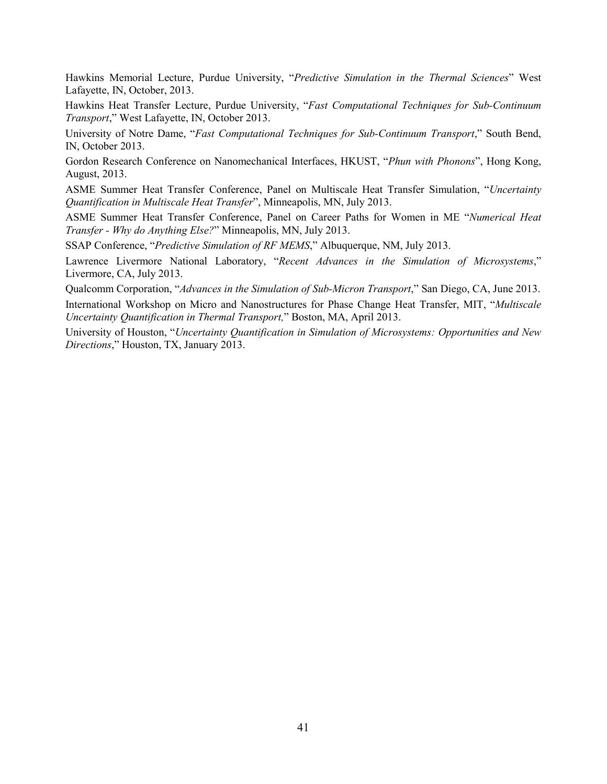Hawkins Memorial Lecture, Purdue University, "*Predictive Simulation in the Thermal Sciences*" West Lafayette, IN, October, 2013.

Hawkins Heat Transfer Lecture, Purdue University, "*Fast Computational Techniques for Sub-Continuum Transport*," West Lafayette, IN, October 2013.

University of Notre Dame, "*Fast Computational Techniques for Sub-Continuum Transport*," South Bend, IN, October 2013.

Gordon Research Conference on Nanomechanical Interfaces, HKUST, "*Phun with Phonons*", Hong Kong, August, 2013.

ASME Summer Heat Transfer Conference, Panel on Multiscale Heat Transfer Simulation, "*Uncertainty Quantification in Multiscale Heat Transfer*", Minneapolis, MN, July 2013.

ASME Summer Heat Transfer Conference, Panel on Career Paths for Women in ME "*Numerical Heat Transfer - Why do Anything Else?*" Minneapolis, MN, July 2013.

SSAP Conference, "*Predictive Simulation of RF MEMS*," Albuquerque, NM, July 2013.

Lawrence Livermore National Laboratory, "*Recent Advances in the Simulation of Microsystems*," Livermore, CA, July 2013.

Qualcomm Corporation, "*Advances in the Simulation of Sub-Micron Transport*," San Diego, CA, June 2013.

International Workshop on Micro and Nanostructures for Phase Change Heat Transfer, MIT, "*Multiscale Uncertainty Quantification in Thermal Transport,*" Boston, MA, April 2013.

University of Houston, "*Uncertainty Quantification in Simulation of Microsystems: Opportunities and New Directions*," Houston, TX, January 2013.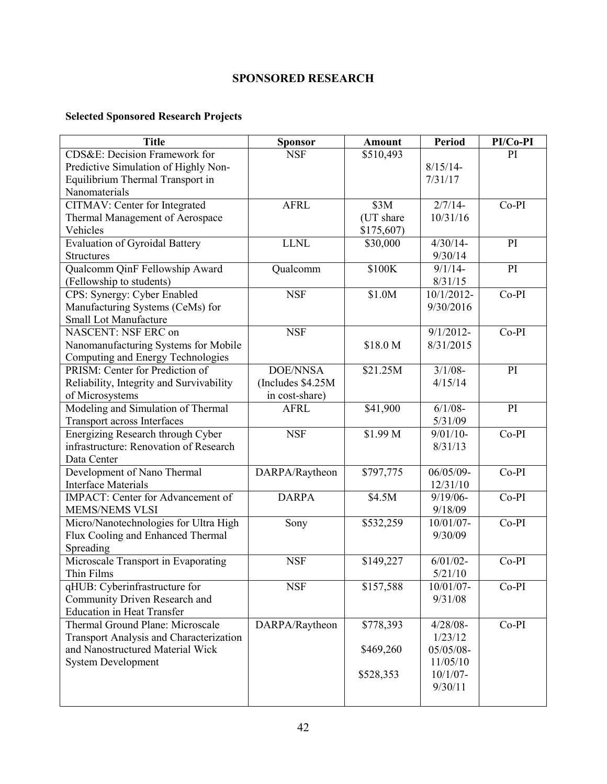# **SPONSORED RESEARCH**

# **Selected Sponsored Research Projects**

| <b>Title</b>                             | <b>Sponsor</b>     | Amount    | Period       | PI/Co-PI |
|------------------------------------------|--------------------|-----------|--------------|----------|
| CDS&E: Decision Framework for            | <b>NSF</b>         | \$510,493 |              | PI       |
| Predictive Simulation of Highly Non-     |                    |           | $8/15/14-$   |          |
| Equilibrium Thermal Transport in         |                    |           | 7/31/17      |          |
| Nanomaterials                            |                    |           |              |          |
| CITMAV: Center for Integrated            | <b>AFRL</b>        | \$3M      | $2/7/14-$    | Co-PI    |
| Thermal Management of Aerospace          |                    | (UT share | 10/31/16     |          |
| Vehicles                                 |                    | \$175,607 |              |          |
| Evaluation of Gyroidal Battery           | <b>LLNL</b>        | \$30,000  | $4/30/14$ -  | PI       |
| <b>Structures</b>                        |                    |           | 9/30/14      |          |
| Qualcomm QinF Fellowship Award           | Qualcomm           | \$100K    | $9/1/14$ -   | PI       |
| (Fellowship to students)                 |                    |           | 8/31/15      |          |
| CPS: Synergy: Cyber Enabled              | <b>NSF</b>         | \$1.0M    | 10/1/2012-   | Co-PI    |
| Manufacturing Systems (CeMs) for         |                    |           | 9/30/2016    |          |
| <b>Small Lot Manufacture</b>             |                    |           |              |          |
| NASCENT: NSF ERC on                      | <b>NSF</b>         |           | $9/1/2012$ - | $Co-PI$  |
| Nanomanufacturing Systems for Mobile     |                    | \$18.0 M  | 8/31/2015    |          |
| Computing and Energy Technologies        |                    |           |              |          |
| PRISM: Center for Prediction of          | <b>DOE/NNSA</b>    | \$21.25M  | $3/1/08 -$   | PI       |
| Reliability, Integrity and Survivability | (Includes \$4.25M) |           | 4/15/14      |          |
| of Microsystems                          | in cost-share)     |           |              |          |
| Modeling and Simulation of Thermal       | <b>AFRL</b>        | \$41,900  | $6/1/08 -$   | PI       |
| Transport across Interfaces              |                    |           | 5/31/09      |          |
| Energizing Research through Cyber        | <b>NSF</b>         | \$1.99 M  | $9/01/10-$   | Co-PI    |
| infrastructure: Renovation of Research   |                    |           | 8/31/13      |          |
| Data Center                              |                    |           |              |          |
| Development of Nano Thermal              | DARPA/Raytheon     | \$797,775 | 06/05/09-    | Co-PI    |
| <b>Interface Materials</b>               |                    |           | 12/31/10     |          |
| IMPACT: Center for Advancement of        | <b>DARPA</b>       | \$4.5M    | $9/19/06 -$  | Co-PI    |
| <b>MEMS/NEMS VLSI</b>                    |                    |           | 9/18/09      |          |
| Micro/Nanotechnologies for Ultra High    | Sony               | \$532,259 | 10/01/07-    | Co-PI    |
| Flux Cooling and Enhanced Thermal        |                    |           | 9/30/09      |          |
| Spreading                                |                    |           |              |          |
| Microscale Transport in Evaporating      | <b>NSF</b>         | \$149,227 | $6/01/02 -$  | Co-PI    |
| Thin Films                               |                    |           | 5/21/10      |          |
| qHUB: Cyberinfrastructure for            | <b>NSF</b>         | \$157,588 | 10/01/07-    | $Co-PI$  |
| Community Driven Research and            |                    |           | 9/31/08      |          |
| <b>Education in Heat Transfer</b>        |                    |           |              |          |
| Thermal Ground Plane: Microscale         | DARPA/Raytheon     | \$778,393 | $4/28/08 -$  | $Co-PI$  |
| Transport Analysis and Characterization  |                    |           | 1/23/12      |          |
| and Nanostructured Material Wick         |                    | \$469,260 | 05/05/08-    |          |
| <b>System Development</b>                |                    |           | 11/05/10     |          |
|                                          |                    | \$528,353 | $10/1/07 -$  |          |
|                                          |                    |           | 9/30/11      |          |
|                                          |                    |           |              |          |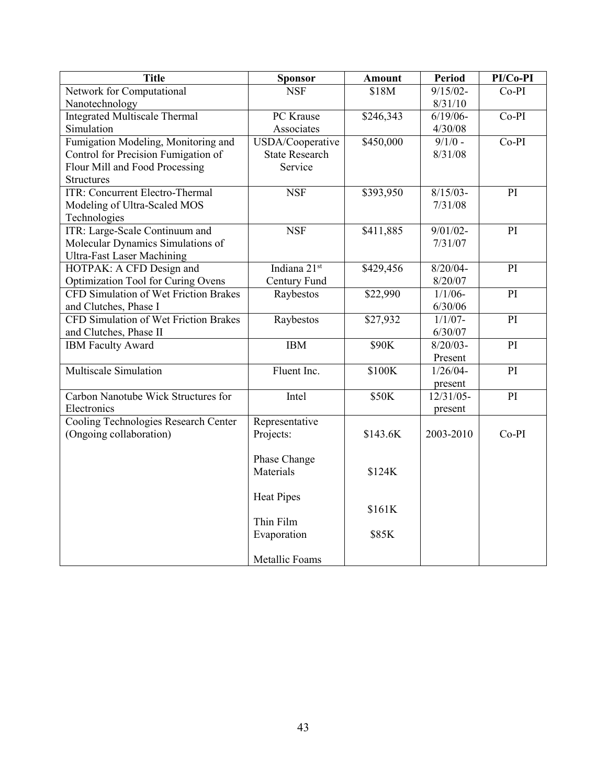| <b>Title</b>                                 | <b>Sponsor</b>        | <b>Amount</b> | Period      | $PI/Co-PI$      |
|----------------------------------------------|-----------------------|---------------|-------------|-----------------|
| Network for Computational                    | <b>NSF</b>            | \$18M         | $9/15/02 -$ | $Co-PI$         |
| Nanotechnology                               |                       |               | 8/31/10     |                 |
| <b>Integrated Multiscale Thermal</b>         | PC Krause             | \$246,343     | $6/19/06$ - | $Co-PI$         |
| Simulation                                   | Associates            |               | 4/30/08     |                 |
| Fumigation Modeling, Monitoring and          | USDA/Cooperative      | \$450,000     | $9/1/0$ -   | $Co-PI$         |
| Control for Precision Fumigation of          | <b>State Research</b> |               | 8/31/08     |                 |
| Flour Mill and Food Processing               | Service               |               |             |                 |
| <b>Structures</b>                            |                       |               |             |                 |
| <b>ITR: Concurrent Electro-Thermal</b>       | <b>NSF</b>            | \$393,950     | $8/15/03 -$ | PI              |
| Modeling of Ultra-Scaled MOS                 |                       |               | 7/31/08     |                 |
| Technologies                                 |                       |               |             |                 |
| ITR: Large-Scale Continuum and               | <b>NSF</b>            | \$411,885     | $9/01/02 -$ | PI              |
| Molecular Dynamics Simulations of            |                       |               | 7/31/07     |                 |
| <b>Ultra-Fast Laser Machining</b>            |                       |               |             |                 |
| HOTPAK: A CFD Design and                     | Indiana 21st          | \$429,456     | $8/20/04 -$ | PI              |
| Optimization Tool for Curing Ovens           | Century Fund          |               | 8/20/07     |                 |
| <b>CFD Simulation of Wet Friction Brakes</b> | Raybestos             | \$22,990      | $1/1/06$ -  | PI              |
| and Clutches, Phase I                        |                       |               | 6/30/06     |                 |
| CFD Simulation of Wet Friction Brakes        | Raybestos             | \$27,932      | $1/1/07 -$  | $\overline{PI}$ |
| and Clutches, Phase II                       |                       |               | 6/30/07     |                 |
| <b>IBM Faculty Award</b>                     | <b>IBM</b>            | \$90K         | $8/20/03 -$ | PI              |
|                                              |                       |               | Present     |                 |
| Multiscale Simulation                        | Fluent Inc.           | \$100K        | $1/26/04 -$ | PI              |
|                                              |                       |               | present     |                 |
| Carbon Nanotube Wick Structures for          | Intel                 | \$50K         | 12/31/05-   | PI              |
| Electronics                                  |                       |               | present     |                 |
| Cooling Technologies Research Center         | Representative        |               |             |                 |
| (Ongoing collaboration)                      | Projects:             | \$143.6K      | 2003-2010   | $Co-PI$         |
|                                              |                       |               |             |                 |
|                                              | Phase Change          |               |             |                 |
|                                              | Materials             | \$124K        |             |                 |
|                                              |                       |               |             |                 |
|                                              | <b>Heat Pipes</b>     |               |             |                 |
|                                              |                       | \$161K        |             |                 |
|                                              | Thin Film             |               |             |                 |
|                                              | Evaporation           | \$85K         |             |                 |
|                                              |                       |               |             |                 |
|                                              | Metallic Foams        |               |             |                 |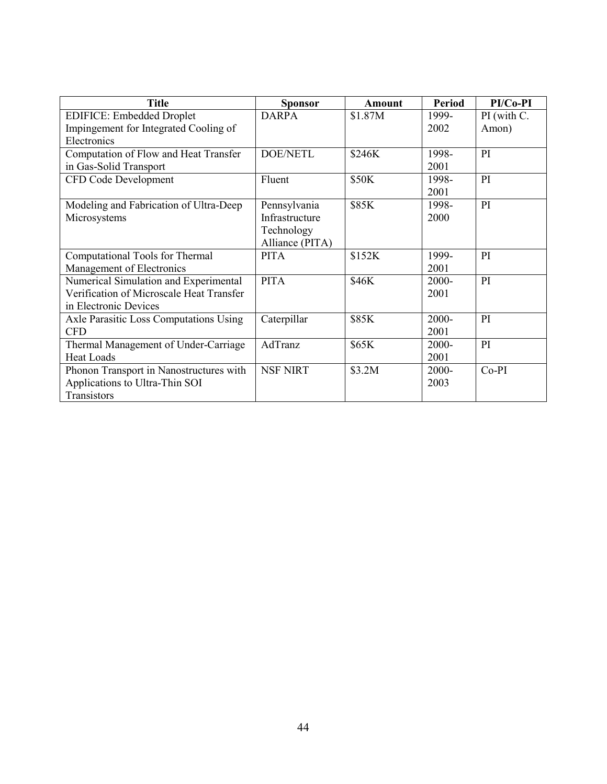| <b>Title</b>                             | <b>Sponsor</b>  | <b>Amount</b> | <b>Period</b> | PI/Co-PI    |
|------------------------------------------|-----------------|---------------|---------------|-------------|
| <b>EDIFICE: Embedded Droplet</b>         | <b>DARPA</b>    | \$1.87M       | 1999-         | PI (with C. |
| Impingement for Integrated Cooling of    |                 |               | 2002          | Amon)       |
| Electronics                              |                 |               |               |             |
| Computation of Flow and Heat Transfer    | <b>DOE/NETL</b> | \$246K        | 1998-         | PI          |
| in Gas-Solid Transport                   |                 |               | 2001          |             |
| CFD Code Development                     | Fluent          | \$50K         | 1998-         | PI          |
|                                          |                 |               | 2001          |             |
| Modeling and Fabrication of Ultra-Deep   | Pennsylvania    | \$85K         | 1998-         | PI          |
| Microsystems                             | Infrastructure  |               | 2000          |             |
|                                          | Technology      |               |               |             |
|                                          | Alliance (PITA) |               |               |             |
| Computational Tools for Thermal          | <b>PITA</b>     | \$152K        | 1999-         | PI          |
| Management of Electronics                |                 |               | 2001          |             |
| Numerical Simulation and Experimental    | <b>PITA</b>     | \$46K         | 2000-         | PI          |
| Verification of Microscale Heat Transfer |                 |               | 2001          |             |
| in Electronic Devices                    |                 |               |               |             |
| Axle Parasitic Loss Computations Using   | Caterpillar     | \$85K         | 2000-         | PI          |
| <b>CFD</b>                               |                 |               | 2001          |             |
| Thermal Management of Under-Carriage     | AdTranz         | \$65K         | 2000-         | PI          |
| <b>Heat Loads</b>                        |                 |               | 2001          |             |
| Phonon Transport in Nanostructures with  | <b>NSF NIRT</b> | \$3.2M        | 2000-         | $Co-PI$     |
| Applications to Ultra-Thin SOI           |                 |               | 2003          |             |
| Transistors                              |                 |               |               |             |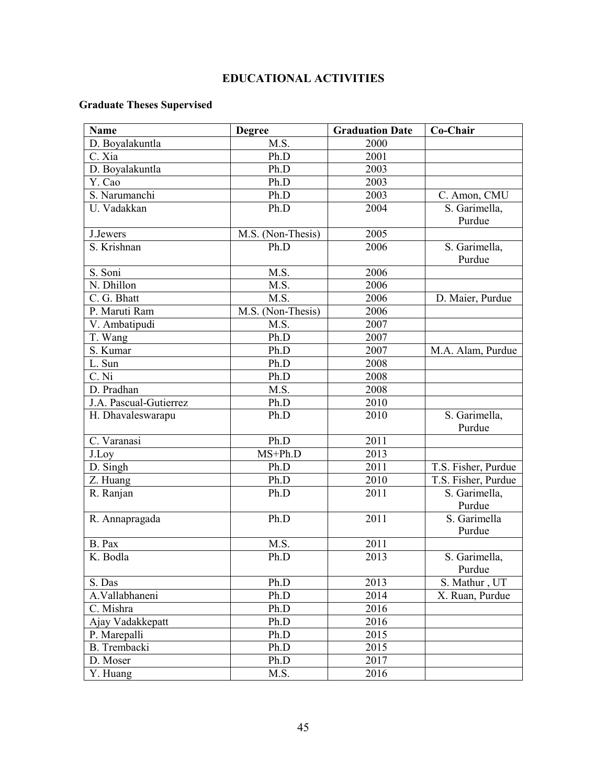# **EDUCATIONAL ACTIVITIES**

# **Graduate Theses Supervised**

| <b>Name</b>            | <b>Degree</b>     | <b>Graduation Date</b> | Co-Chair                |
|------------------------|-------------------|------------------------|-------------------------|
| D. Boyalakuntla        | M.S.              | 2000                   |                         |
| C. Xia                 | Ph.D              | 2001                   |                         |
| D. Boyalakuntla        | Ph.D              | 2003                   |                         |
| Y. Cao                 | Ph.D              | 2003                   |                         |
| S. Narumanchi          | Ph.D              | 2003                   | C. Amon, CMU            |
| U. Vadakkan            | Ph.D              | 2004                   | S. Garimella,           |
|                        |                   |                        | Purdue                  |
| J.Jewers               | M.S. (Non-Thesis) | 2005                   |                         |
| S. Krishnan            | Ph.D              | 2006                   | S. Garimella,           |
|                        |                   |                        | Purdue                  |
| S. Soni                | M.S.              | 2006                   |                         |
| N. Dhillon             | M.S.              | 2006                   |                         |
| C. G. Bhatt            | M.S.              | 2006                   | D. Maier, Purdue        |
| P. Maruti Ram          | M.S. (Non-Thesis) | 2006                   |                         |
| V. Ambatipudi          | M.S.              | 2007                   |                         |
| T. Wang                | Ph.D              | 2007                   |                         |
| S. Kumar               | Ph.D              | 2007                   | M.A. Alam, Purdue       |
| L. Sun                 | Ph.D              | 2008                   |                         |
| $C.$ Ni                | Ph.D              | 2008                   |                         |
| D. Pradhan             | M.S.              | 2008                   |                         |
| J.A. Pascual-Gutierrez | Ph.D              | 2010                   |                         |
| H. Dhavaleswarapu      | Ph.D              | 2010                   | S. Garimella,<br>Purdue |
| C. Varanasi            | Ph.D              | 2011                   |                         |
| J.Loy                  | $MS+Ph.D$         | 2013                   |                         |
| $D.$ Singh             | Ph.D              | 2011                   | T.S. Fisher, Purdue     |
| Z. Huang               | Ph.D              | 2010                   | T.S. Fisher, Purdue     |
| R. Ranjan              | Ph.D              | 2011                   | S. Garimella,<br>Purdue |
| R. Annapragada         | Ph.D              | 2011                   | S. Garimella<br>Purdue  |
| B. Pax                 | M.S.              | 2011                   |                         |
| K. Bodla               | Ph.D              | 2013                   | S. Garimella,<br>Purdue |
| S. Das                 | Ph.D              | 2013                   | S. Mathur, UT           |
| A.Vallabhaneni         | Ph.D              | 2014                   | X. Ruan, Purdue         |
| C. Mishra              | Ph.D              | 2016                   |                         |
| Ajay Vadakkepatt       | Ph.D              | 2016                   |                         |
| P. Marepalli           | Ph.D              | 2015                   |                         |
| B. Trembacki           | Ph.D              | 2015                   |                         |
| D. Moser               | Ph.D              | 2017                   |                         |
| Y. Huang               | M.S.              | 2016                   |                         |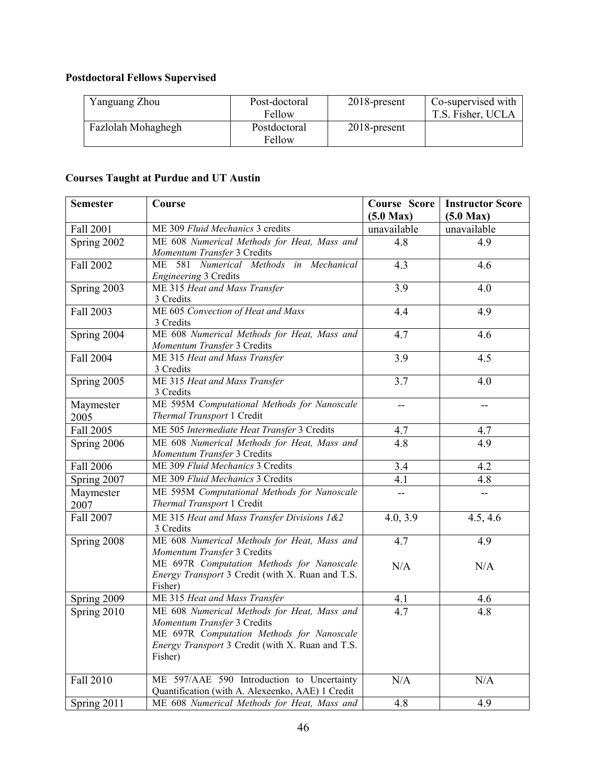# **Postdoctoral Fellows Supervised**

| Yanguang Zhou      | Post-doctoral<br>Fellow | 2018-present    | Co-supervised with<br>T.S. Fisher, UCLA |
|--------------------|-------------------------|-----------------|-----------------------------------------|
| Fazlolah Mohaghegh | Postdoctoral<br>Fellow  | $2018$ -present |                                         |

# **Courses Taught at Purdue and UT Austin**

| <b>Semester</b>   | Course                                                                                                                                                                                 | <b>Course Score</b><br>$(5.0 \text{ Max})$ | <b>Instructor Score</b><br>$(5.0 \text{ Max})$ |
|-------------------|----------------------------------------------------------------------------------------------------------------------------------------------------------------------------------------|--------------------------------------------|------------------------------------------------|
| Fall 2001         | ME 309 Fluid Mechanics 3 credits                                                                                                                                                       | unavailable                                | unavailable                                    |
| Spring 2002       | ME 608 Numerical Methods for Heat, Mass and<br>Momentum Transfer 3 Credits                                                                                                             | 4.8                                        | 4.9                                            |
| Fall 2002         | ME 581 Numerical Methods in<br>Mechanical<br>Engineering 3 Credits                                                                                                                     | 4.3                                        | 4.6                                            |
| Spring 2003       | ME 315 Heat and Mass Transfer<br>3 Credits                                                                                                                                             | $\overline{3.9}$                           | 4.0                                            |
| Fall 2003         | ME 605 Convection of Heat and Mass<br>3 Credits                                                                                                                                        | 4.4                                        | 4.9                                            |
| Spring 2004       | ME 608 Numerical Methods for Heat, Mass and<br>Momentum Transfer 3 Credits                                                                                                             | 4.7                                        | 4.6                                            |
| Fall 2004         | ME 315 Heat and Mass Transfer<br>3 Credits                                                                                                                                             | $\overline{3.9}$                           | 4.5                                            |
| Spring 2005       | ME 315 Heat and Mass Transfer<br>3 Credits                                                                                                                                             | 3.7                                        | 4.0                                            |
| Maymester<br>2005 | ME 595M Computational Methods for Nanoscale<br>Thermal Transport 1 Credit                                                                                                              | $-$                                        | $-$                                            |
| Fall 2005         | ME 505 Intermediate Heat Transfer 3 Credits                                                                                                                                            | 4.7                                        | 4.7                                            |
| Spring 2006       | ME 608 Numerical Methods for Heat, Mass and<br>Momentum Transfer 3 Credits                                                                                                             | 4.8                                        | 4.9                                            |
| Fall 2006         | ME 309 Fluid Mechanics 3 Credits                                                                                                                                                       | 3.4                                        | 4.2                                            |
| Spring 2007       | ME 309 Fluid Mechanics 3 Credits                                                                                                                                                       | 4.1                                        | 4.8                                            |
| Maymester<br>2007 | ME 595M Computational Methods for Nanoscale<br>Thermal Transport 1 Credit                                                                                                              | $\overline{a}$                             |                                                |
| Fall 2007         | ME 315 Heat and Mass Transfer Divisions 1&2<br>3 Credits                                                                                                                               | 4.0, 3.9                                   | 4.5, 4.6                                       |
| Spring 2008       | ME 608 Numerical Methods for Heat, Mass and<br>Momentum Transfer 3 Credits                                                                                                             | 4.7                                        | 4.9                                            |
|                   | ME 697R Computation Methods for Nanoscale<br>Energy Transport 3 Credit (with X. Ruan and T.S.<br>Fisher)                                                                               | N/A                                        | N/A                                            |
| Spring 2009       | ME 315 Heat and Mass Transfer                                                                                                                                                          | 4.1                                        | 4.6                                            |
| Spring 2010       | ME 608 Numerical Methods for Heat, Mass and<br>Momentum Transfer 3 Credits<br>ME 697R Computation Methods for Nanoscale<br>Energy Transport 3 Credit (with X. Ruan and T.S.<br>Fisher) | 4.7                                        | 4.8                                            |
| Fall 2010         | ME 597/AAE 590 Introduction to Uncertainty<br>Quantification (with A. Alexeenko, AAE) 1 Credit                                                                                         | N/A                                        | N/A                                            |
| Spring 2011       | ME 608 Numerical Methods for Heat, Mass and                                                                                                                                            | $\overline{4.8}$                           | 4.9                                            |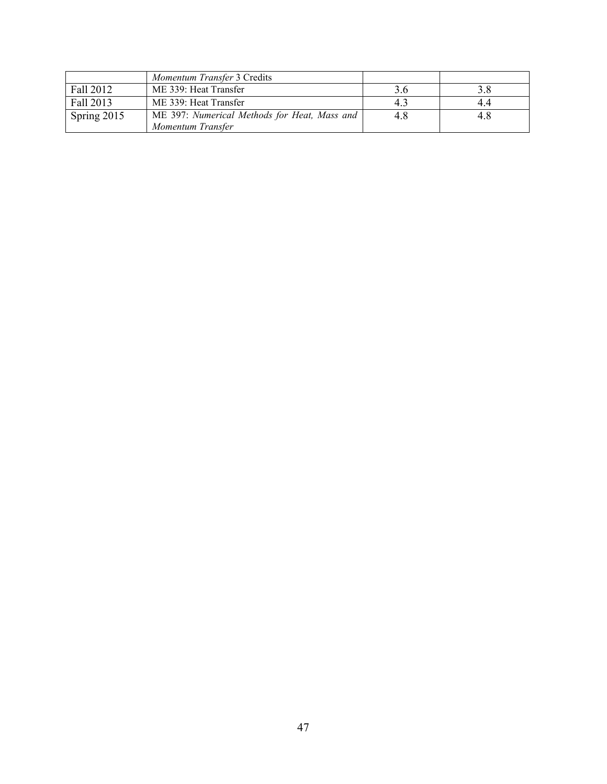|             | Momentum Transfer 3 Credits                  |     |     |
|-------------|----------------------------------------------|-----|-----|
| Fall 2012   | ME 339: Heat Transfer                        | 3.6 |     |
| Fall 2013   | ME 339: Heat Transfer                        | 4.3 | 4.4 |
| Spring 2015 | ME 397: Numerical Methods for Heat, Mass and | 4.8 | 4.8 |
|             | Momentum Transfer                            |     |     |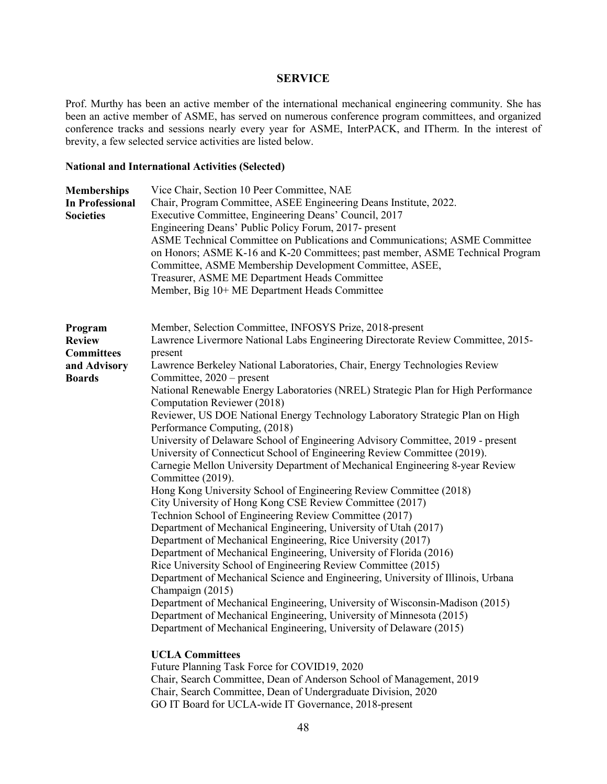#### **SERVICE**

Prof. Murthy has been an active member of the international mechanical engineering community. She has been an active member of ASME, has served on numerous conference program committees, and organized conference tracks and sessions nearly every year for ASME, InterPACK, and ITherm. In the interest of brevity, a few selected service activities are listed below.

#### **National and International Activities (Selected)**

| <b>Memberships</b><br><b>In Professional</b><br><b>Societies</b>               | Vice Chair, Section 10 Peer Committee, NAE<br>Chair, Program Committee, ASEE Engineering Deans Institute, 2022.<br>Executive Committee, Engineering Deans' Council, 2017<br>Engineering Deans' Public Policy Forum, 2017- present<br>ASME Technical Committee on Publications and Communications; ASME Committee<br>on Honors; ASME K-16 and K-20 Committees; past member, ASME Technical Program<br>Committee, ASME Membership Development Committee, ASEE,<br>Treasurer, ASME ME Department Heads Committee<br>Member, Big 10+ ME Department Heads Committee                                                                                                                                                                                                                                                                                                                                                                                                                                                                                                                                                                                                                                                                                                                                                                                                                                                                                                                                                                                                                                                         |
|--------------------------------------------------------------------------------|------------------------------------------------------------------------------------------------------------------------------------------------------------------------------------------------------------------------------------------------------------------------------------------------------------------------------------------------------------------------------------------------------------------------------------------------------------------------------------------------------------------------------------------------------------------------------------------------------------------------------------------------------------------------------------------------------------------------------------------------------------------------------------------------------------------------------------------------------------------------------------------------------------------------------------------------------------------------------------------------------------------------------------------------------------------------------------------------------------------------------------------------------------------------------------------------------------------------------------------------------------------------------------------------------------------------------------------------------------------------------------------------------------------------------------------------------------------------------------------------------------------------------------------------------------------------------------------------------------------------|
| Program<br><b>Review</b><br><b>Committees</b><br>and Advisory<br><b>Boards</b> | Member, Selection Committee, INFOSYS Prize, 2018-present<br>Lawrence Livermore National Labs Engineering Directorate Review Committee, 2015-<br>present<br>Lawrence Berkeley National Laboratories, Chair, Energy Technologies Review<br>Committee, $2020$ – present<br>National Renewable Energy Laboratories (NREL) Strategic Plan for High Performance<br>Computation Reviewer (2018)<br>Reviewer, US DOE National Energy Technology Laboratory Strategic Plan on High<br>Performance Computing, (2018)<br>University of Delaware School of Engineering Advisory Committee, 2019 - present<br>University of Connecticut School of Engineering Review Committee (2019).<br>Carnegie Mellon University Department of Mechanical Engineering 8-year Review<br>Committee (2019).<br>Hong Kong University School of Engineering Review Committee (2018)<br>City University of Hong Kong CSE Review Committee (2017)<br>Technion School of Engineering Review Committee (2017)<br>Department of Mechanical Engineering, University of Utah (2017)<br>Department of Mechanical Engineering, Rice University (2017)<br>Department of Mechanical Engineering, University of Florida (2016)<br>Rice University School of Engineering Review Committee (2015)<br>Department of Mechanical Science and Engineering, University of Illinois, Urbana<br>Champaign (2015)<br>Department of Mechanical Engineering, University of Wisconsin-Madison (2015)<br>Department of Mechanical Engineering, University of Minnesota (2015)<br>Department of Mechanical Engineering, University of Delaware (2015)<br><b>UCLA Committees</b> |
|                                                                                | $F \leftarrow M$ $F \leftarrow T$ $F$ $C \leftarrow CO(11D10, 2020)$                                                                                                                                                                                                                                                                                                                                                                                                                                                                                                                                                                                                                                                                                                                                                                                                                                                                                                                                                                                                                                                                                                                                                                                                                                                                                                                                                                                                                                                                                                                                                   |

Future Planning Task Force for COVID19, 2020 Chair, Search Committee, Dean of Anderson School of Management, 2019 Chair, Search Committee, Dean of Undergraduate Division, 2020 GO IT Board for UCLA-wide IT Governance, 2018-present